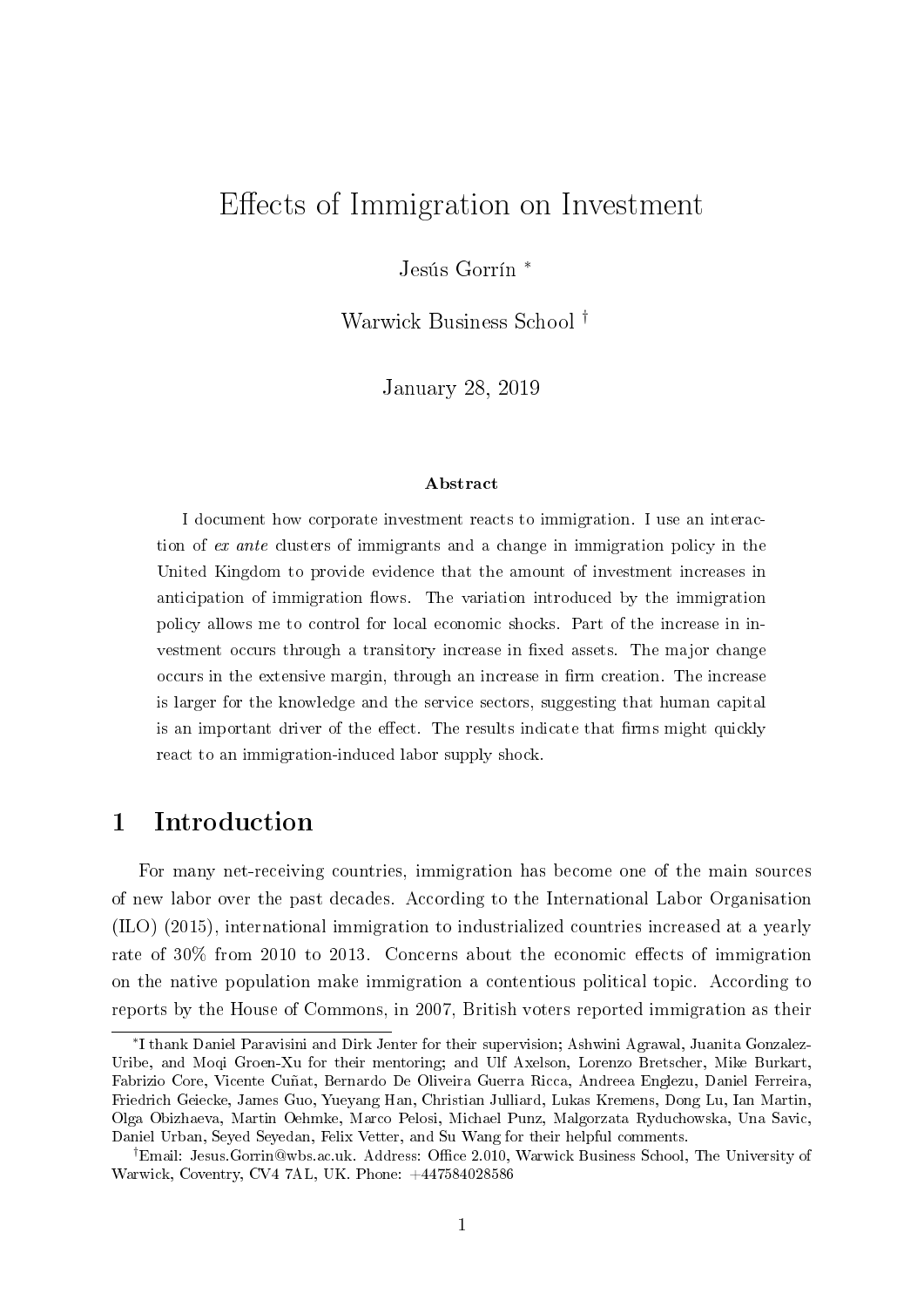# Effects of Immigration on Investment

Jesús Gorrín <sup>∗</sup>

Warwick Business School †

January 28, 2019

#### Abstract

I document how corporate investment reacts to immigration. I use an interaction of ex ante clusters of immigrants and a change in immigration policy in the United Kingdom to provide evidence that the amount of investment increases in anticipation of immigration flows. The variation introduced by the immigration policy allows me to control for local economic shocks. Part of the increase in investment occurs through a transitory increase in fixed assets. The major change occurs in the extensive margin, through an increase in firm creation. The increase is larger for the knowledge and the service sectors, suggesting that human capital is an important driver of the effect. The results indicate that firms might quickly react to an immigration-induced labor supply shock.

## 1 Introduction

For many net-receiving countries, immigration has become one of the main sources of new labor over the past decades. According to the International Labor Organisation (ILO) (2015), international immigration to industrialized countries increased at a yearly rate of 30% from 2010 to 2013. Concerns about the economic effects of immigration on the native population make immigration a contentious political topic. According to reports by the House of Commons, in 2007, British voters reported immigration as their

<sup>∗</sup> I thank Daniel Paravisini and Dirk Jenter for their supervision; Ashwini Agrawal, Juanita Gonzalez-Uribe, and Mogi Groen-Xu for their mentoring; and Ulf Axelson, Lorenzo Bretscher, Mike Burkart, Fabrizio Core, Vicente Cuñat, Bernardo De Oliveira Guerra Ricca, Andreea Englezu, Daniel Ferreira, Friedrich Geiecke, James Guo, Yueyang Han, Christian Julliard, Lukas Kremens, Dong Lu, Ian Martin, Olga Obizhaeva, Martin Oehmke, Marco Pelosi, Michael Punz, Malgorzata Ryduchowska, Una Savic, Daniel Urban, Seyed Seyedan, Felix Vetter, and Su Wang for their helpful comments.

<sup>&</sup>lt;sup>†</sup>Email: Jesus.Gorrin@wbs.ac.uk. Address: Office 2.010, Warwick Business School, The University of Warwick, Coventry, CV4 7AL, UK. Phone: +447584028586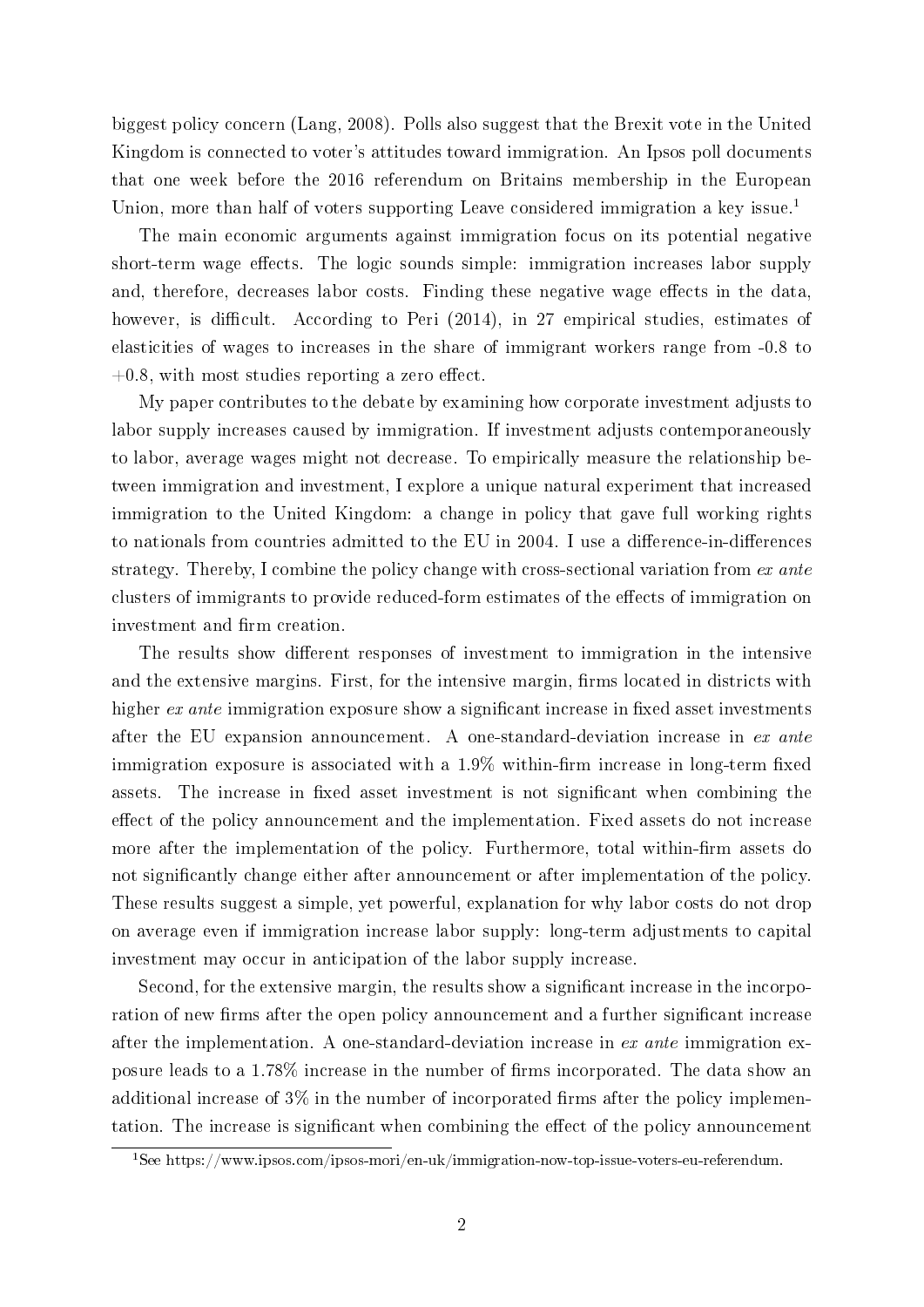biggest policy concern (Lang, 2008). Polls also suggest that the Brexit vote in the United Kingdom is connected to voter's attitudes toward immigration. An Ipsos poll documents that one week before the 2016 referendum on Britains membership in the European Union, more than half of voters supporting Leave considered immigration a key issue.<sup>1</sup>

The main economic arguments against immigration focus on its potential negative short-term wage effects. The logic sounds simple: immigration increases labor supply and, therefore, decreases labor costs. Finding these negative wage effects in the data. however, is difficult. According to Peri (2014), in 27 empirical studies, estimates of elasticities of wages to increases in the share of immigrant workers range from -0.8 to  $+0.8$ , with most studies reporting a zero effect.

My paper contributes to the debate by examining how corporate investment adjusts to labor supply increases caused by immigration. If investment adjusts contemporaneously to labor, average wages might not decrease. To empirically measure the relationship between immigration and investment, I explore a unique natural experiment that increased immigration to the United Kingdom: a change in policy that gave full working rights to nationals from countries admitted to the EU in 2004. I use a difference-in-differences strategy. Thereby, I combine the policy change with cross-sectional variation from ex ante clusters of immigrants to provide reduced-form estimates of the effects of immigration on investment and firm creation.

The results show different responses of investment to immigration in the intensive and the extensive margins. First, for the intensive margin, firms located in districts with higher  $ex$  ante immigration exposure show a significant increase in fixed asset investments after the EU expansion announcement. A one-standard-deviation increase in ex ante immigration exposure is associated with a  $1.9\%$  within-firm increase in long-term fixed assets. The increase in fixed asset investment is not significant when combining the effect of the policy announcement and the implementation. Fixed assets do not increase more after the implementation of the policy. Furthermore, total within-firm assets do not significantly change either after announcement or after implementation of the policy. These results suggest a simple, yet powerful, explanation for why labor costs do not drop on average even if immigration increase labor supply: long-term adjustments to capital investment may occur in anticipation of the labor supply increase.

Second, for the extensive margin, the results show a significant increase in the incorporation of new firms after the open policy announcement and a further significant increase after the implementation. A one-standard-deviation increase in ex ante immigration exposure leads to a  $1.78\%$  increase in the number of firms incorporated. The data show an additional increase of  $3\%$  in the number of incorporated firms after the policy implementation. The increase is significant when combining the effect of the policy announcement

<sup>1</sup>See https://www.ipsos.com/ipsos-mori/en-uk/immigration-now-top-issue-voters-eu-referendum.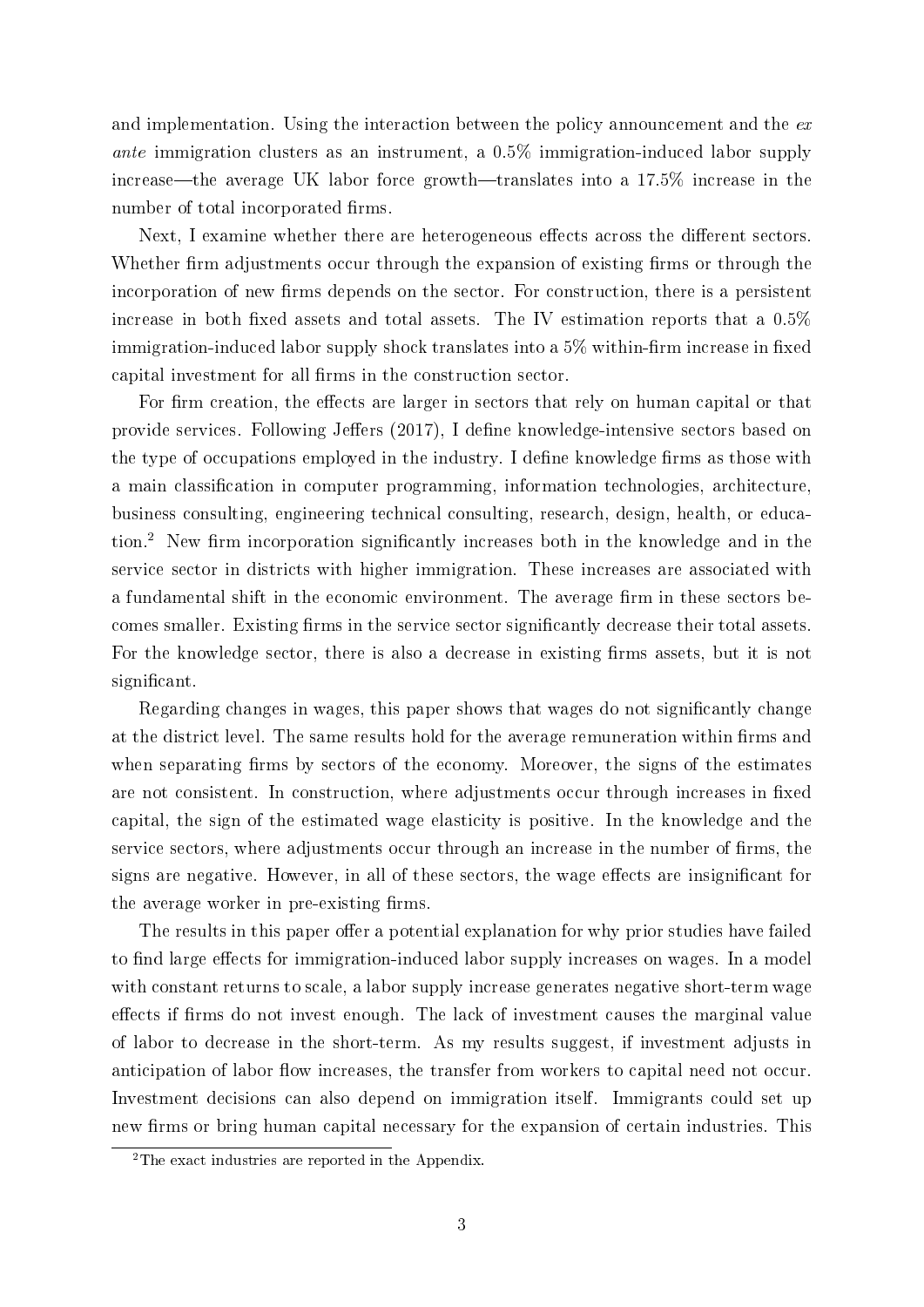and implementation. Using the interaction between the policy announcement and the  $ex$ ante immigration clusters as an instrument, a 0.5% immigration-induced labor supply increase—the average UK labor force growth—translates into a  $17.5\%$  increase in the number of total incorporated firms.

Next, I examine whether there are heterogeneous effects across the different sectors. Whether firm adjustments occur through the expansion of existing firms or through the incorporation of new firms depends on the sector. For construction, there is a persistent increase in both fixed assets and total assets. The IV estimation reports that a  $0.5\%$ immigration-induced labor supply shock translates into a  $5\%$  within-firm increase in fixed capital investment for all firms in the construction sector.

For firm creation, the effects are larger in sectors that rely on human capital or that provide services. Following Jeffers (2017), I define knowledge-intensive sectors based on the type of occupations employed in the industry. I define knowledge firms as those with a main classification in computer programming, information technologies, architecture, business consulting, engineering technical consulting, research, design, health, or education.<sup>2</sup> New firm incorporation significantly increases both in the knowledge and in the service sector in districts with higher immigration. These increases are associated with a fundamental shift in the economic environment. The average firm in these sectors becomes smaller. Existing firms in the service sector significantly decrease their total assets. For the knowledge sector, there is also a decrease in existing firms assets, but it is not significant.

Regarding changes in wages, this paper shows that wages do not significantly change at the district level. The same results hold for the average remuneration within firms and when separating firms by sectors of the economy. Moreover, the signs of the estimates are not consistent. In construction, where adjustments occur through increases in fixed capital, the sign of the estimated wage elasticity is positive. In the knowledge and the service sectors, where adjustments occur through an increase in the number of firms, the signs are negative. However, in all of these sectors, the wage effects are insignificant for the average worker in pre-existing firms.

The results in this paper offer a potential explanation for why prior studies have failed to find large effects for immigration-induced labor supply increases on wages. In a model with constant returns to scale, a labor supply increase generates negative short-term wage effects if firms do not invest enough. The lack of investment causes the marginal value of labor to decrease in the short-term. As my results suggest, if investment adjusts in anticipation of labor flow increases, the transfer from workers to capital need not occur. Investment decisions can also depend on immigration itself. Immigrants could set up new firms or bring human capital necessary for the expansion of certain industries. This

<sup>&</sup>lt;sup>2</sup>The exact industries are reported in the Appendix.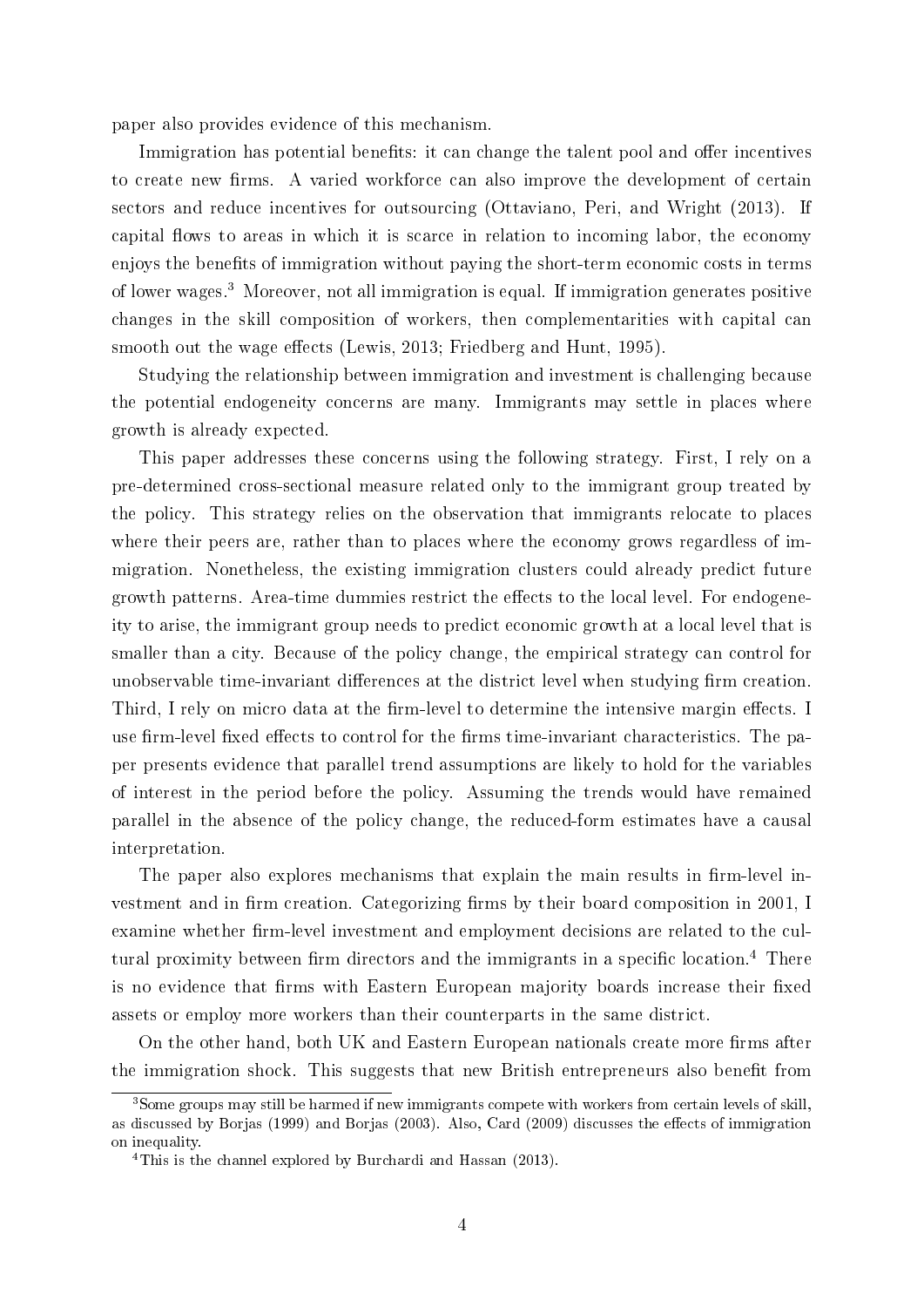paper also provides evidence of this mechanism.

Immigration has potential benefits: it can change the talent pool and offer incentives to create new firms. A varied workforce can also improve the development of certain sectors and reduce incentives for outsourcing (Ottaviano, Peri, and Wright (2013). If capital flows to areas in which it is scarce in relation to incoming labor, the economy enjoys the benefits of immigration without paying the short-term economic costs in terms of lower wages.<sup>3</sup> Moreover, not all immigration is equal. If immigration generates positive changes in the skill composition of workers, then complementarities with capital can smooth out the wage effects (Lewis, 2013; Friedberg and Hunt, 1995).

Studying the relationship between immigration and investment is challenging because the potential endogeneity concerns are many. Immigrants may settle in places where growth is already expected.

This paper addresses these concerns using the following strategy. First, I rely on a pre-determined cross-sectional measure related only to the immigrant group treated by the policy. This strategy relies on the observation that immigrants relocate to places where their peers are, rather than to places where the economy grows regardless of immigration. Nonetheless, the existing immigration clusters could already predict future growth patterns. Area-time dummies restrict the effects to the local level. For endogeneity to arise, the immigrant group needs to predict economic growth at a local level that is smaller than a city. Because of the policy change, the empirical strategy can control for unobservable time-invariant differences at the district level when studying firm creation. Third, I rely on micro data at the firm-level to determine the intensive margin effects. I use firm-level fixed effects to control for the firms time-invariant characteristics. The paper presents evidence that parallel trend assumptions are likely to hold for the variables of interest in the period before the policy. Assuming the trends would have remained parallel in the absence of the policy change, the reduced-form estimates have a causal interpretation.

The paper also explores mechanisms that explain the main results in firm-level investment and in firm creation. Categorizing firms by their board composition in 2001, I examine whether firm-level investment and employment decisions are related to the cultural proximity between firm directors and the immigrants in a specific location.<sup>4</sup> There is no evidence that firms with Eastern European majority boards increase their fixed assets or employ more workers than their counterparts in the same district.

On the other hand, both UK and Eastern European nationals create more firms after the immigration shock. This suggests that new British entrepreneurs also benefit from

<sup>&</sup>lt;sup>3</sup>Some groups may still be harmed if new immigrants compete with workers from certain levels of skill, as discussed by Borjas (1999) and Borjas (2003). Also, Card (2009) discusses the effects of immigration on inequality.

<sup>4</sup>This is the channel explored by Burchardi and Hassan (2013).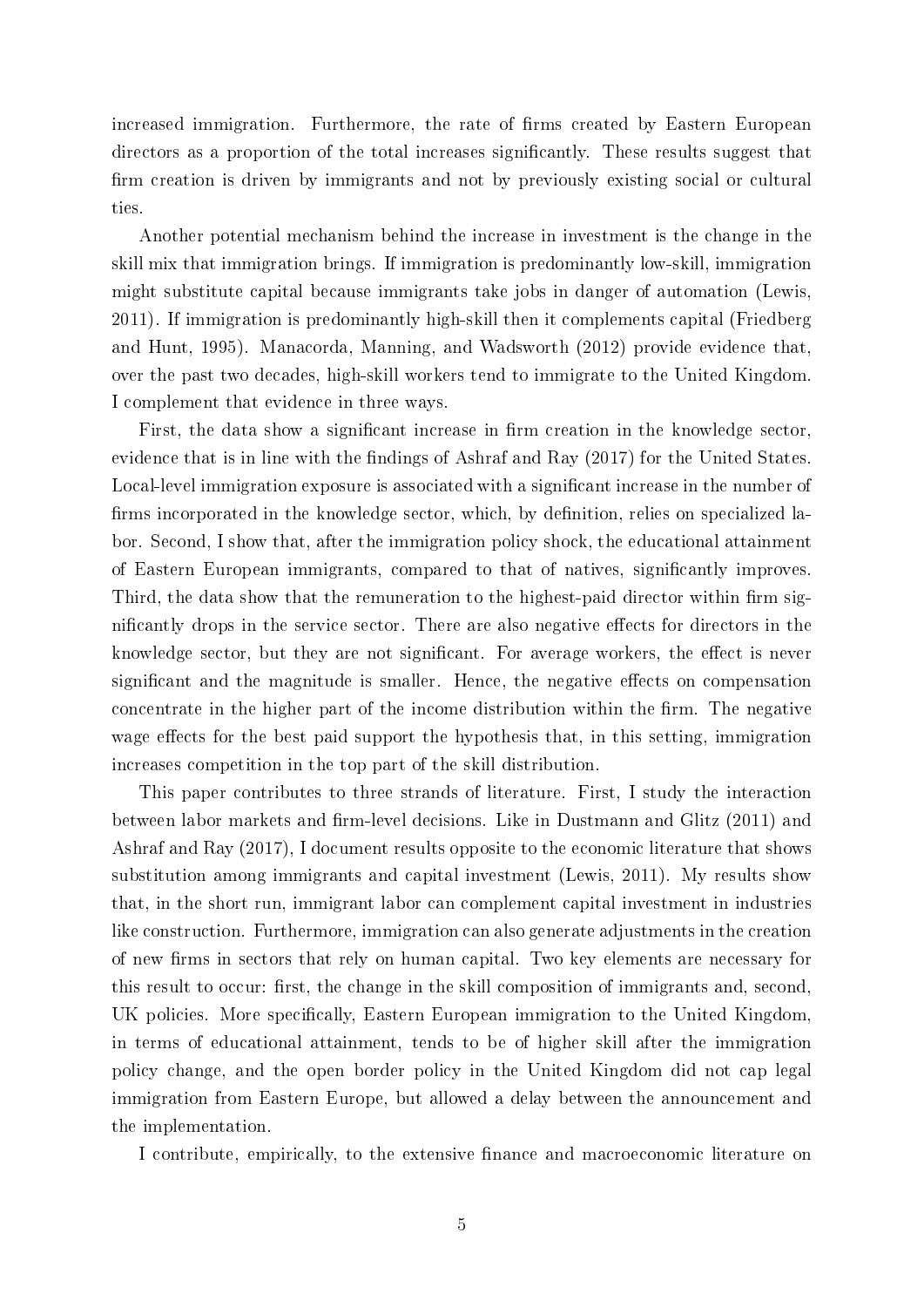increased immigration. Furthermore, the rate of firms created by Eastern European directors as a proportion of the total increases significantly. These results suggest that firm creation is driven by immigrants and not by previously existing social or cultural ties.

Another potential mechanism behind the increase in investment is the change in the skill mix that immigration brings. If immigration is predominantly low-skill, immigration might substitute capital because immigrants take jobs in danger of automation (Lewis, 2011). If immigration is predominantly high-skill then it complements capital (Friedberg and Hunt, 1995). Manacorda, Manning, and Wadsworth (2012) provide evidence that, over the past two decades, high-skill workers tend to immigrate to the United Kingdom. I complement that evidence in three ways.

First, the data show a significant increase in firm creation in the knowledge sector, evidence that is in line with the findings of Ashraf and Ray  $(2017)$  for the United States. Local-level immigration exposure is associated with a significant increase in the number of firms incorporated in the knowledge sector, which, by definition, relies on specialized labor. Second, I show that, after the immigration policy shock, the educational attainment of Eastern European immigrants, compared to that of natives, signicantly improves. Third, the data show that the remuneration to the highest-paid director within firm significantly drops in the service sector. There are also negative effects for directors in the knowledge sector, but they are not significant. For average workers, the effect is never significant and the magnitude is smaller. Hence, the negative effects on compensation concentrate in the higher part of the income distribution within the firm. The negative wage effects for the best paid support the hypothesis that, in this setting, immigration increases competition in the top part of the skill distribution.

This paper contributes to three strands of literature. First, I study the interaction between labor markets and firm-level decisions. Like in Dustmann and Glitz (2011) and Ashraf and Ray (2017), I document results opposite to the economic literature that shows substitution among immigrants and capital investment (Lewis, 2011). My results show that, in the short run, immigrant labor can complement capital investment in industries like construction. Furthermore, immigration can also generate adjustments in the creation of new rms in sectors that rely on human capital. Two key elements are necessary for this result to occur: first, the change in the skill composition of immigrants and, second, UK policies. More specifically, Eastern European immigration to the United Kingdom, in terms of educational attainment, tends to be of higher skill after the immigration policy change, and the open border policy in the United Kingdom did not cap legal immigration from Eastern Europe, but allowed a delay between the announcement and the implementation.

I contribute, empirically, to the extensive finance and macroeconomic literature on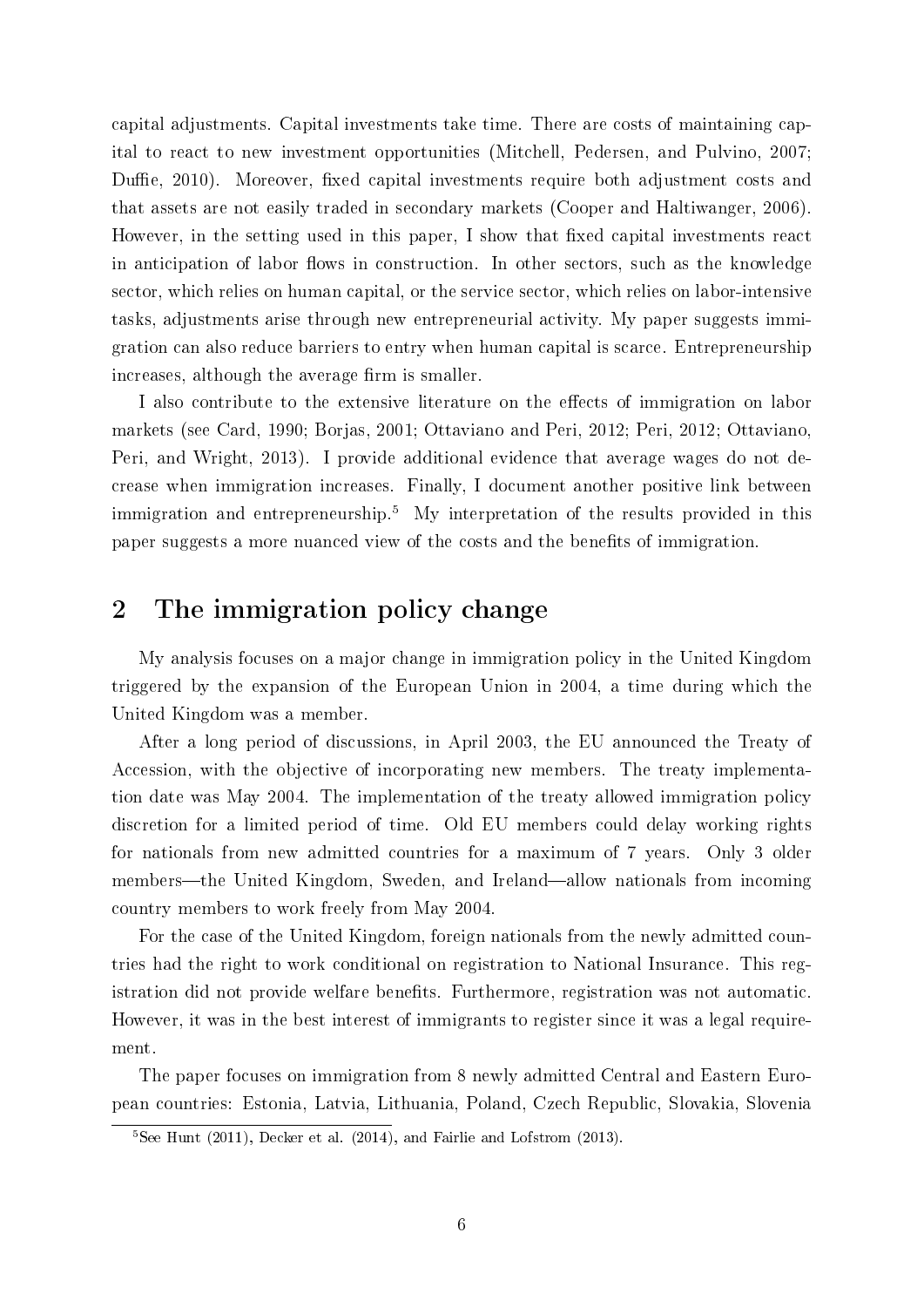capital adjustments. Capital investments take time. There are costs of maintaining capital to react to new investment opportunities (Mitchell, Pedersen, and Pulvino, 2007; Duffie, 2010). Moreover, fixed capital investments require both adjustment costs and that assets are not easily traded in secondary markets (Cooper and Haltiwanger, 2006). However, in the setting used in this paper, I show that fixed capital investments react in anticipation of labor flows in construction. In other sectors, such as the knowledge sector, which relies on human capital, or the service sector, which relies on labor-intensive tasks, adjustments arise through new entrepreneurial activity. My paper suggests immigration can also reduce barriers to entry when human capital is scarce. Entrepreneurship increases, although the average firm is smaller.

I also contribute to the extensive literature on the effects of immigration on labor markets (see Card, 1990; Borjas, 2001; Ottaviano and Peri, 2012; Peri, 2012; Ottaviano, Peri, and Wright, 2013). I provide additional evidence that average wages do not decrease when immigration increases. Finally, I document another positive link between immigration and entrepreneurship.<sup>5</sup> My interpretation of the results provided in this paper suggests a more nuanced view of the costs and the benets of immigration.

# 2 The immigration policy change

My analysis focuses on a major change in immigration policy in the United Kingdom triggered by the expansion of the European Union in 2004, a time during which the United Kingdom was a member.

After a long period of discussions, in April 2003, the EU announced the Treaty of Accession, with the objective of incorporating new members. The treaty implementation date was May 2004. The implementation of the treaty allowed immigration policy discretion for a limited period of time. Old EU members could delay working rights for nationals from new admitted countries for a maximum of 7 years. Only 3 older members—the United Kingdom, Sweden, and Ireland—allow nationals from incoming country members to work freely from May 2004.

For the case of the United Kingdom, foreign nationals from the newly admitted countries had the right to work conditional on registration to National Insurance. This registration did not provide welfare benefits. Furthermore, registration was not automatic. However, it was in the best interest of immigrants to register since it was a legal requirement.

The paper focuses on immigration from 8 newly admitted Central and Eastern European countries: Estonia, Latvia, Lithuania, Poland, Czech Republic, Slovakia, Slovenia

 ${}^{5}$ See Hunt (2011), Decker et al. (2014), and Fairlie and Lofstrom (2013).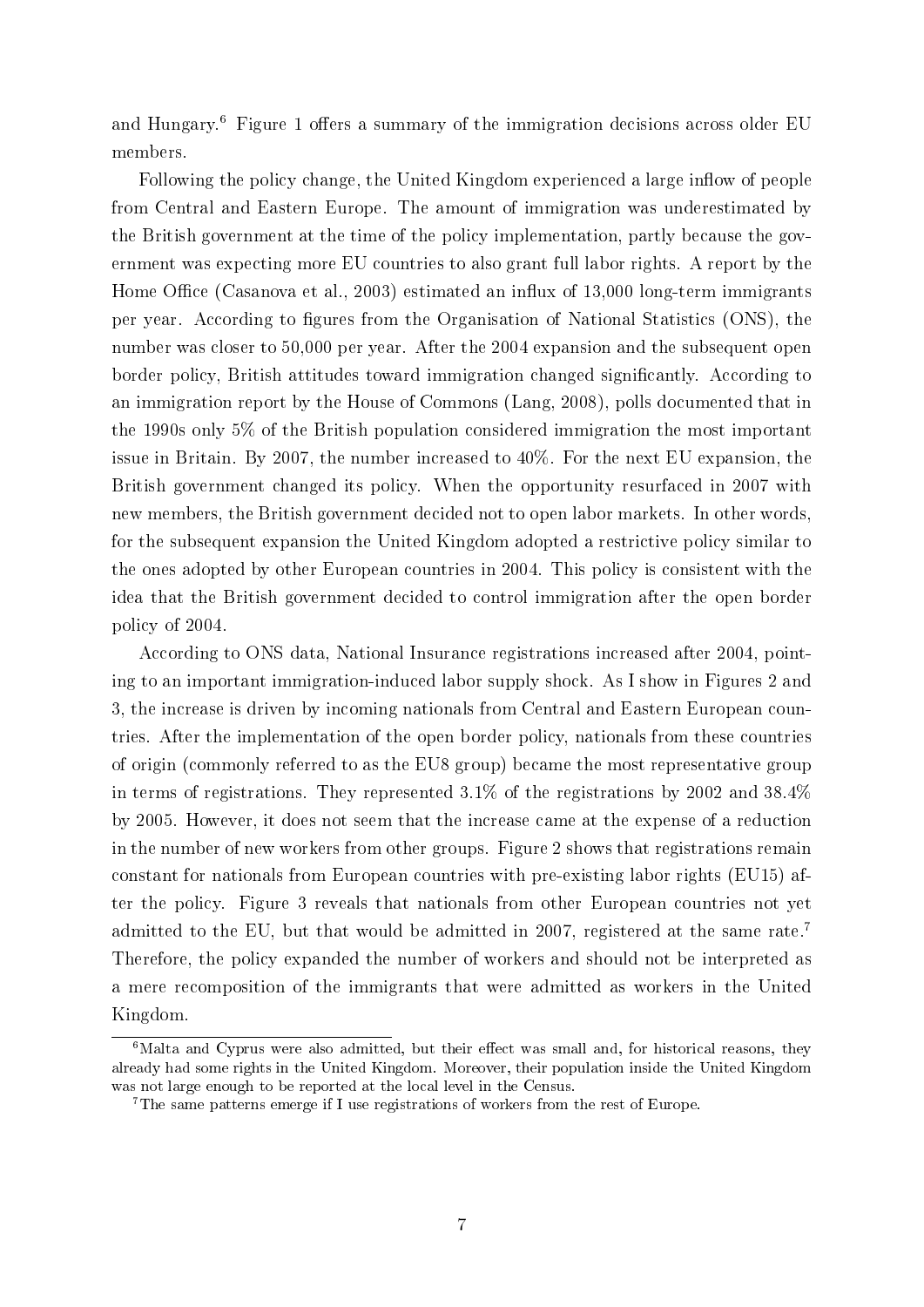and Hungary.<sup>6</sup> Figure 1 offers a summary of the immigration decisions across older EU members.

Following the policy change, the United Kingdom experienced a large inflow of people from Central and Eastern Europe. The amount of immigration was underestimated by the British government at the time of the policy implementation, partly because the government was expecting more EU countries to also grant full labor rights. A report by the Home Office (Casanova et al., 2003) estimated an influx of  $13,000$  long-term immigrants per year. According to gures from the Organisation of National Statistics (ONS), the number was closer to 50,000 per year. After the 2004 expansion and the subsequent open border policy, British attitudes toward immigration changed signicantly. According to an immigration report by the House of Commons (Lang, 2008), polls documented that in the 1990s only 5% of the British population considered immigration the most important issue in Britain. By 2007, the number increased to 40%. For the next EU expansion, the British government changed its policy. When the opportunity resurfaced in 2007 with new members, the British government decided not to open labor markets. In other words, for the subsequent expansion the United Kingdom adopted a restrictive policy similar to the ones adopted by other European countries in 2004. This policy is consistent with the idea that the British government decided to control immigration after the open border policy of 2004.

According to ONS data, National Insurance registrations increased after 2004, pointing to an important immigration-induced labor supply shock. As I show in Figures 2 and 3, the increase is driven by incoming nationals from Central and Eastern European countries. After the implementation of the open border policy, nationals from these countries of origin (commonly referred to as the EU8 group) became the most representative group in terms of registrations. They represented  $3.1\%$  of the registrations by 2002 and  $38.4\%$ by 2005. However, it does not seem that the increase came at the expense of a reduction in the number of new workers from other groups. Figure 2 shows that registrations remain constant for nationals from European countries with pre-existing labor rights (EU15) after the policy. Figure 3 reveals that nationals from other European countries not yet admitted to the EU, but that would be admitted in 2007, registered at the same rate.<sup>7</sup> Therefore, the policy expanded the number of workers and should not be interpreted as a mere recomposition of the immigrants that were admitted as workers in the United Kingdom.

 $6$ Malta and Cyprus were also admitted, but their effect was small and, for historical reasons, they already had some rights in the United Kingdom. Moreover, their population inside the United Kingdom was not large enough to be reported at the local level in the Census.

<sup>7</sup>The same patterns emerge if I use registrations of workers from the rest of Europe.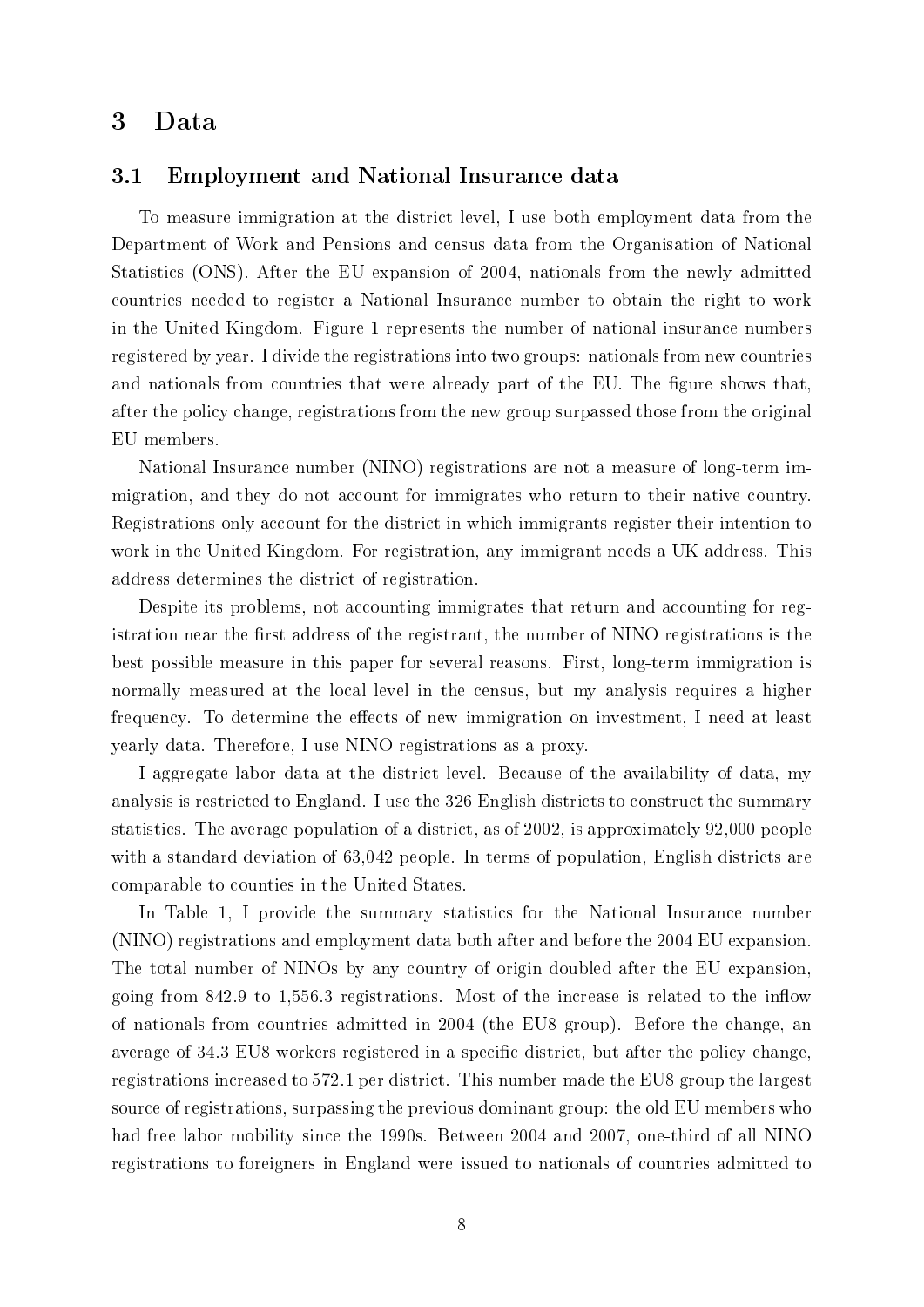## 3 Data

## 3.1 Employment and National Insurance data

To measure immigration at the district level, I use both employment data from the Department of Work and Pensions and census data from the Organisation of National Statistics (ONS). After the EU expansion of 2004, nationals from the newly admitted countries needed to register a National Insurance number to obtain the right to work in the United Kingdom. Figure 1 represents the number of national insurance numbers registered by year. I divide the registrations into two groups: nationals from new countries and nationals from countries that were already part of the EU. The figure shows that, after the policy change, registrations from the new group surpassed those from the original EU members.

National Insurance number (NINO) registrations are not a measure of long-term immigration, and they do not account for immigrates who return to their native country. Registrations only account for the district in which immigrants register their intention to work in the United Kingdom. For registration, any immigrant needs a UK address. This address determines the district of registration.

Despite its problems, not accounting immigrates that return and accounting for registration near the first address of the registrant, the number of NINO registrations is the best possible measure in this paper for several reasons. First, long-term immigration is normally measured at the local level in the census, but my analysis requires a higher frequency. To determine the effects of new immigration on investment, I need at least yearly data. Therefore, I use NINO registrations as a proxy.

I aggregate labor data at the district level. Because of the availability of data, my analysis is restricted to England. I use the 326 English districts to construct the summary statistics. The average population of a district, as of 2002, is approximately 92,000 people with a standard deviation of 63,042 people. In terms of population, English districts are comparable to counties in the United States.

In Table 1, I provide the summary statistics for the National Insurance number (NINO) registrations and employment data both after and before the 2004 EU expansion. The total number of NINOs by any country of origin doubled after the EU expansion, going from  $842.9$  to  $1,556.3$  registrations. Most of the increase is related to the inflow of nationals from countries admitted in 2004 (the EU8 group). Before the change, an average of 34.3 EU8 workers registered in a specific district, but after the policy change, registrations increased to 572.1 per district. This number made the EU8 group the largest source of registrations, surpassing the previous dominant group: the old EU members who had free labor mobility since the 1990s. Between 2004 and 2007, one-third of all NINO registrations to foreigners in England were issued to nationals of countries admitted to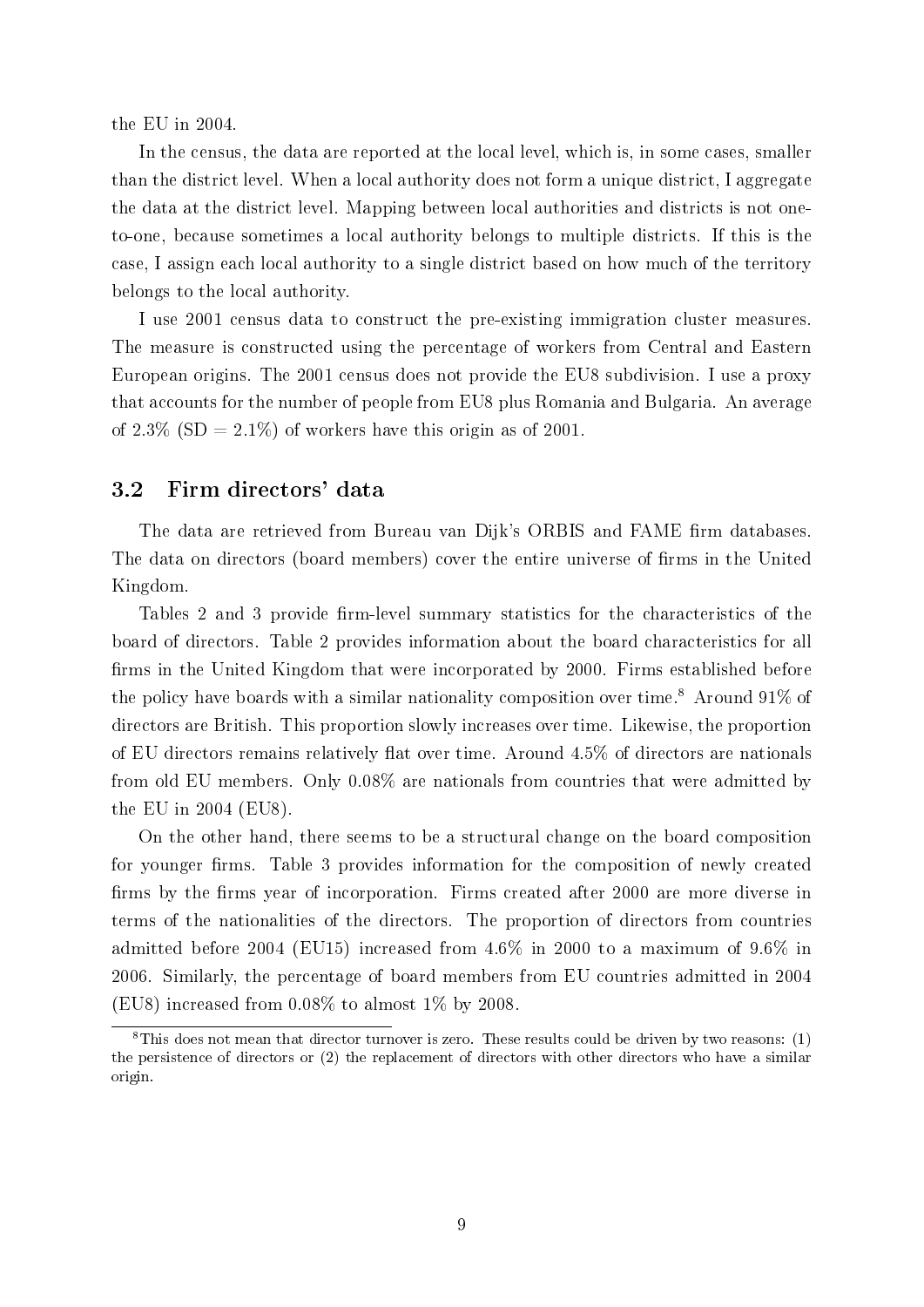the EU in 2004.

In the census, the data are reported at the local level, which is, in some cases, smaller than the district level. When a local authority does not form a unique district, I aggregate the data at the district level. Mapping between local authorities and districts is not oneto-one, because sometimes a local authority belongs to multiple districts. If this is the case, I assign each local authority to a single district based on how much of the territory belongs to the local authority.

I use 2001 census data to construct the pre-existing immigration cluster measures. The measure is constructed using the percentage of workers from Central and Eastern European origins. The 2001 census does not provide the EU8 subdivision. I use a proxy that accounts for the number of people from EU8 plus Romania and Bulgaria. An average of 2.3\%  $(SD = 2.1\%)$  of workers have this origin as of 2001.

## 3.2 Firm directors' data

The data are retrieved from Bureau van Dijk's ORBIS and FAME firm databases. The data on directors (board members) cover the entire universe of firms in the United Kingdom.

Tables 2 and 3 provide firm-level summary statistics for the characteristics of the board of directors. Table 2 provides information about the board characteristics for all firms in the United Kingdom that were incorporated by 2000. Firms established before the policy have boards with a similar nationality composition over time.<sup>8</sup> Around 91% of directors are British. This proportion slowly increases over time. Likewise, the proportion of EU directors remains relatively flat over time. Around  $4.5\%$  of directors are nationals from old EU members. Only 0.08% are nationals from countries that were admitted by the EU in 2004 (EU8).

On the other hand, there seems to be a structural change on the board composition for younger firms. Table 3 provides information for the composition of newly created firms by the firms year of incorporation. Firms created after 2000 are more diverse in terms of the nationalities of the directors. The proportion of directors from countries admitted before 2004 (EU15) increased from 4.6% in 2000 to a maximum of 9.6% in 2006. Similarly, the percentage of board members from EU countries admitted in 2004 (EU8) increased from  $0.08\%$  to almost 1\% by 2008.

 ${}^{8}$ This does not mean that director turnover is zero. These results could be driven by two reasons: (1) the persistence of directors or (2) the replacement of directors with other directors who have a similar origin.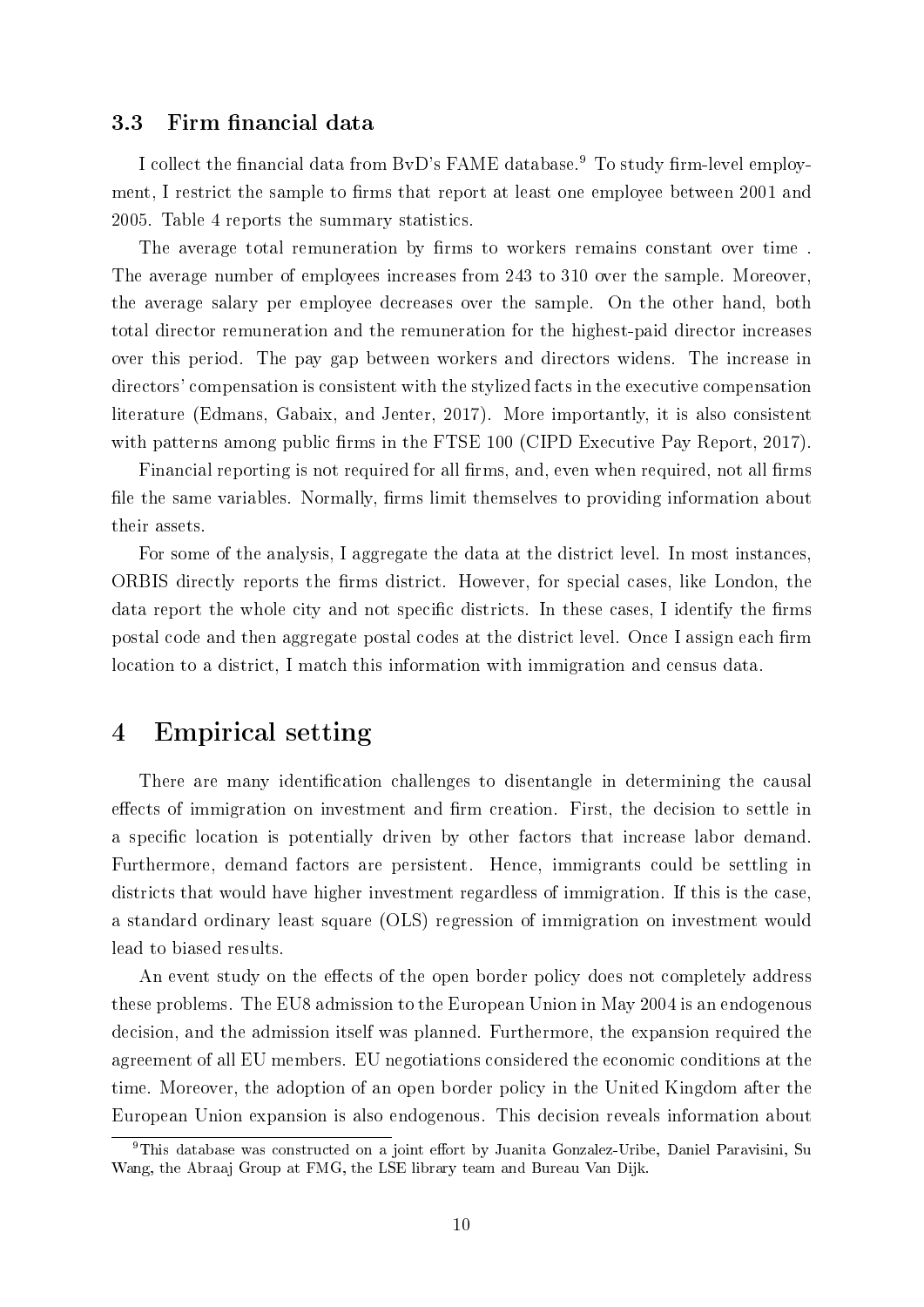## 3.3 Firm financial data

I collect the financial data from BvD's FAME database.<sup>9</sup> To study firm-level employment, I restrict the sample to firms that report at least one employee between 2001 and 2005. Table 4 reports the summary statistics.

The average total remuneration by firms to workers remains constant over time. The average number of employees increases from 243 to 310 over the sample. Moreover, the average salary per employee decreases over the sample. On the other hand, both total director remuneration and the remuneration for the highest-paid director increases over this period. The pay gap between workers and directors widens. The increase in directors' compensation is consistent with the stylized facts in the executive compensation literature (Edmans, Gabaix, and Jenter, 2017). More importantly, it is also consistent with patterns among public firms in the FTSE 100 (CIPD Executive Pay Report, 2017).

Financial reporting is not required for all firms, and, even when required, not all firms file the same variables. Normally, firms limit themselves to providing information about their assets.

For some of the analysis, I aggregate the data at the district level. In most instances, ORBIS directly reports the firms district. However, for special cases, like London, the data report the whole city and not specific districts. In these cases, I identify the firms postal code and then aggregate postal codes at the district level. Once I assign each firm location to a district, I match this information with immigration and census data.

## 4 Empirical setting

There are many identification challenges to disentangle in determining the causal effects of immigration on investment and firm creation. First, the decision to settle in a specific location is potentially driven by other factors that increase labor demand. Furthermore, demand factors are persistent. Hence, immigrants could be settling in districts that would have higher investment regardless of immigration. If this is the case, a standard ordinary least square (OLS) regression of immigration on investment would lead to biased results.

An event study on the effects of the open border policy does not completely address these problems. The EU8 admission to the European Union in May 2004 is an endogenous decision, and the admission itself was planned. Furthermore, the expansion required the agreement of all EU members. EU negotiations considered the economic conditions at the time. Moreover, the adoption of an open border policy in the United Kingdom after the European Union expansion is also endogenous. This decision reveals information about

<sup>&</sup>lt;sup>9</sup>This database was constructed on a joint effort by Juanita Gonzalez-Uribe, Daniel Paravisini, Su Wang, the Abraaj Group at FMG, the LSE library team and Bureau Van Dijk.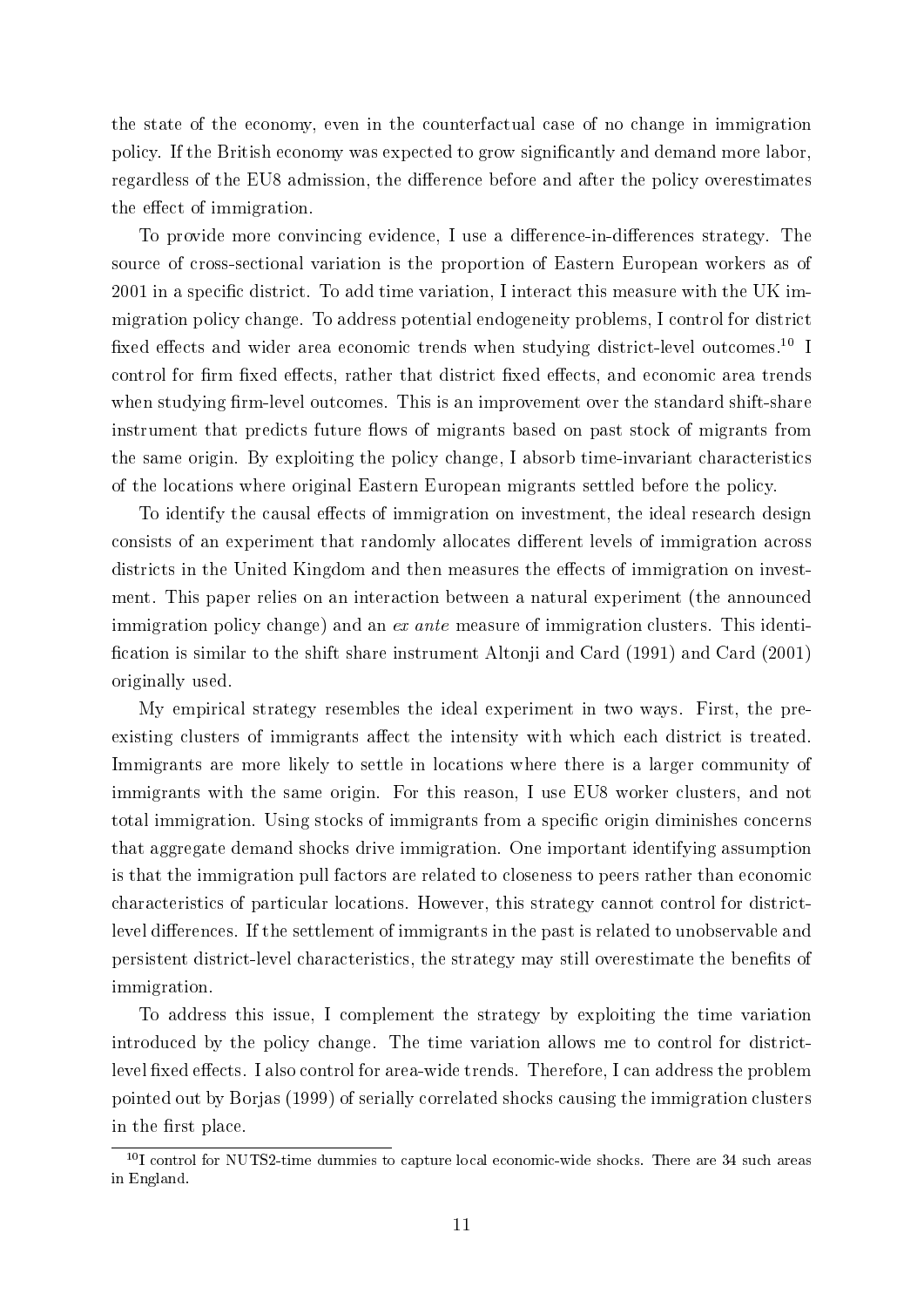the state of the economy, even in the counterfactual case of no change in immigration policy. If the British economy was expected to grow signicantly and demand more labor, regardless of the EU8 admission, the difference before and after the policy overestimates the effect of immigration.

To provide more convincing evidence, I use a difference-in-differences strategy. The source of cross-sectional variation is the proportion of Eastern European workers as of  $2001$  in a specific district. To add time variation, I interact this measure with the UK immigration policy change. To address potential endogeneity problems, I control for district fixed effects and wider area economic trends when studying district-level outcomes.<sup>10</sup> I control for firm fixed effects, rather that district fixed effects, and economic area trends when studying firm-level outcomes. This is an improvement over the standard shift-share instrument that predicts future flows of migrants based on past stock of migrants from the same origin. By exploiting the policy change, I absorb time-invariant characteristics of the locations where original Eastern European migrants settled before the policy.

To identify the causal effects of immigration on investment, the ideal research design consists of an experiment that randomly allocates different levels of immigration across districts in the United Kingdom and then measures the effects of immigration on investment. This paper relies on an interaction between a natural experiment (the announced immigration policy change) and an ex ante measure of immigration clusters. This identification is similar to the shift share instrument Altonji and Card (1991) and Card (2001) originally used.

My empirical strategy resembles the ideal experiment in two ways. First, the preexisting clusters of immigrants affect the intensity with which each district is treated. Immigrants are more likely to settle in locations where there is a larger community of immigrants with the same origin. For this reason, I use EU8 worker clusters, and not total immigration. Using stocks of immigrants from a specific origin diminishes concerns that aggregate demand shocks drive immigration. One important identifying assumption is that the immigration pull factors are related to closeness to peers rather than economic characteristics of particular locations. However, this strategy cannot control for districtlevel differences. If the settlement of immigrants in the past is related to unobservable and persistent district-level characteristics, the strategy may still overestimate the benets of immigration.

To address this issue, I complement the strategy by exploiting the time variation introduced by the policy change. The time variation allows me to control for districtlevel fixed effects. I also control for area-wide trends. Therefore, I can address the problem pointed out by Borjas (1999) of serially correlated shocks causing the immigration clusters in the first place.

 $^{10}$ I control for NUTS2-time dummies to capture local economic-wide shocks. There are 34 such areas in England.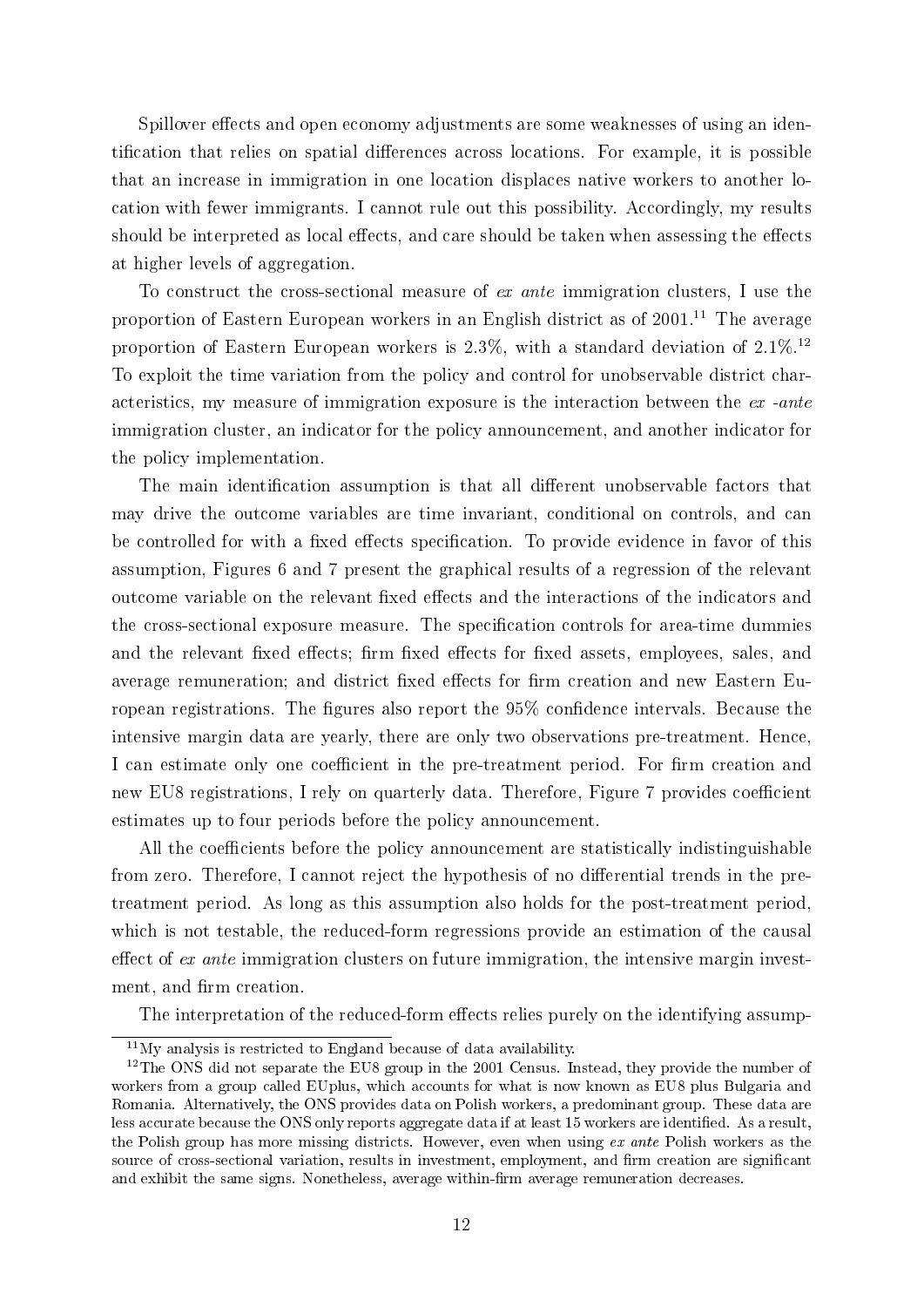Spillover effects and open economy adjustments are some weaknesses of using an identification that relies on spatial differences across locations. For example, it is possible that an increase in immigration in one location displaces native workers to another location with fewer immigrants. I cannot rule out this possibility. Accordingly, my results should be interpreted as local effects, and care should be taken when assessing the effects at higher levels of aggregation.

To construct the cross-sectional measure of ex ante immigration clusters, I use the proportion of Eastern European workers in an English district as of  $2001$ .<sup>11</sup> The average proportion of Eastern European workers is  $2.3\%$ , with a standard deviation of  $2.1\%$ <sup>12</sup> To exploit the time variation from the policy and control for unobservable district characteristics, my measure of immigration exposure is the interaction between the ex -ante immigration cluster, an indicator for the policy announcement, and another indicator for the policy implementation.

The main identification assumption is that all different unobservable factors that may drive the outcome variables are time invariant, conditional on controls, and can be controlled for with a fixed effects specification. To provide evidence in favor of this assumption, Figures 6 and 7 present the graphical results of a regression of the relevant outcome variable on the relevant fixed effects and the interactions of the indicators and the cross-sectional exposure measure. The specification controls for area-time dummies and the relevant fixed effects; firm fixed effects for fixed assets, employees, sales, and average remuneration; and district fixed effects for firm creation and new Eastern European registrations. The figures also report the 95% confidence intervals. Because the intensive margin data are yearly, there are only two observations pre-treatment. Hence, I can estimate only one coefficient in the pre-treatment period. For firm creation and new EU8 registrations, I rely on quarterly data. Therefore, Figure 7 provides coefficient estimates up to four periods before the policy announcement.

All the coefficients before the policy announcement are statistically indistinguishable from zero. Therefore, I cannot reject the hypothesis of no differential trends in the pretreatment period. As long as this assumption also holds for the post-treatment period, which is not testable, the reduced-form regressions provide an estimation of the causal effect of  $ex$  ante immigration clusters on future immigration, the intensive margin investment, and firm creation.

The interpretation of the reduced-form effects relies purely on the identifying assump-

 $11$ My analysis is restricted to England because of data availability.

<sup>&</sup>lt;sup>12</sup>The ONS did not separate the EU8 group in the 2001 Census. Instead, they provide the number of workers from a group called EUplus, which accounts for what is now known as EU8 plus Bulgaria and Romania. Alternatively, the ONS provides data on Polish workers, a predominant group. These data are less accurate because the ONS only reports aggregate data if at least 15 workers are identified. As a result, the Polish group has more missing districts. However, even when using ex ante Polish workers as the source of cross-sectional variation, results in investment, employment, and firm creation are significant and exhibit the same signs. Nonetheless, average within-firm average remuneration decreases.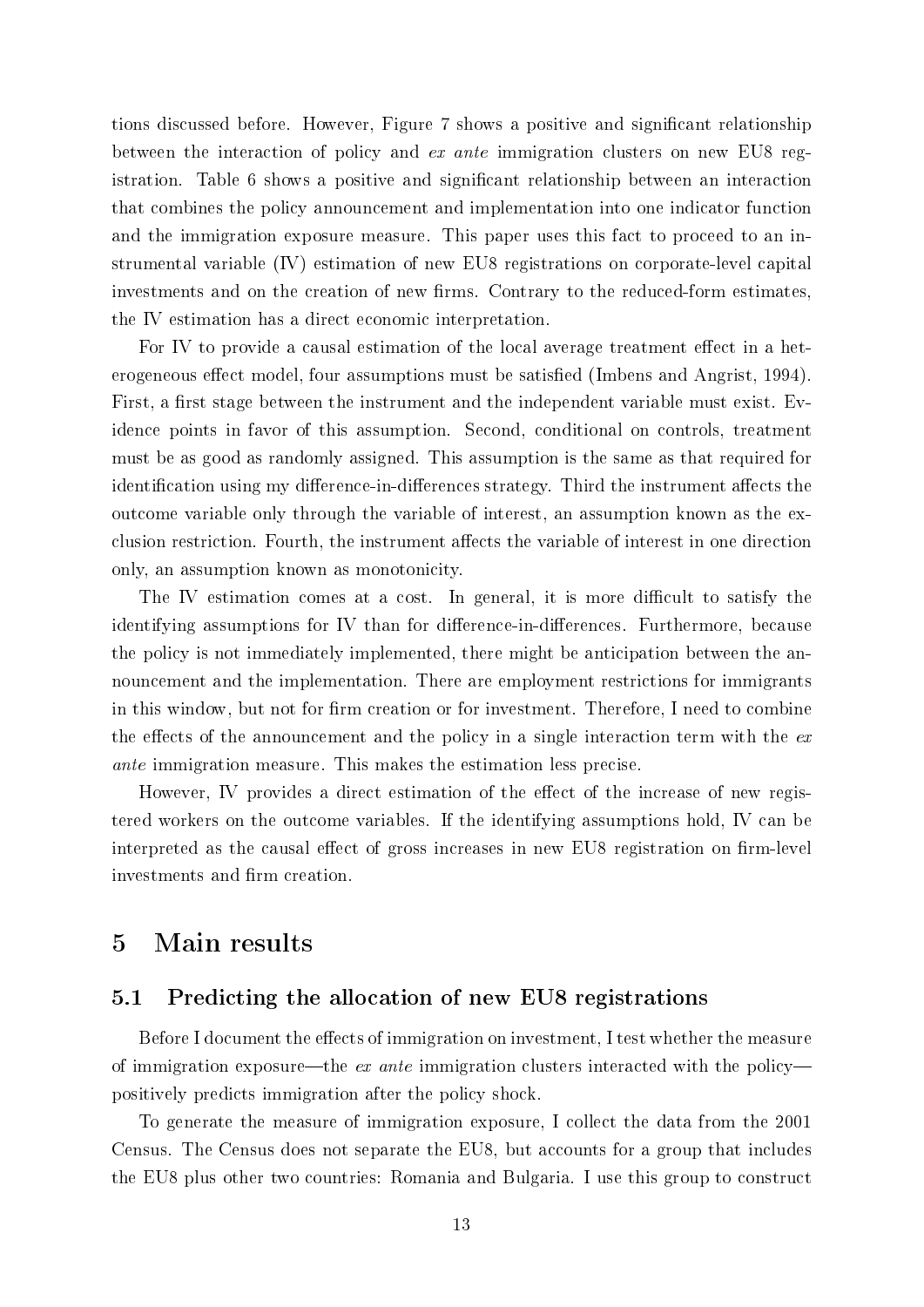tions discussed before. However, Figure 7 shows a positive and signicant relationship between the interaction of policy and ex ante immigration clusters on new EU8 registration. Table 6 shows a positive and significant relationship between an interaction that combines the policy announcement and implementation into one indicator function and the immigration exposure measure. This paper uses this fact to proceed to an instrumental variable (IV) estimation of new EU8 registrations on corporate-level capital investments and on the creation of new firms. Contrary to the reduced-form estimates, the IV estimation has a direct economic interpretation.

For IV to provide a causal estimation of the local average treatment effect in a heterogeneous effect model, four assumptions must be satisfied (Imbens and Angrist, 1994). First, a first stage between the instrument and the independent variable must exist. Evidence points in favor of this assumption. Second, conditional on controls, treatment must be as good as randomly assigned. This assumption is the same as that required for identification using my difference-in-differences strategy. Third the instrument affects the outcome variable only through the variable of interest, an assumption known as the exclusion restriction. Fourth, the instrument affects the variable of interest in one direction only, an assumption known as monotonicity.

The IV estimation comes at a cost. In general, it is more difficult to satisfy the identifying assumptions for IV than for difference-in-differences. Furthermore, because the policy is not immediately implemented, there might be anticipation between the announcement and the implementation. There are employment restrictions for immigrants in this window, but not for firm creation or for investment. Therefore, I need to combine the effects of the announcement and the policy in a single interaction term with the  $ex$ ante immigration measure. This makes the estimation less precise.

However, IV provides a direct estimation of the effect of the increase of new registered workers on the outcome variables. If the identifying assumptions hold, IV can be interpreted as the causal effect of gross increases in new EU8 registration on firm-level investments and firm creation.

## 5 Main results

## 5.1 Predicting the allocation of new EU8 registrations

Before I document the effects of immigration on investment, I test whether the measure of immigration exposure—the ex ante immigration clusters interacted with the policypositively predicts immigration after the policy shock.

To generate the measure of immigration exposure, I collect the data from the 2001 Census. The Census does not separate the EU8, but accounts for a group that includes the EU8 plus other two countries: Romania and Bulgaria. I use this group to construct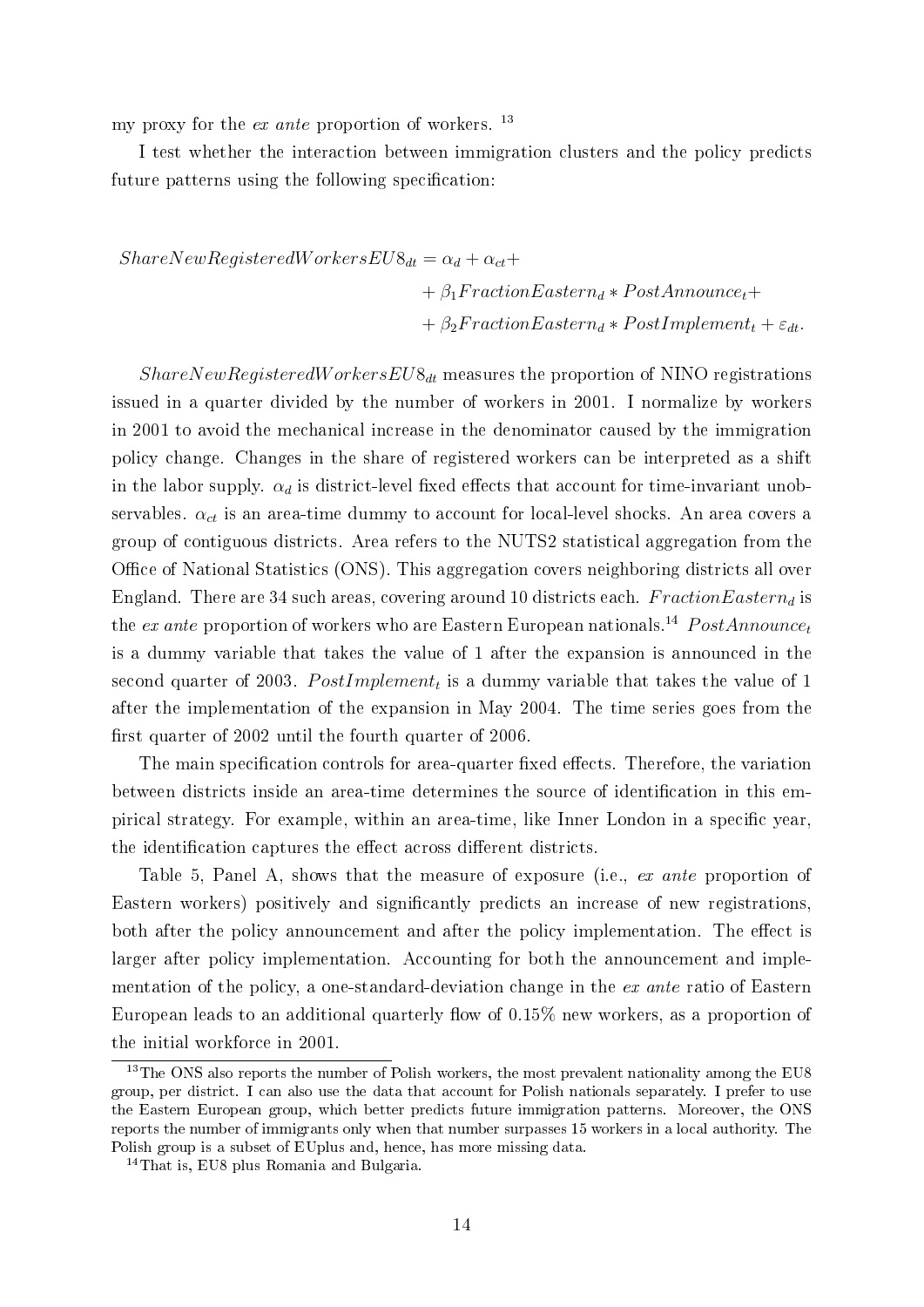my proxy for the *ex ante* proportion of workers.  $^{13}$ 

I test whether the interaction between immigration clusters and the policy predicts future patterns using the following specification:

 $ShareNew RegisteredWorksEUS_{dt} = \alpha_d + \alpha_{ct} +$  $+ \beta_1 FractionEastern_d * PostAnnounce_t+$  $+ \beta_2 FractionEastern_d* PostImplement_t + \varepsilon_{dt}.$ 

 $ShareNewRegisteredWorksEUS_{dt}$  measures the proportion of NINO registrations issued in a quarter divided by the number of workers in 2001. I normalize by workers in 2001 to avoid the mechanical increase in the denominator caused by the immigration policy change. Changes in the share of registered workers can be interpreted as a shift in the labor supply.  $\alpha_d$  is district-level fixed effects that account for time-invariant unobservables.  $\alpha_{ct}$  is an area-time dummy to account for local-level shocks. An area covers a group of contiguous districts. Area refers to the NUTS2 statistical aggregation from the Office of National Statistics (ONS). This aggregation covers neighboring districts all over England. There are 34 such areas, covering around 10 districts each.  $FractionEastern_d$  is the ex ante proportion of workers who are Eastern European nationals.<sup>14</sup> PostAnnounce<sub>t</sub> is a dummy variable that takes the value of 1 after the expansion is announced in the second quarter of 2003.  $PostImplement_t$  is a dummy variable that takes the value of 1 after the implementation of the expansion in May 2004. The time series goes from the first quarter of 2002 until the fourth quarter of 2006.

The main specification controls for area-quarter fixed effects. Therefore, the variation between districts inside an area-time determines the source of identification in this empirical strategy. For example, within an area-time, like Inner London in a specific year, the identification captures the effect across different districts.

Table 5, Panel A, shows that the measure of exposure (i.e., ex ante proportion of Eastern workers) positively and signicantly predicts an increase of new registrations, both after the policy announcement and after the policy implementation. The effect is larger after policy implementation. Accounting for both the announcement and implementation of the policy, a one-standard-deviation change in the ex ante ratio of Eastern European leads to an additional quarterly flow of  $0.15\%$  new workers, as a proportion of the initial workforce in 2001.

<sup>&</sup>lt;sup>13</sup>The ONS also reports the number of Polish workers, the most prevalent nationality among the EU8 group, per district. I can also use the data that account for Polish nationals separately. I prefer to use the Eastern European group, which better predicts future immigration patterns. Moreover, the ONS reports the number of immigrants only when that number surpasses 15 workers in a local authority. The Polish group is a subset of EUplus and, hence, has more missing data.

<sup>14</sup>That is, EU8 plus Romania and Bulgaria.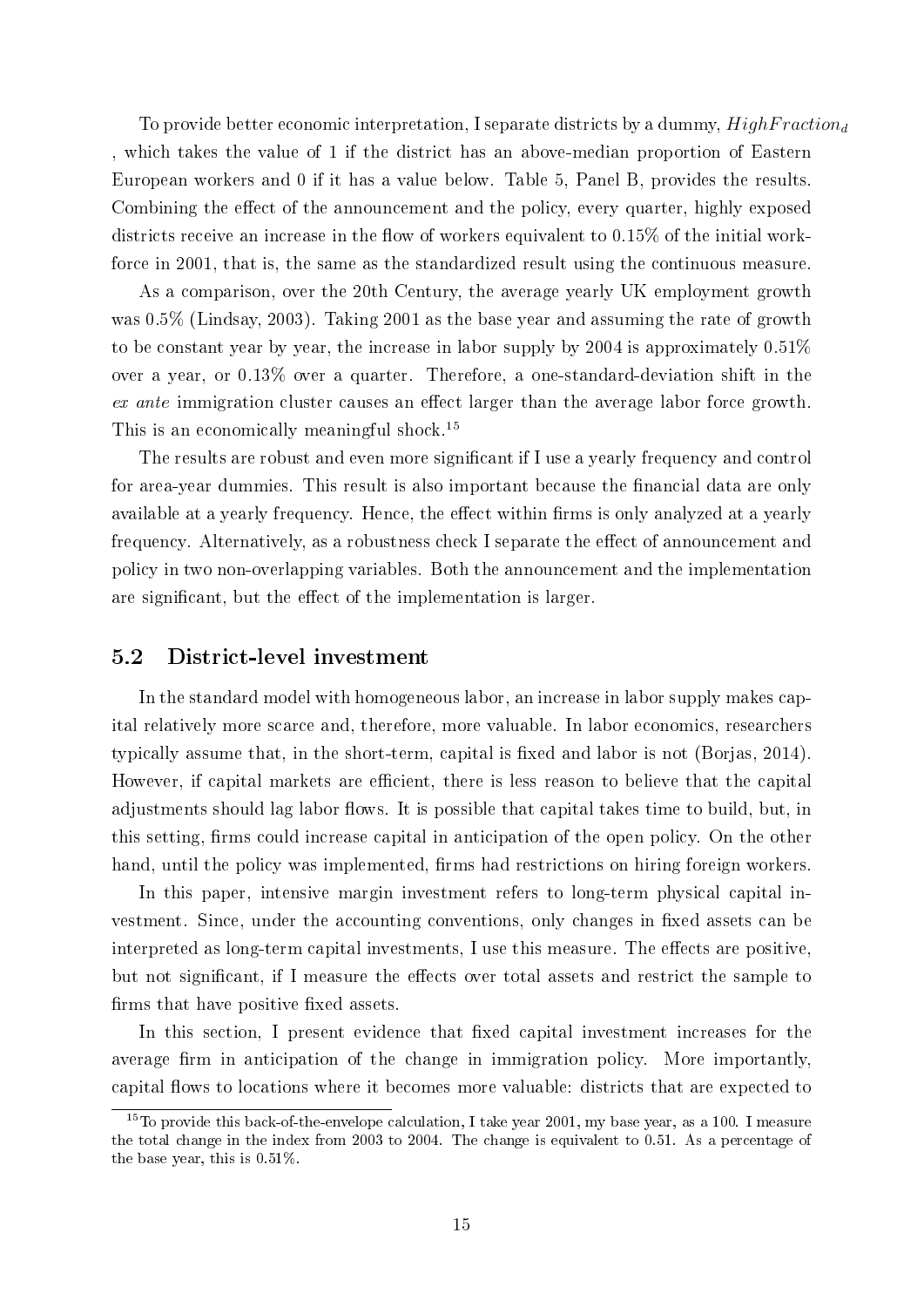To provide better economic interpretation, I separate districts by a dummy,  $HighFraction<sub>d</sub>$ , which takes the value of 1 if the district has an above-median proportion of Eastern European workers and 0 if it has a value below. Table 5, Panel B, provides the results. Combining the effect of the announcement and the policy, every quarter, highly exposed districts receive an increase in the flow of workers equivalent to  $0.15\%$  of the initial workforce in 2001, that is, the same as the standardized result using the continuous measure.

As a comparison, over the 20th Century, the average yearly UK employment growth was 0.5% (Lindsay, 2003). Taking 2001 as the base year and assuming the rate of growth to be constant year by year, the increase in labor supply by 2004 is approximately  $0.51\%$ over a year, or 0.13% over a quarter. Therefore, a one-standard-deviation shift in the  $ex$  ante immigration cluster causes an effect larger than the average labor force growth. This is an economically meaningful shock.<sup>15</sup>

The results are robust and even more significant if I use a yearly frequency and control for area-year dummies. This result is also important because the financial data are only available at a yearly frequency. Hence, the effect within firms is only analyzed at a yearly frequency. Alternatively, as a robustness check I separate the effect of announcement and policy in two non-overlapping variables. Both the announcement and the implementation are significant, but the effect of the implementation is larger.

## 5.2 District-level investment

In the standard model with homogeneous labor, an increase in labor supply makes capital relatively more scarce and, therefore, more valuable. In labor economics, researchers typically assume that, in the short-term, capital is fixed and labor is not (Borjas, 2014). However, if capital markets are efficient, there is less reason to believe that the capital adjustments should lag labor flows. It is possible that capital takes time to build, but, in this setting, firms could increase capital in anticipation of the open policy. On the other hand, until the policy was implemented, firms had restrictions on hiring foreign workers.

In this paper, intensive margin investment refers to long-term physical capital investment. Since, under the accounting conventions, only changes in fixed assets can be interpreted as long-term capital investments, I use this measure. The effects are positive, but not significant, if I measure the effects over total assets and restrict the sample to firms that have positive fixed assets.

In this section, I present evidence that fixed capital investment increases for the average firm in anticipation of the change in immigration policy. More importantly, capital flows to locations where it becomes more valuable: districts that are expected to

<sup>&</sup>lt;sup>15</sup>To provide this back-of-the-envelope calculation, I take year 2001, my base year, as a 100. I measure the total change in the index from 2003 to 2004. The change is equivalent to 0.51. As a percentage of the base year, this is 0.51%.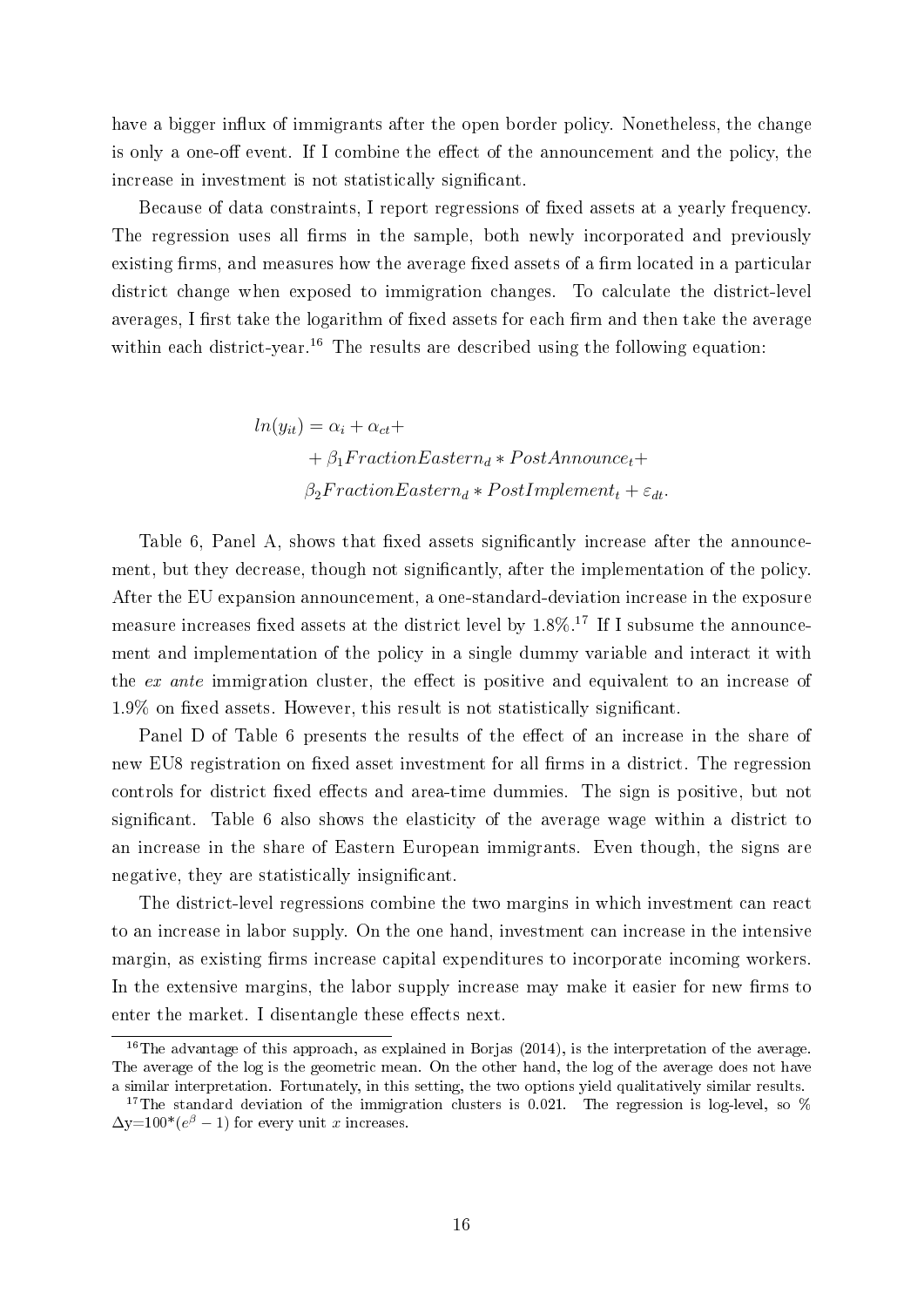have a bigger influx of immigrants after the open border policy. Nonetheless, the change is only a one-off event. If I combine the effect of the announcement and the policy, the increase in investment is not statistically significant.

Because of data constraints, I report regressions of fixed assets at a yearly frequency. The regression uses all firms in the sample, both newly incorporated and previously existing firms, and measures how the average fixed assets of a firm located in a particular district change when exposed to immigration changes. To calculate the district-level averages, I first take the logarithm of fixed assets for each firm and then take the average within each district-year.<sup>16</sup> The results are described using the following equation:

> $ln(y_{it}) = \alpha_i + \alpha_{ct} +$  $+ \beta_1 FractionEastern_d * PostAnnounce_t+$  $\beta_2 FractionEastern_d* PostImplementation$

Table 6, Panel A, shows that fixed assets significantly increase after the announcement, but they decrease, though not significantly, after the implementation of the policy. After the EU expansion announcement, a one-standard-deviation increase in the exposure measure increases fixed assets at the district level by  $1.8\%$ .<sup>17</sup> If I subsume the announcement and implementation of the policy in a single dummy variable and interact it with the ex ante immigration cluster, the effect is positive and equivalent to an increase of  $1.9\%$  on fixed assets. However, this result is not statistically significant.

Panel D of Table 6 presents the results of the effect of an increase in the share of new EU8 registration on fixed asset investment for all firms in a district. The regression controls for district fixed effects and area-time dummies. The sign is positive, but not signicant. Table 6 also shows the elasticity of the average wage within a district to an increase in the share of Eastern European immigrants. Even though, the signs are negative, they are statistically insignificant.

The district-level regressions combine the two margins in which investment can react to an increase in labor supply. On the one hand, investment can increase in the intensive margin, as existing firms increase capital expenditures to incorporate incoming workers. In the extensive margins, the labor supply increase may make it easier for new firms to enter the market. I disentangle these effects next.

<sup>&</sup>lt;sup>16</sup>The advantage of this approach, as explained in Borjas (2014), is the interpretation of the average. The average of the log is the geometric mean. On the other hand, the log of the average does not have a similar interpretation. Fortunately, in this setting, the two options yield qualitatively similar results.

<sup>&</sup>lt;sup>17</sup>The standard deviation of the immigration clusters is 0.021. The regression is log-level, so  $\%$  $\Delta y = 100^*(e^{\beta} - 1)$  for every unit x increases.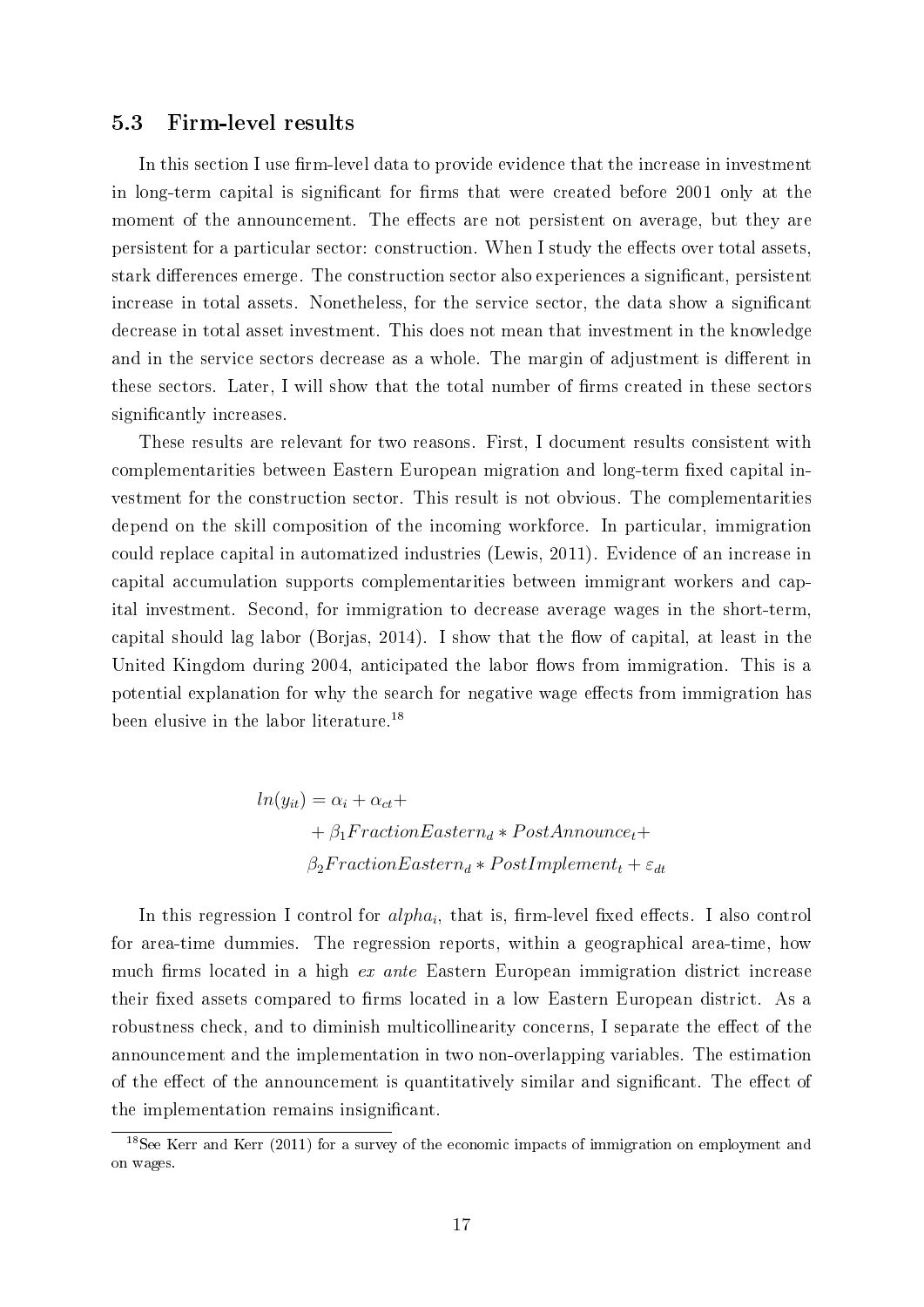## 5.3 Firm-level results

In this section I use firm-level data to provide evidence that the increase in investment in long-term capital is significant for firms that were created before 2001 only at the moment of the announcement. The effects are not persistent on average, but they are persistent for a particular sector: construction. When I study the effects over total assets, stark differences emerge. The construction sector also experiences a significant, persistent increase in total assets. Nonetheless, for the service sector, the data show a signicant decrease in total asset investment. This does not mean that investment in the knowledge and in the service sectors decrease as a whole. The margin of adjustment is different in these sectors. Later, I will show that the total number of firms created in these sectors significantly increases.

These results are relevant for two reasons. First, I document results consistent with complementarities between Eastern European migration and long-term fixed capital investment for the construction sector. This result is not obvious. The complementarities depend on the skill composition of the incoming workforce. In particular, immigration could replace capital in automatized industries (Lewis, 2011). Evidence of an increase in capital accumulation supports complementarities between immigrant workers and capital investment. Second, for immigration to decrease average wages in the short-term, capital should lag labor (Borjas,  $2014$ ). I show that the flow of capital, at least in the United Kingdom during 2004, anticipated the labor flows from immigration. This is a potential explanation for why the search for negative wage effects from immigration has been elusive in the labor literature.<sup>18</sup>

$$
ln(y_{it}) = \alpha_i + \alpha_{ct} +
$$
  
+  $\beta_1 FractionEastern_d * PostAnnounce_t +$   
 $\beta_2 Fraction Eastern_d * PostImplementationet_t + \varepsilon_{dt}$ 

In this regression I control for  $alpha_i$ , that is, firm-level fixed effects. I also control for area-time dummies. The regression reports, within a geographical area-time, how much firms located in a high ex ante Eastern European immigration district increase their fixed assets compared to firms located in a low Eastern European district. As a robustness check, and to diminish multicollinearity concerns, I separate the effect of the announcement and the implementation in two non-overlapping variables. The estimation of the effect of the announcement is quantitatively similar and significant. The effect of the implementation remains insignicant.

<sup>18</sup>See Kerr and Kerr (2011) for a survey of the economic impacts of immigration on employment and on wages.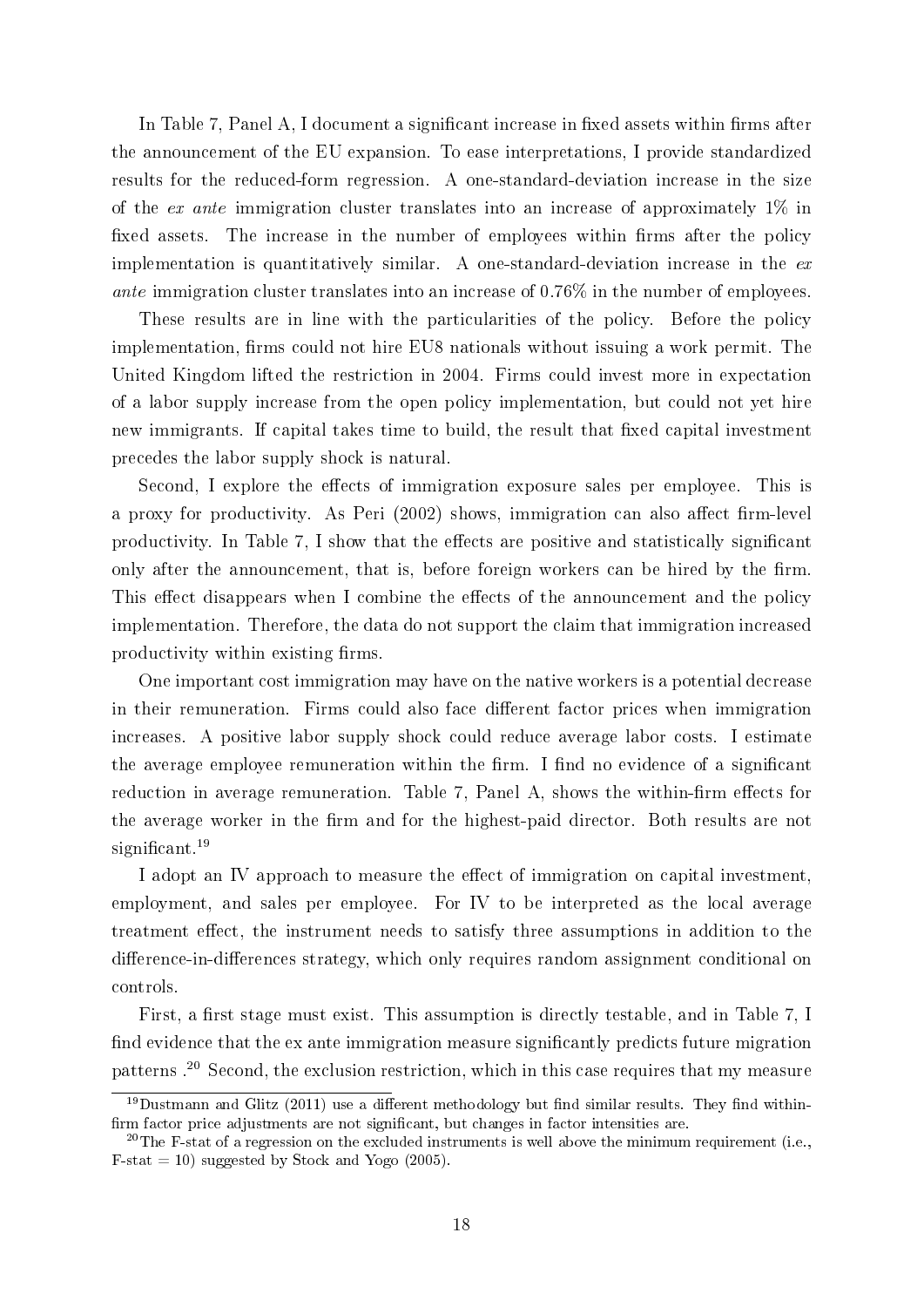In Table 7, Panel A, I document a significant increase in fixed assets within firms after the announcement of the EU expansion. To ease interpretations, I provide standardized results for the reduced-form regression. A one-standard-deviation increase in the size of the ex ante immigration cluster translates into an increase of approximately  $1\%$  in fixed assets. The increase in the number of employees within firms after the policy implementation is quantitatively similar. A one-standard-deviation increase in the  $ex$ ante immigration cluster translates into an increase of 0.76% in the number of employees.

These results are in line with the particularities of the policy. Before the policy implementation, firms could not hire EU8 nationals without issuing a work permit. The United Kingdom lifted the restriction in 2004. Firms could invest more in expectation of a labor supply increase from the open policy implementation, but could not yet hire new immigrants. If capital takes time to build, the result that fixed capital investment precedes the labor supply shock is natural.

Second, I explore the effects of immigration exposure sales per employee. This is a proxy for productivity. As Peri (2002) shows, immigration can also affect firm-level productivity. In Table 7, I show that the effects are positive and statistically significant only after the announcement, that is, before foreign workers can be hired by the firm. This effect disappears when I combine the effects of the announcement and the policy implementation. Therefore, the data do not support the claim that immigration increased productivity within existing firms.

One important cost immigration may have on the native workers is a potential decrease in their remuneration. Firms could also face different factor prices when immigration increases. A positive labor supply shock could reduce average labor costs. I estimate the average employee remuneration within the firm. I find no evidence of a significant reduction in average remuneration. Table 7, Panel A, shows the within-firm effects for the average worker in the firm and for the highest-paid director. Both results are not significant. $19$ 

I adopt an IV approach to measure the effect of immigration on capital investment, employment, and sales per employee. For IV to be interpreted as the local average treatment effect, the instrument needs to satisfy three assumptions in addition to the difference-in-differences strategy, which only requires random assignment conditional on controls.

First, a first stage must exist. This assumption is directly testable, and in Table 7, I find evidence that the ex ante immigration measure significantly predicts future migration patterns .<sup>20</sup> Second, the exclusion restriction, which in this case requires that my measure

 $19$ Dustmann and Glitz (2011) use a different methodology but find similar results. They find withinfirm factor price adjustments are not significant, but changes in factor intensities are.

<sup>&</sup>lt;sup>20</sup>The F-stat of a regression on the excluded instruments is well above the minimum requirement (i.e.,  $F-stat = 10$ ) suggested by Stock and Yogo (2005).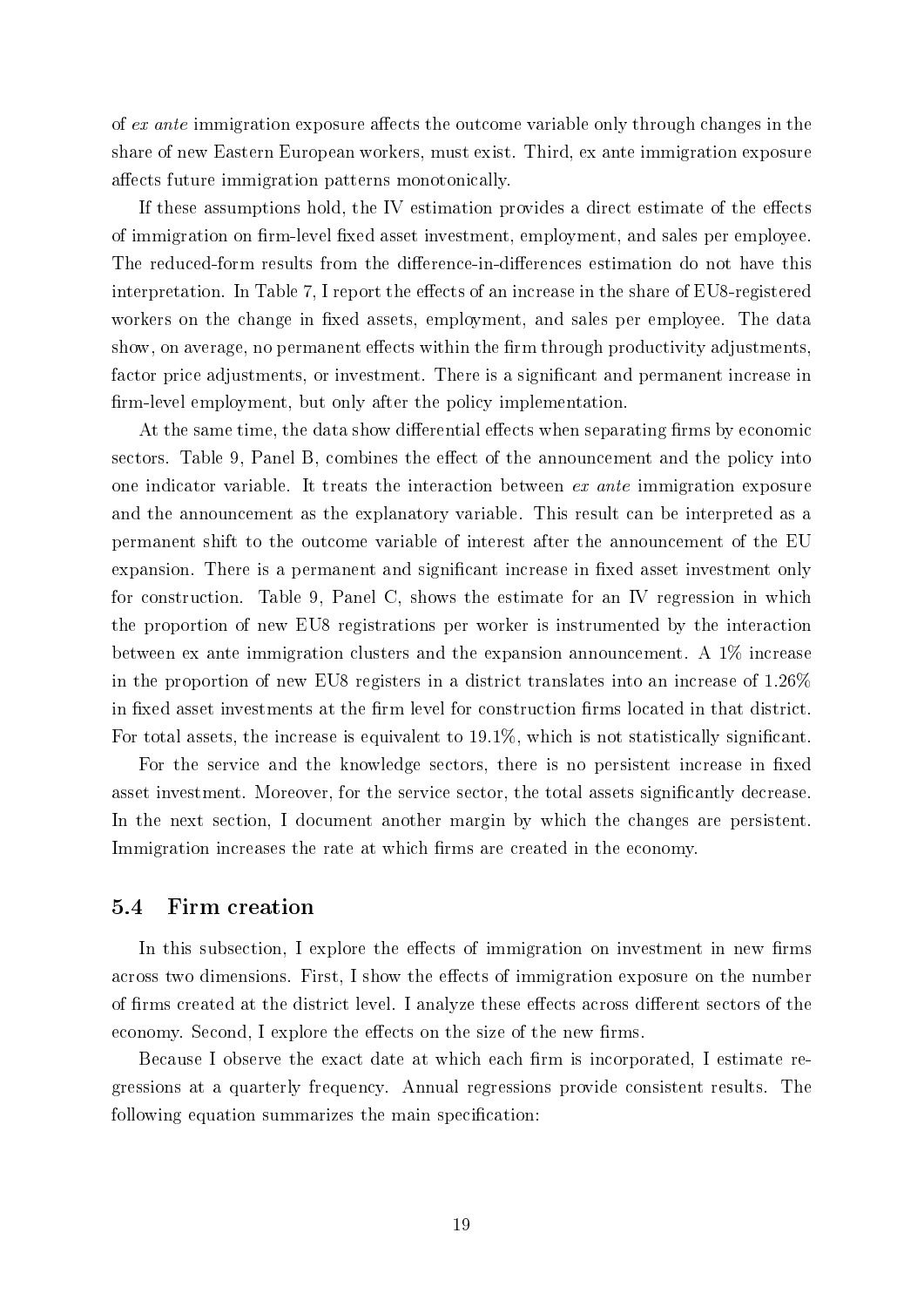of  $ex$  ante immigration exposure affects the outcome variable only through changes in the share of new Eastern European workers, must exist. Third, ex ante immigration exposure affects future immigration patterns monotonically.

If these assumptions hold, the IV estimation provides a direct estimate of the effects of immigration on firm-level fixed asset investment, employment, and sales per employee. The reduced-form results from the difference-in-differences estimation do not have this interpretation. In Table 7, I report the effects of an increase in the share of  $EUS$ -registered workers on the change in fixed assets, employment, and sales per employee. The data show, on average, no permanent effects within the firm through productivity adjustments. factor price adjustments, or investment. There is a significant and permanent increase in firm-level employment, but only after the policy implementation.

At the same time, the data show differential effects when separating firms by economic sectors. Table 9, Panel B, combines the effect of the announcement and the policy into one indicator variable. It treats the interaction between ex ante immigration exposure and the announcement as the explanatory variable. This result can be interpreted as a permanent shift to the outcome variable of interest after the announcement of the EU expansion. There is a permanent and significant increase in fixed asset investment only for construction. Table 9, Panel C, shows the estimate for an IV regression in which the proportion of new EU8 registrations per worker is instrumented by the interaction between ex ante immigration clusters and the expansion announcement. A 1% increase in the proportion of new EU8 registers in a district translates into an increase of 1.26% in fixed asset investments at the firm level for construction firms located in that district. For total assets, the increase is equivalent to 19.1%, which is not statistically significant.

For the service and the knowledge sectors, there is no persistent increase in fixed asset investment. Moreover, for the service sector, the total assets significantly decrease. In the next section, I document another margin by which the changes are persistent. Immigration increases the rate at which firms are created in the economy.

## 5.4 Firm creation

In this subsection, I explore the effects of immigration on investment in new firms across two dimensions. First, I show the effects of immigration exposure on the number of firms created at the district level. I analyze these effects across different sectors of the economy. Second, I explore the effects on the size of the new firms.

Because I observe the exact date at which each firm is incorporated, I estimate regressions at a quarterly frequency. Annual regressions provide consistent results. The following equation summarizes the main specification: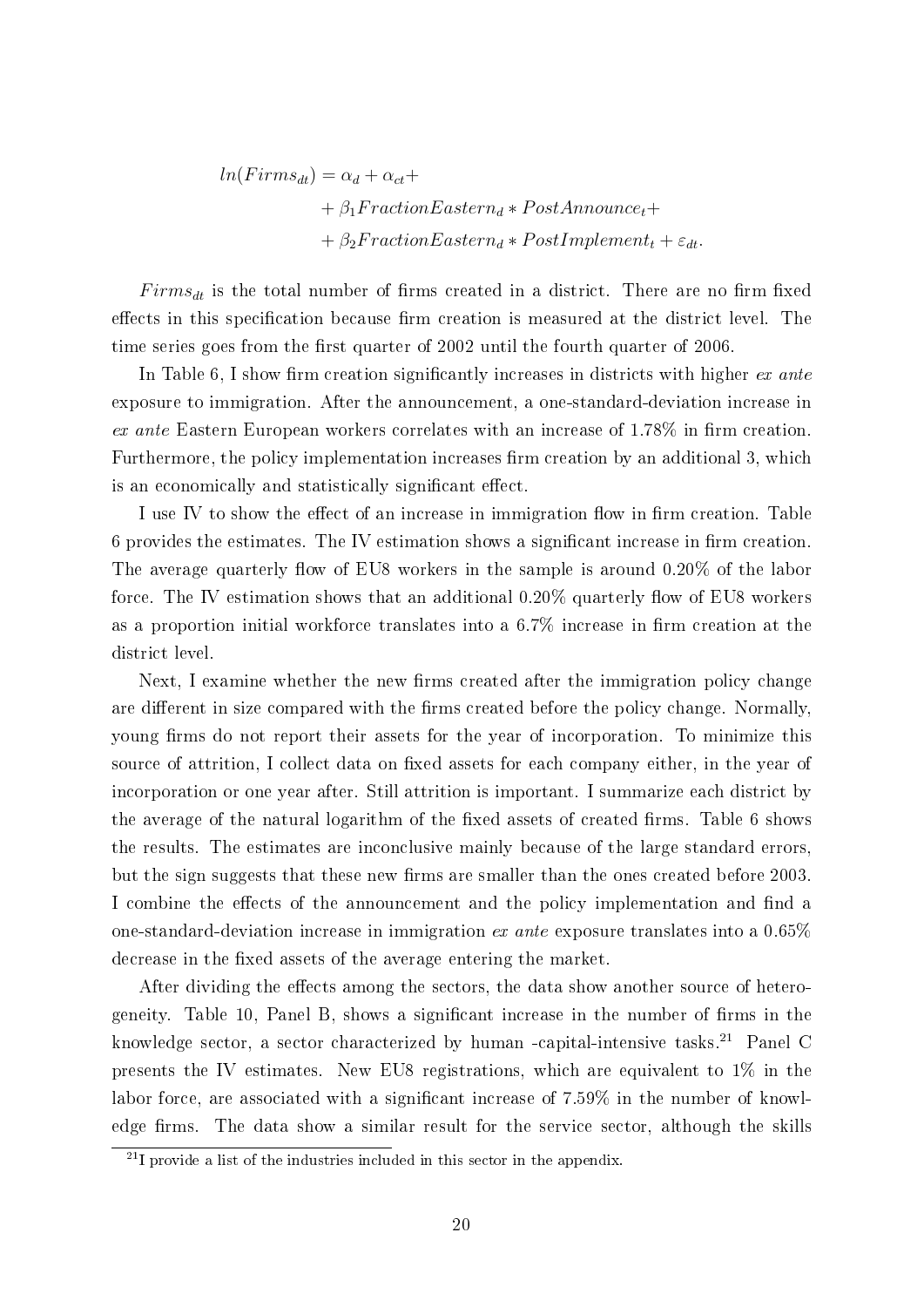$ln(Firms_{dt}) = \alpha_d + \alpha_{ct} +$  $+ \beta_1 FractionEastern_d * PostAnnounce_t+$ +  $\beta_2 FractionEastern_d * PostImplementation$ 

 $Firms_{dt}$  is the total number of firms created in a district. There are no firm fixed effects in this specification because firm creation is measured at the district level. The time series goes from the first quarter of 2002 until the fourth quarter of 2006.

In Table 6, I show firm creation significantly increases in districts with higher  $ex$  ante exposure to immigration. After the announcement, a one-standard-deviation increase in ex ante Eastern European workers correlates with an increase of  $1.78\%$  in firm creation. Furthermore, the policy implementation increases firm creation by an additional 3, which is an economically and statistically significant effect.

I use IV to show the effect of an increase in immigration flow in firm creation. Table 6 provides the estimates. The IV estimation shows a significant increase in firm creation. The average quarterly flow of EU8 workers in the sample is around  $0.20\%$  of the labor force. The IV estimation shows that an additional  $0.20\%$  quarterly flow of EU8 workers as a proportion initial workforce translates into a  $6.7\%$  increase in firm creation at the district level.

Next, I examine whether the new firms created after the immigration policy change are different in size compared with the firms created before the policy change. Normally, young firms do not report their assets for the year of incorporation. To minimize this source of attrition, I collect data on fixed assets for each company either, in the year of incorporation or one year after. Still attrition is important. I summarize each district by the average of the natural logarithm of the fixed assets of created firms. Table 6 shows the results. The estimates are inconclusive mainly because of the large standard errors, but the sign suggests that these new firms are smaller than the ones created before 2003. I combine the effects of the announcement and the policy implementation and find a one-standard-deviation increase in immigration ex ante exposure translates into a  $0.65\%$ decrease in the fixed assets of the average entering the market.

After dividing the effects among the sectors, the data show another source of heterogeneity. Table 10, Panel B, shows a significant increase in the number of firms in the knowledge sector, a sector characterized by human -capital-intensive tasks.<sup>21</sup> Panel C presents the IV estimates. New EU8 registrations, which are equivalent to 1% in the labor force, are associated with a significant increase of 7.59% in the number of knowledge firms. The data show a similar result for the service sector, although the skills

 $^{21}$ I provide a list of the industries included in this sector in the appendix.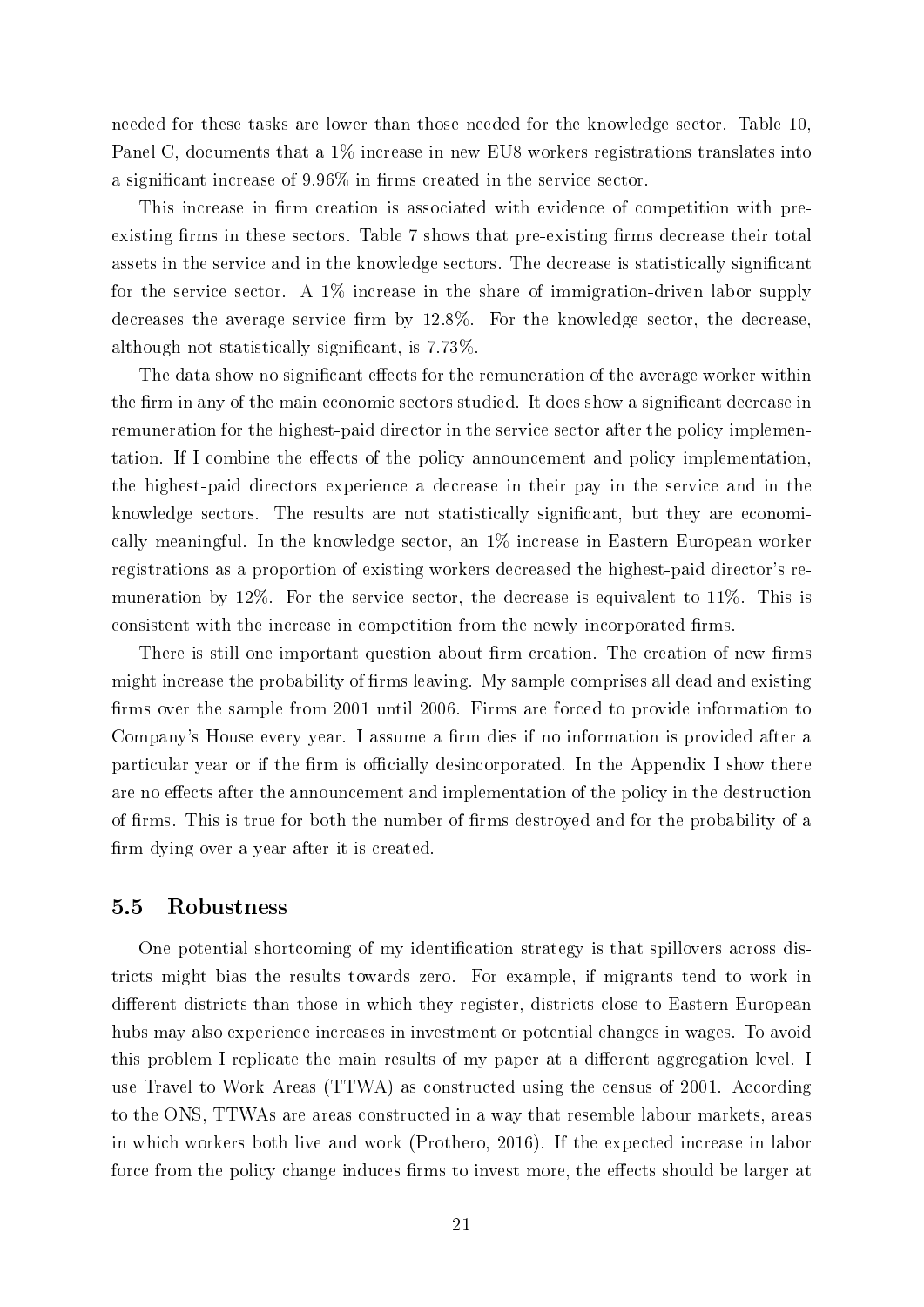needed for these tasks are lower than those needed for the knowledge sector. Table 10, Panel C, documents that a 1% increase in new EU8 workers registrations translates into a significant increase of  $9.96\%$  in firms created in the service sector.

This increase in firm creation is associated with evidence of competition with preexisting firms in these sectors. Table 7 shows that pre-existing firms decrease their total assets in the service and in the knowledge sectors. The decrease is statistically signicant for the service sector. A 1% increase in the share of immigration-driven labor supply decreases the average service firm by  $12.8\%$ . For the knowledge sector, the decrease, although not statistically signicant, is 7.73%.

The data show no significant effects for the remuneration of the average worker within the firm in any of the main economic sectors studied. It does show a significant decrease in remuneration for the highest-paid director in the service sector after the policy implementation. If I combine the effects of the policy announcement and policy implementation, the highest-paid directors experience a decrease in their pay in the service and in the knowledge sectors. The results are not statistically signicant, but they are economically meaningful. In the knowledge sector, an 1% increase in Eastern European worker registrations as a proportion of existing workers decreased the highest-paid director's remuneration by 12%. For the service sector, the decrease is equivalent to 11%. This is consistent with the increase in competition from the newly incorporated firms.

There is still one important question about firm creation. The creation of new firms might increase the probability of firms leaving. My sample comprises all dead and existing firms over the sample from 2001 until 2006. Firms are forced to provide information to Company's House every year. I assume a firm dies if no information is provided after a particular year or if the firm is officially desincorporated. In the Appendix I show there are no effects after the announcement and implementation of the policy in the destruction of firms. This is true for both the number of firms destroyed and for the probability of a firm dying over a year after it is created.

## 5.5 Robustness

One potential shortcoming of my identification strategy is that spillovers across districts might bias the results towards zero. For example, if migrants tend to work in different districts than those in which they register, districts close to Eastern European hubs may also experience increases in investment or potential changes in wages. To avoid this problem I replicate the main results of my paper at a different aggregation level. I use Travel to Work Areas (TTWA) as constructed using the census of 2001. According to the ONS, TTWAs are areas constructed in a way that resemble labour markets, areas in which workers both live and work (Prothero, 2016). If the expected increase in labor force from the policy change induces firms to invest more, the effects should be larger at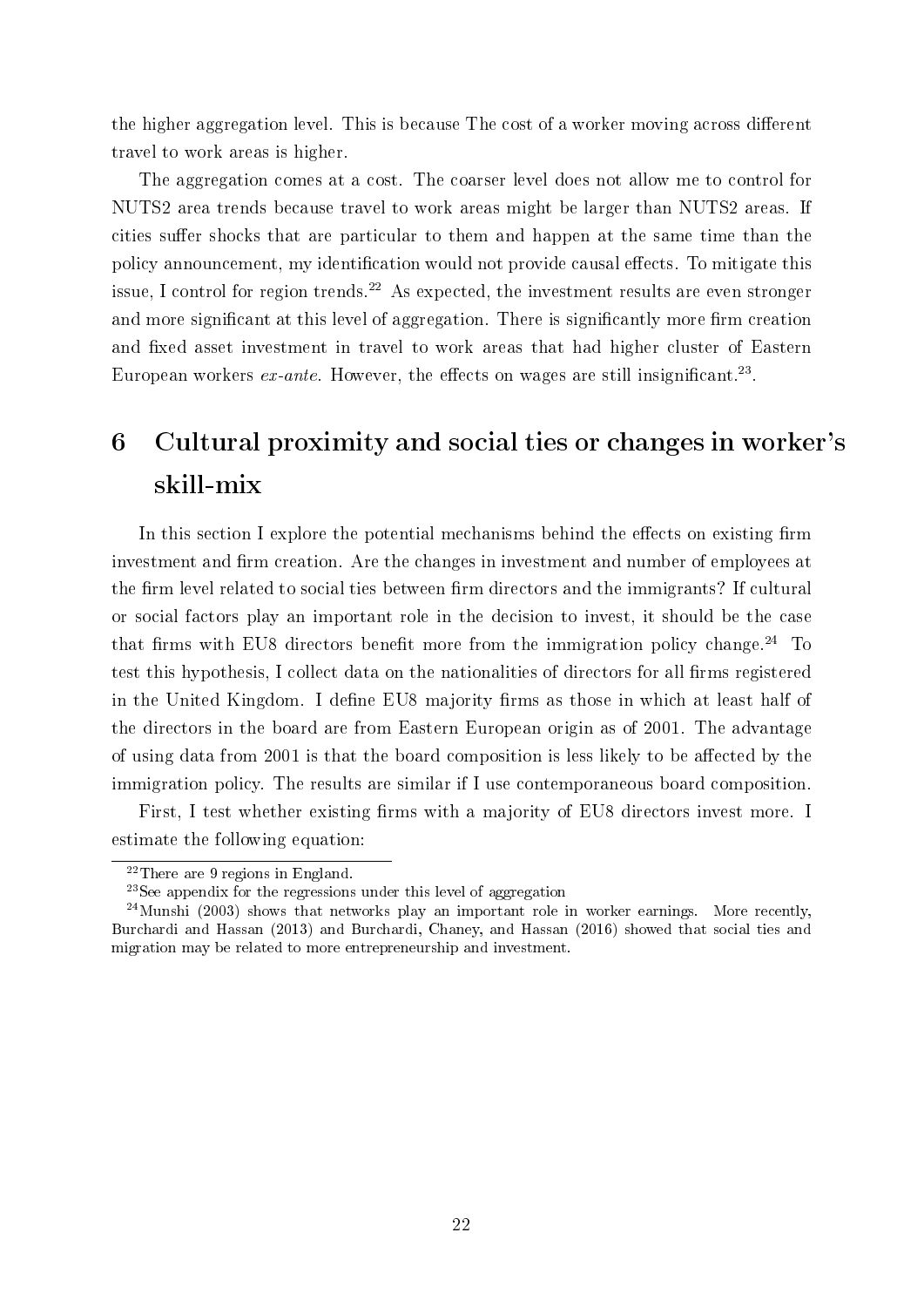the higher aggregation level. This is because The cost of a worker moving across different travel to work areas is higher.

The aggregation comes at a cost. The coarser level does not allow me to control for NUTS2 area trends because travel to work areas might be larger than NUTS2 areas. If cities suffer shocks that are particular to them and happen at the same time than the policy announcement, my identification would not provide causal effects. To mitigate this issue, I control for region trends.<sup>22</sup> As expected, the investment results are even stronger and more significant at this level of aggregation. There is significantly more firm creation and fixed asset investment in travel to work areas that had higher cluster of Eastern European workers  $ex$ -ante. However, the effects on wages are still insignificant.<sup>23</sup>.

# 6 Cultural proximity and social ties or changes in worker's skill-mix

In this section I explore the potential mechanisms behind the effects on existing firm investment and firm creation. Are the changes in investment and number of employees at the firm level related to social ties between firm directors and the immigrants? If cultural or social factors play an important role in the decision to invest, it should be the case that firms with EU8 directors benefit more from the immigration policy change.<sup>24</sup> To test this hypothesis, I collect data on the nationalities of directors for all firms registered in the United Kingdom. I define EU8 majority firms as those in which at least half of the directors in the board are from Eastern European origin as of 2001. The advantage of using data from 2001 is that the board composition is less likely to be affected by the immigration policy. The results are similar if I use contemporaneous board composition.

First, I test whether existing firms with a majority of EU8 directors invest more. I estimate the following equation:

<sup>22</sup>There are 9 regions in England.

<sup>23</sup>See appendix for the regressions under this level of aggregation

 $^{24}$ Munshi (2003) shows that networks play an important role in worker earnings. More recently, Burchardi and Hassan (2013) and Burchardi, Chaney, and Hassan (2016) showed that social ties and migration may be related to more entrepreneurship and investment.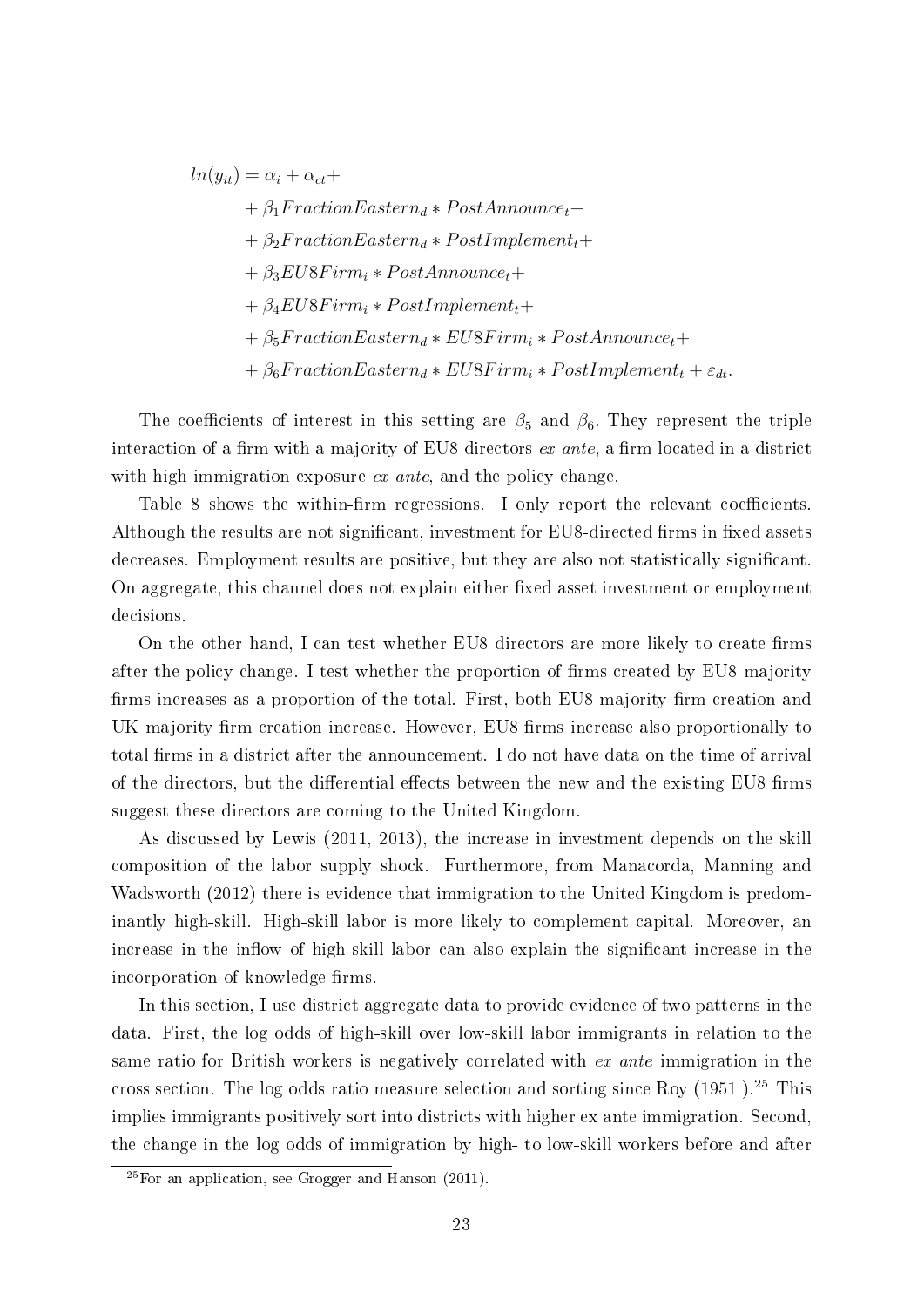$ln(y_{it}) = \alpha_i + \alpha_{ct} +$ 

 $+ \beta_1 FractionEastern_d * PostAnnounce_t+$ +  $\beta_2 FractionEastern_d * PostImplement_t+$  $+ \beta_3 EU8Firm_i * PostAnnounce_t+$  $+ \beta_4 EU8Firm_i * PostImplementationent_t+$  $+ \beta_5 FractionEastern_d * EUSFirm_i * PostAnnounce_t+$ +  $\beta_6$ FractionEastern<sub>d</sub> \* EU8Firm<sub>i</sub> \* PostImplement<sub>t</sub> +  $\varepsilon_{dt}$ .

The coefficients of interest in this setting are  $\beta_5$  and  $\beta_6$ . They represent the triple interaction of a firm with a majority of EU8 directors  $ex$  ante, a firm located in a district with high immigration exposure ex ante, and the policy change.

Table 8 shows the within-firm regressions. I only report the relevant coefficients. Although the results are not significant, investment for EU8-directed firms in fixed assets decreases. Employment results are positive, but they are also not statistically significant. On aggregate, this channel does not explain either fixed asset investment or employment decisions.

On the other hand, I can test whether EU8 directors are more likely to create firms after the policy change. I test whether the proportion of firms created by EU8 majority firms increases as a proportion of the total. First, both EU8 majority firm creation and UK majority firm creation increase. However, EU8 firms increase also proportionally to total firms in a district after the announcement. I do not have data on the time of arrival of the directors, but the differential effects between the new and the existing EU8 firms suggest these directors are coming to the United Kingdom.

As discussed by Lewis (2011, 2013), the increase in investment depends on the skill composition of the labor supply shock. Furthermore, from Manacorda, Manning and Wadsworth (2012) there is evidence that immigration to the United Kingdom is predominantly high-skill. High-skill labor is more likely to complement capital. Moreover, an increase in the inflow of high-skill labor can also explain the significant increase in the incorporation of knowledge firms.

In this section, I use district aggregate data to provide evidence of two patterns in the data. First, the log odds of high-skill over low-skill labor immigrants in relation to the same ratio for British workers is negatively correlated with ex ante immigration in the cross section. The log odds ratio measure selection and sorting since Roy (1951 ).<sup>25</sup> This implies immigrants positively sort into districts with higher ex ante immigration. Second, the change in the log odds of immigration by high- to low-skill workers before and after

 $25$  For an application, see Grogger and Hanson (2011).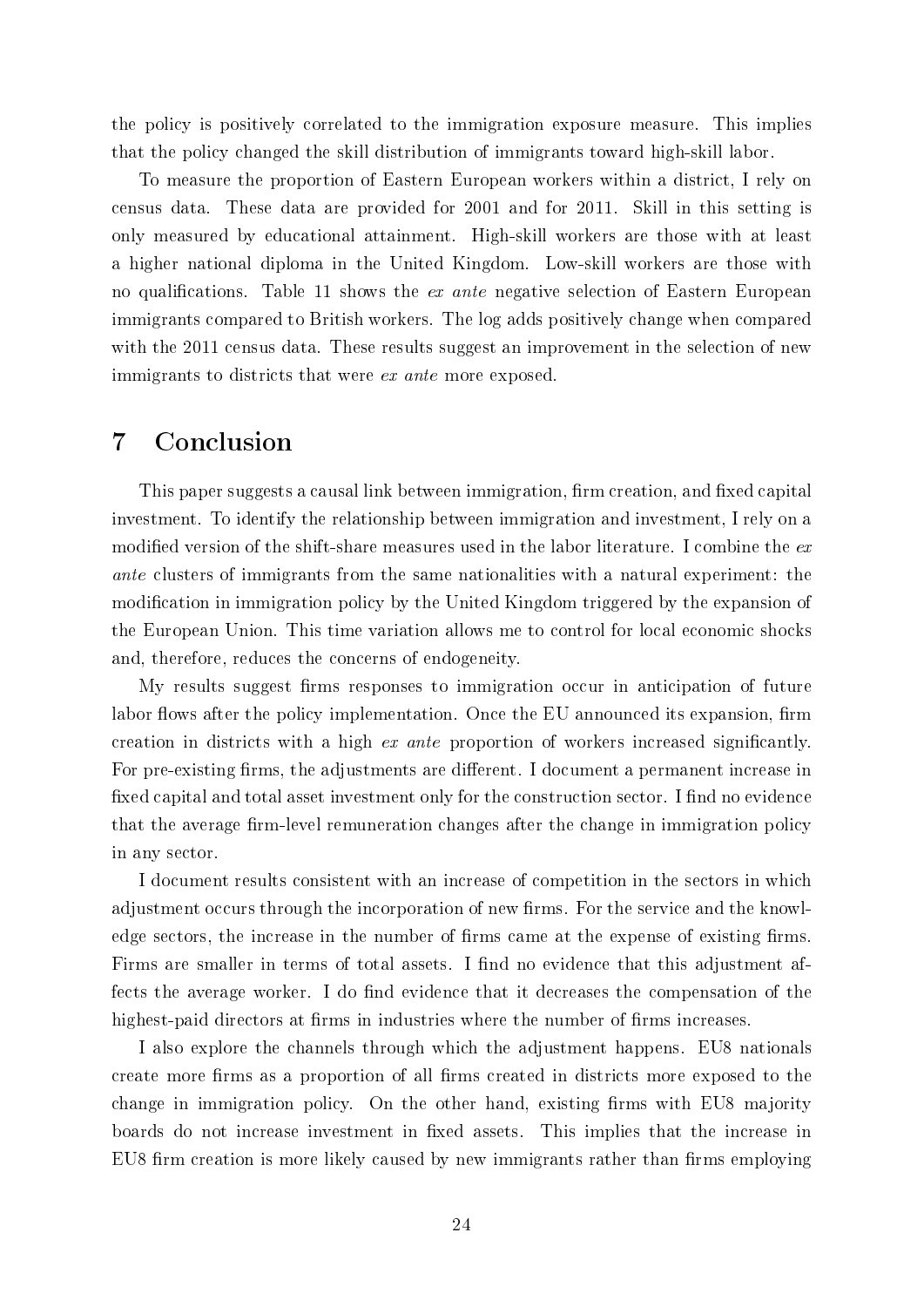the policy is positively correlated to the immigration exposure measure. This implies that the policy changed the skill distribution of immigrants toward high-skill labor.

To measure the proportion of Eastern European workers within a district, I rely on census data. These data are provided for 2001 and for 2011. Skill in this setting is only measured by educational attainment. High-skill workers are those with at least a higher national diploma in the United Kingdom. Low-skill workers are those with no qualifications. Table 11 shows the *ex ante* negative selection of Eastern European immigrants compared to British workers. The log adds positively change when compared with the 2011 census data. These results suggest an improvement in the selection of new immigrants to districts that were *ex ante* more exposed.

## 7 Conclusion

This paper suggests a causal link between immigration, firm creation, and fixed capital investment. To identify the relationship between immigration and investment, I rely on a modified version of the shift-share measures used in the labor literature. I combine the  $ex$ ante clusters of immigrants from the same nationalities with a natural experiment: the modification in immigration policy by the United Kingdom triggered by the expansion of the European Union. This time variation allows me to control for local economic shocks and, therefore, reduces the concerns of endogeneity.

My results suggest firms responses to immigration occur in anticipation of future labor flows after the policy implementation. Once the EU announced its expansion, firm creation in districts with a high ex ante proportion of workers increased signicantly. For pre-existing firms, the adjustments are different. I document a permanent increase in fixed capital and total asset investment only for the construction sector. I find no evidence that the average firm-level remuneration changes after the change in immigration policy in any sector.

I document results consistent with an increase of competition in the sectors in which adjustment occurs through the incorporation of new firms. For the service and the knowledge sectors, the increase in the number of firms came at the expense of existing firms. Firms are smaller in terms of total assets. I find no evidence that this adjustment affects the average worker. I do find evidence that it decreases the compensation of the highest-paid directors at firms in industries where the number of firms increases.

I also explore the channels through which the adjustment happens. EU8 nationals create more firms as a proportion of all firms created in districts more exposed to the change in immigration policy. On the other hand, existing firms with EU8 majority boards do not increase investment in xed assets. This implies that the increase in EU8 firm creation is more likely caused by new immigrants rather than firms employing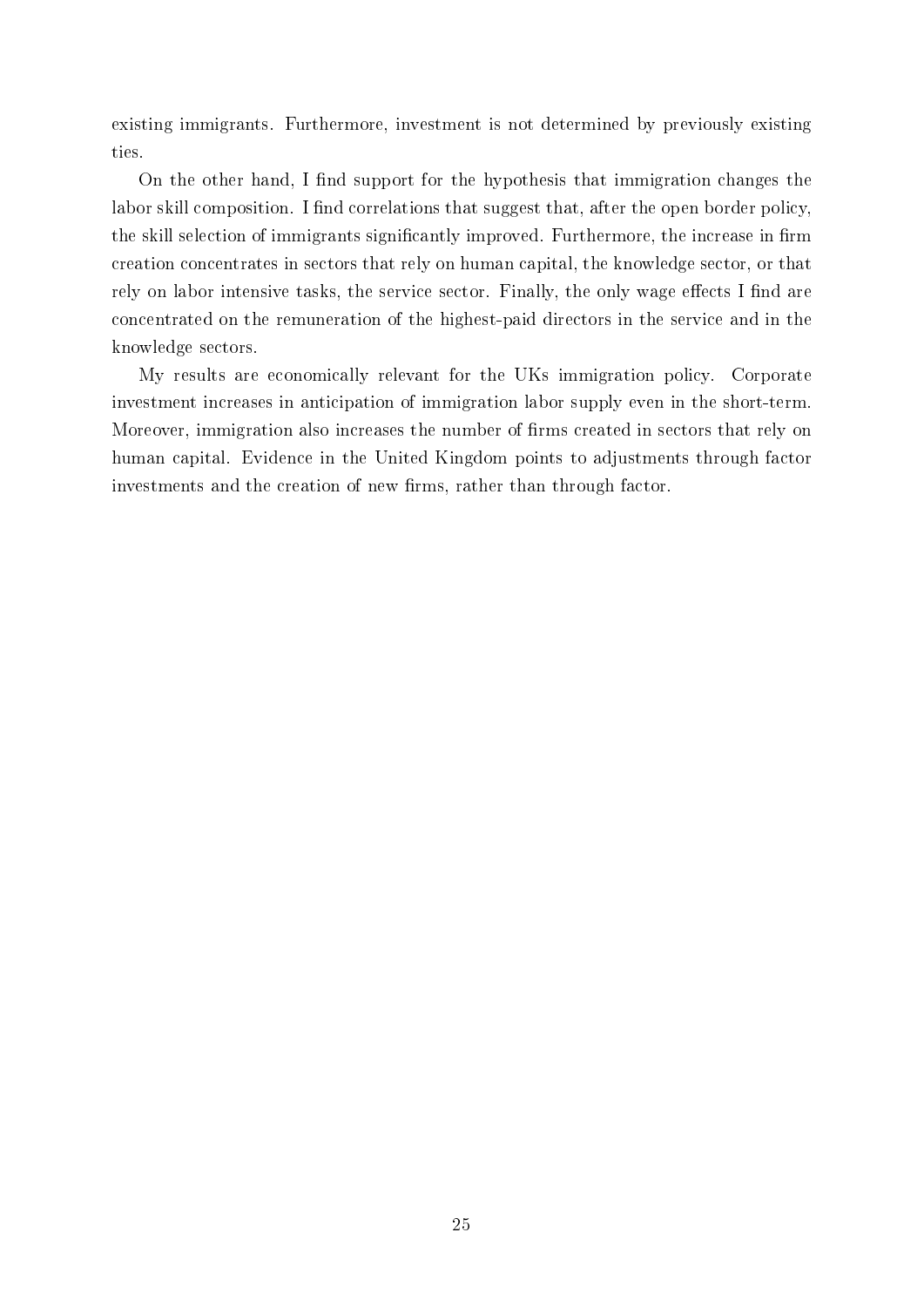existing immigrants. Furthermore, investment is not determined by previously existing ties.

On the other hand, I find support for the hypothesis that immigration changes the labor skill composition. I find correlations that suggest that, after the open border policy, the skill selection of immigrants significantly improved. Furthermore, the increase in firm creation concentrates in sectors that rely on human capital, the knowledge sector, or that rely on labor intensive tasks, the service sector. Finally, the only wage effects I find are concentrated on the remuneration of the highest-paid directors in the service and in the knowledge sectors.

My results are economically relevant for the UKs immigration policy. Corporate investment increases in anticipation of immigration labor supply even in the short-term. Moreover, immigration also increases the number of firms created in sectors that rely on human capital. Evidence in the United Kingdom points to adjustments through factor investments and the creation of new firms, rather than through factor.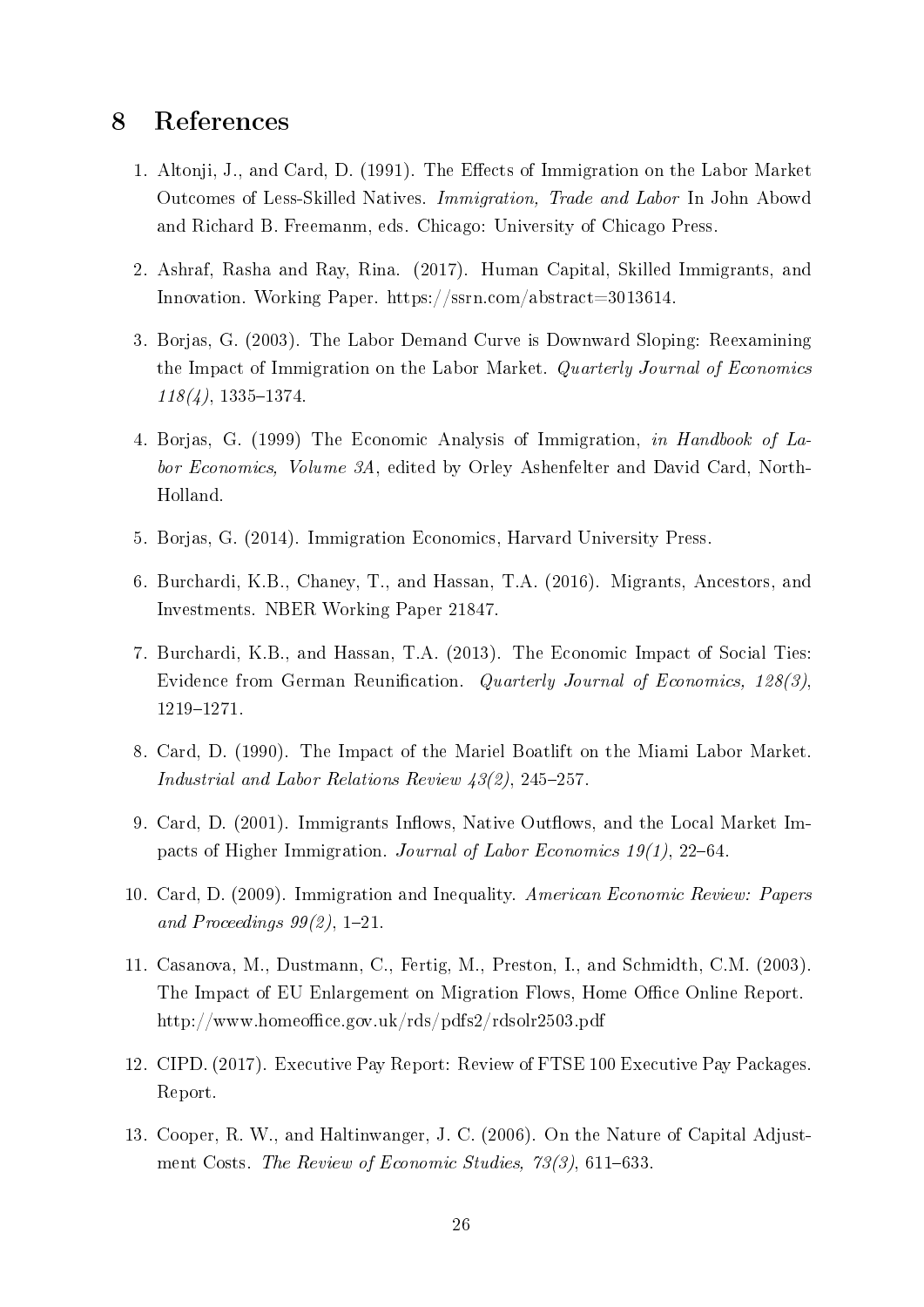# 8 References

- 1. Altonji, J., and Card, D. (1991). The Effects of Immigration on the Labor Market Outcomes of Less-Skilled Natives. Immigration, Trade and Labor In John Abowd and Richard B. Freemanm, eds. Chicago: University of Chicago Press.
- 2. Ashraf, Rasha and Ray, Rina. (2017). Human Capital, Skilled Immigrants, and Innovation. Working Paper. https://ssrn.com/abstract=3013614.
- 3. Borjas, G. (2003). The Labor Demand Curve is Downward Sloping: Reexamining the Impact of Immigration on the Labor Market. Quarterly Journal of Economics  $118(4)$ , 1335–1374.
- 4. Borjas, G. (1999) The Economic Analysis of Immigration, in Handbook of Labor Economics, Volume 3A, edited by Orley Ashenfelter and David Card, North-Holland.
- 5. Borjas, G. (2014). Immigration Economics, Harvard University Press.
- 6. Burchardi, K.B., Chaney, T., and Hassan, T.A. (2016). Migrants, Ancestors, and Investments. NBER Working Paper 21847.
- 7. Burchardi, K.B., and Hassan, T.A. (2013). The Economic Impact of Social Ties: Evidence from German Reunification. Quarterly Journal of Economics, 128(3), 1219-1271.
- 8. Card, D. (1990). The Impact of the Mariel Boatlift on the Miami Labor Market. Industrial and Labor Relations Review  $\frac{43}{2}$ , 245-257.
- 9. Card, D. (2001). Immigrants Inflows, Native Outflows, and the Local Market Impacts of Higher Immigration. Journal of Labor Economics  $19(1)$ , 22–64.
- 10. Card, D. (2009). Immigration and Inequality. American Economic Review: Papers and Proceedings  $99(2)$ , 1-21.
- 11. Casanova, M., Dustmann, C., Fertig, M., Preston, I., and Schmidth, C.M. (2003). The Impact of EU Enlargement on Migration Flows, Home Office Online Report. http://www.homeoffice.gov.uk/rds/pdfs2/rdsolr2503.pdf
- 12. CIPD. (2017). Executive Pay Report: Review of FTSE 100 Executive Pay Packages. Report.
- 13. Cooper, R. W., and Haltinwanger, J. C. (2006). On the Nature of Capital Adjustment Costs. The Review of Economic Studies,  $73(3)$ , 611-633.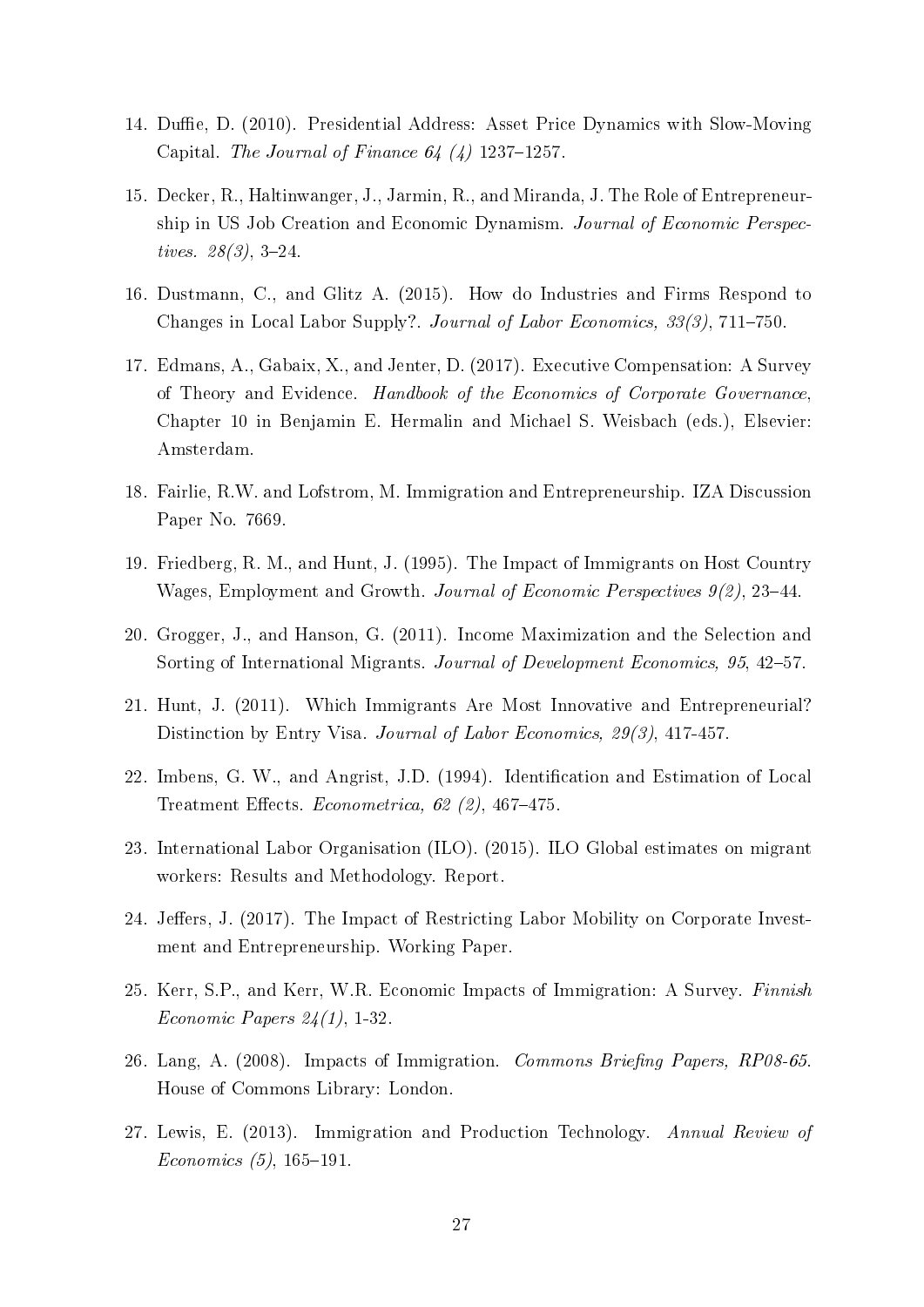- 14. Duffie, D. (2010). Presidential Address: Asset Price Dynamics with Slow-Moving Capital. The Journal of Finance  $64 \ (4)$  1237–1257.
- 15. Decker, R., Haltinwanger, J., Jarmin, R., and Miranda, J. The Role of Entrepreneurship in US Job Creation and Economic Dynamism. Journal of Economic Perspectives.  $28(3)$ , 3-24.
- 16. Dustmann, C., and Glitz A. (2015). How do Industries and Firms Respond to Changes in Local Labor Supply?. Journal of Labor Economics, 33(3), 711–750.
- 17. Edmans, A., Gabaix, X., and Jenter, D. (2017). Executive Compensation: A Survey of Theory and Evidence. Handbook of the Economics of Corporate Governance, Chapter 10 in Benjamin E. Hermalin and Michael S. Weisbach (eds.), Elsevier: Amsterdam.
- 18. Fairlie, R.W. and Lofstrom, M. Immigration and Entrepreneurship. IZA Discussion Paper No. 7669.
- 19. Friedberg, R. M., and Hunt, J. (1995). The Impact of Immigrants on Host Country Wages, Employment and Growth. Journal of Economic Perspectives  $9(2)$ , 23–44.
- 20. Grogger, J., and Hanson, G. (2011). Income Maximization and the Selection and Sorting of International Migrants. Journal of Development Economics, 95, 42–57.
- 21. Hunt, J. (2011). Which Immigrants Are Most Innovative and Entrepreneurial? Distinction by Entry Visa. Journal of Labor Economics, 29(3), 417-457.
- 22. Imbens, G. W., and Angrist, J.D. (1994). Identification and Estimation of Local Treatment Effects. Econometrica, 62  $(2)$ , 467-475.
- 23. International Labor Organisation (ILO). (2015). ILO Global estimates on migrant workers: Results and Methodology. Report.
- 24. Jeffers, J. (2017). The Impact of Restricting Labor Mobility on Corporate Investment and Entrepreneurship. Working Paper.
- 25. Kerr, S.P., and Kerr, W.R. Economic Impacts of Immigration: A Survey. Finnish Economic Papers  $24(1)$ , 1-32.
- 26. Lang, A. (2008). Impacts of Immigration. Commons Briefing Papers, RP08-65. House of Commons Library: London.
- 27. Lewis, E. (2013). Immigration and Production Technology. Annual Review of  $Economics (5), 165-191.$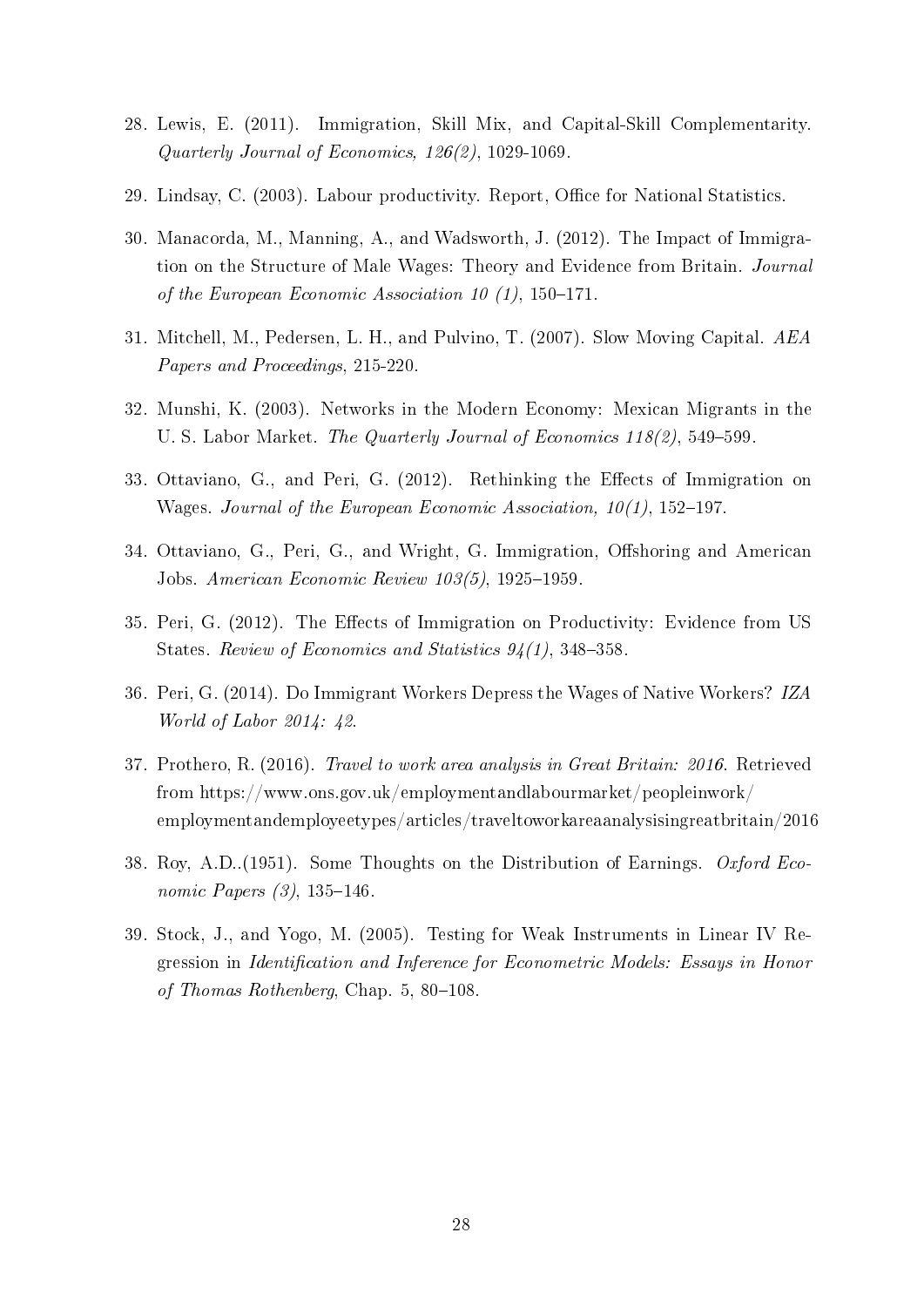- 28. Lewis, E. (2011). Immigration, Skill Mix, and Capital-Skill Complementarity. Quarterly Journal of Economics, 126(2), 1029-1069.
- 29. Lindsay, C. (2003). Labour productivity. Report, Office for National Statistics.
- 30. Manacorda, M., Manning, A., and Wadsworth, J. (2012). The Impact of Immigration on the Structure of Male Wages: Theory and Evidence from Britain. Journal of the European Economic Association 10  $(1)$ , 150-171.
- 31. Mitchell, M., Pedersen, L. H., and Pulvino, T. (2007). Slow Moving Capital. AEA Papers and Proceedings, 215-220.
- 32. Munshi, K. (2003). Networks in the Modern Economy: Mexican Migrants in the U. S. Labor Market. The Quarterly Journal of Economics  $118(2)$ , 549-599.
- 33. Ottaviano, G., and Peri, G. (2012). Rethinking the Effects of Immigration on Wages. Journal of the European Economic Association,  $10(1)$ , 152–197.
- 34. Ottaviano, G., Peri, G., and Wright, G. Immigration, Offshoring and American Jobs. American Economic Review  $103(5)$ , 1925-1959.
- 35. Peri, G. (2012). The Effects of Immigration on Productivity: Evidence from US States. Review of Economics and Statistics  $94(1)$ , 348-358.
- 36. Peri, G. (2014). Do Immigrant Workers Depress the Wages of Native Workers? IZA World of Labor 2014: 42.
- 37. Prothero, R. (2016). Travel to work area analysis in Great Britain: 2016. Retrieved from https://www.ons.gov.uk/employmentandlabourmarket/peopleinwork/ employmentandemployeetypes/articles/traveltoworkareaanalysisingreatbritain/2016
- 38. Roy, A.D..(1951). Some Thoughts on the Distribution of Earnings. Oxford Economic Papers  $(3)$ , 135-146.
- 39. Stock, J., and Yogo, M. (2005). Testing for Weak Instruments in Linear IV Regression in Identification and Inference for Econometric Models: Essays in Honor of Thomas Rothenberg, Chap.  $5, 80-108$ .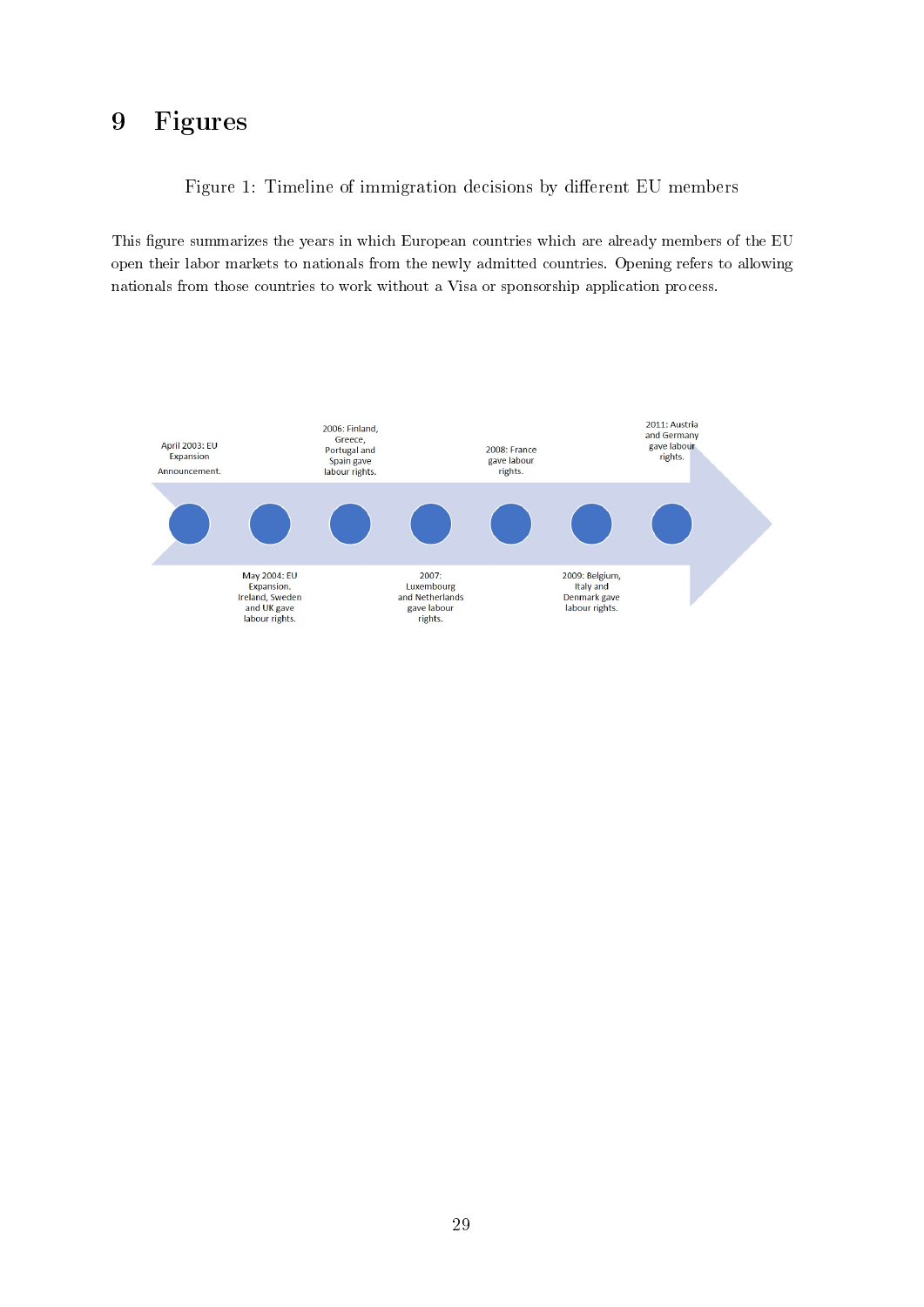# 9 Figures

Figure 1: Timeline of immigration decisions by different EU members

This figure summarizes the years in which European countries which are already members of the EU open their labor markets to nationals from the newly admitted countries. Opening refers to allowing nationals from those countries to work without a Visa or sponsorship application process.

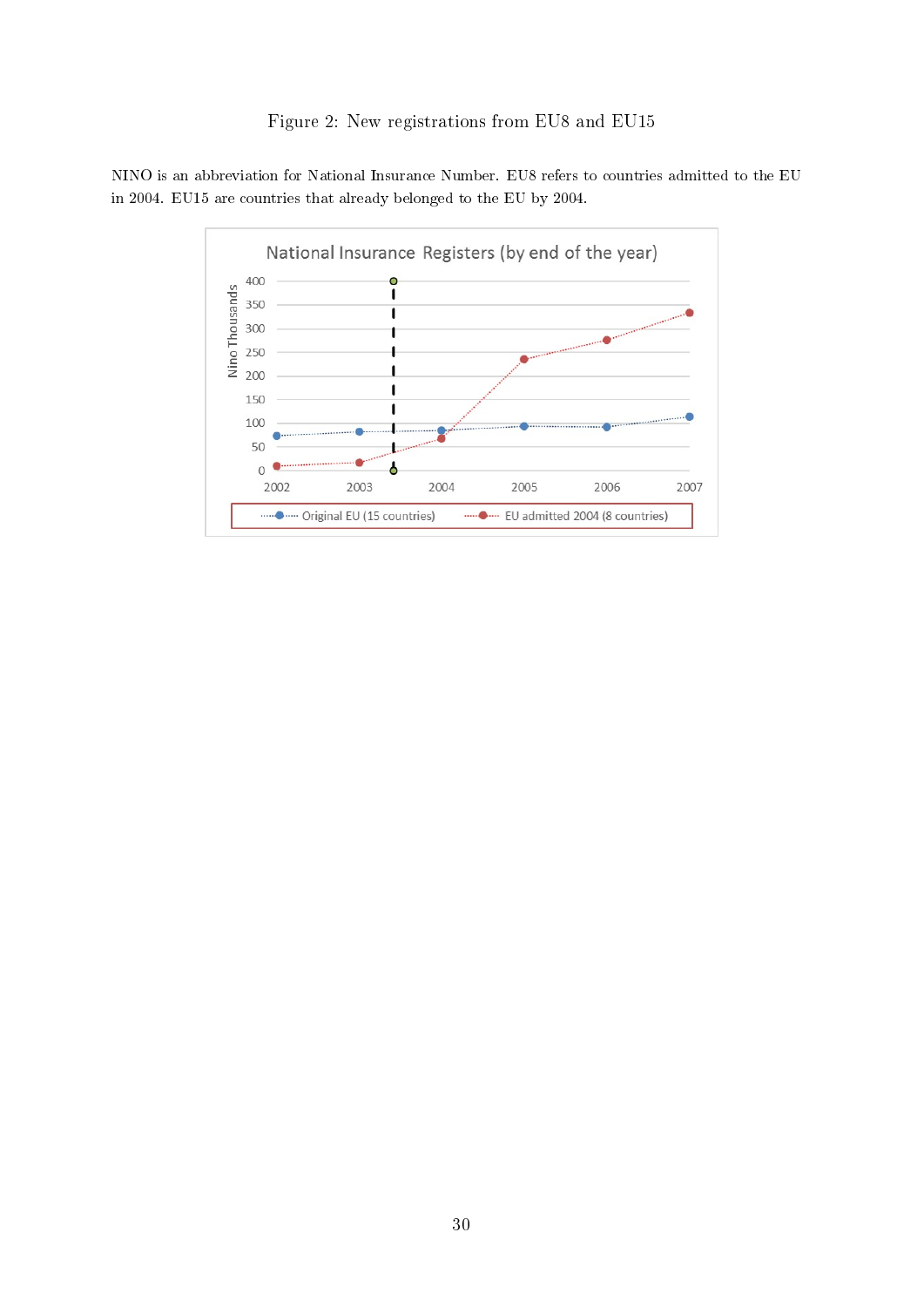NINO is an abbreviation for National Insurance Number. EU8 refers to countries admitted to the EU in 2004. EU15 are countries that already belonged to the EU by 2004.

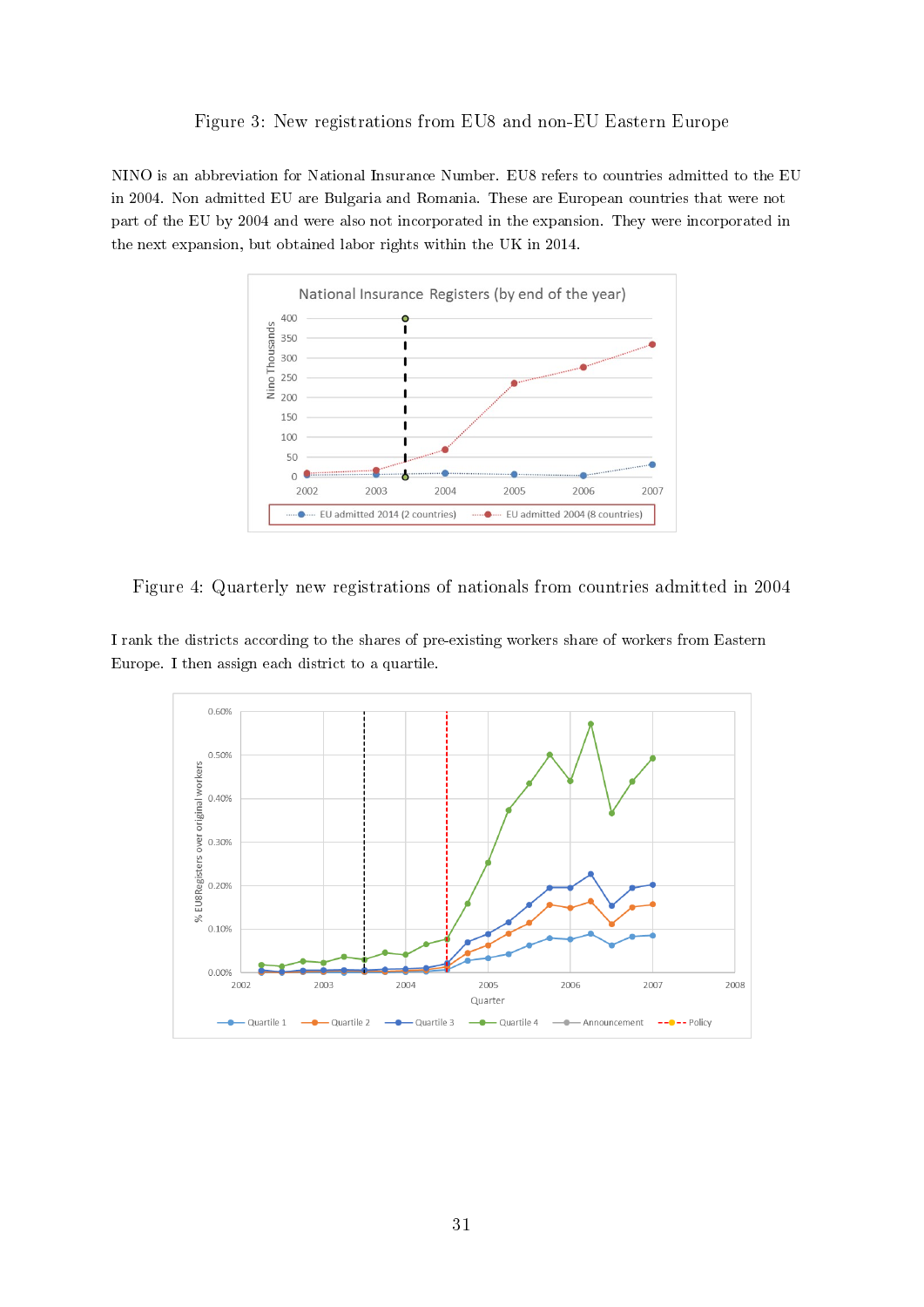#### Figure 3: New registrations from EU8 and non-EU Eastern Europe

NINO is an abbreviation for National Insurance Number. EU8 refers to countries admitted to the EU in 2004. Non admitted EU are Bulgaria and Romania. These are European countries that were not part of the EU by 2004 and were also not incorporated in the expansion. They were incorporated in the next expansion, but obtained labor rights within the UK in 2014.



Figure 4: Quarterly new registrations of nationals from countries admitted in 2004

I rank the districts according to the shares of pre-existing workers share of workers from Eastern Europe. I then assign each district to a quartile.

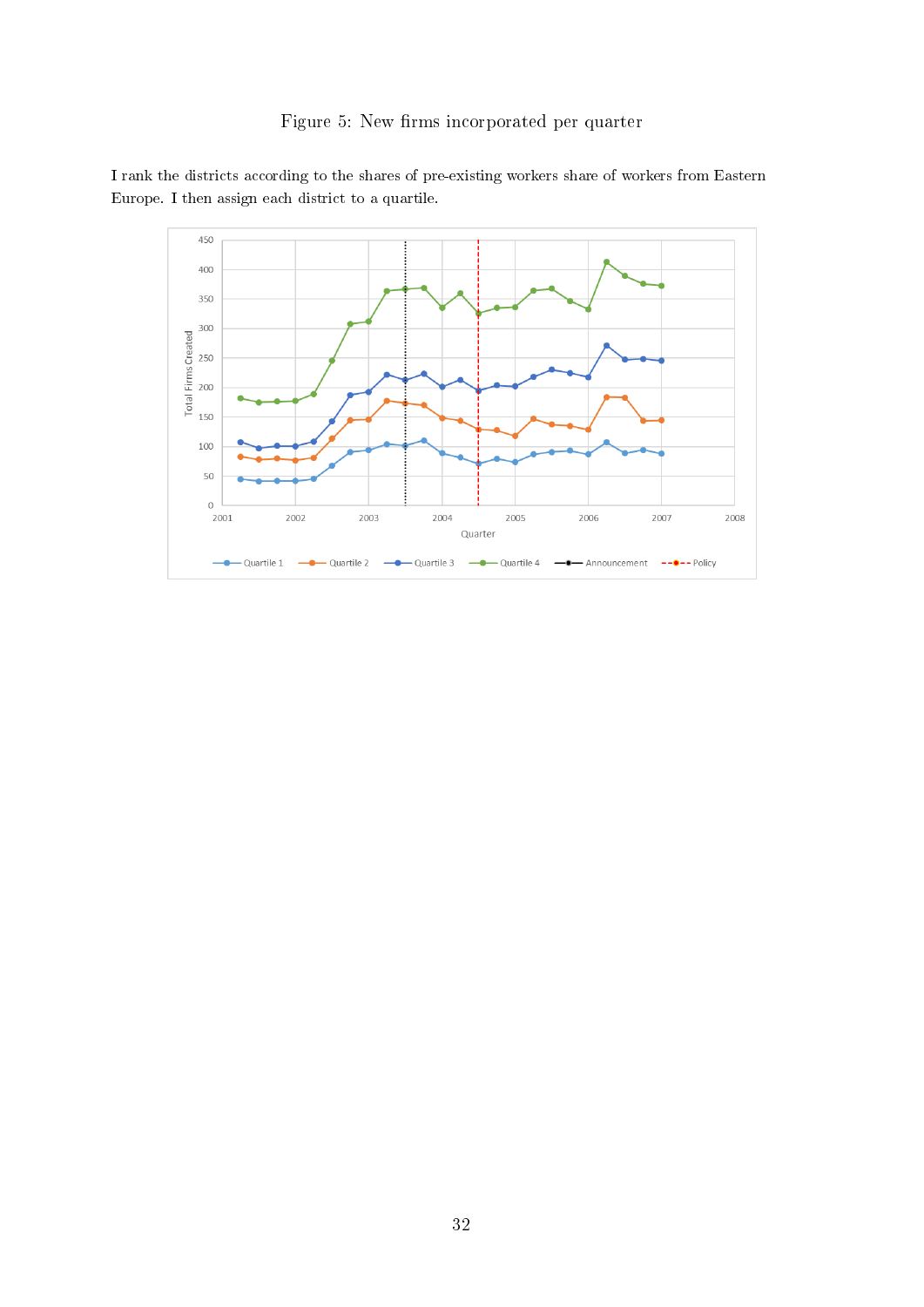



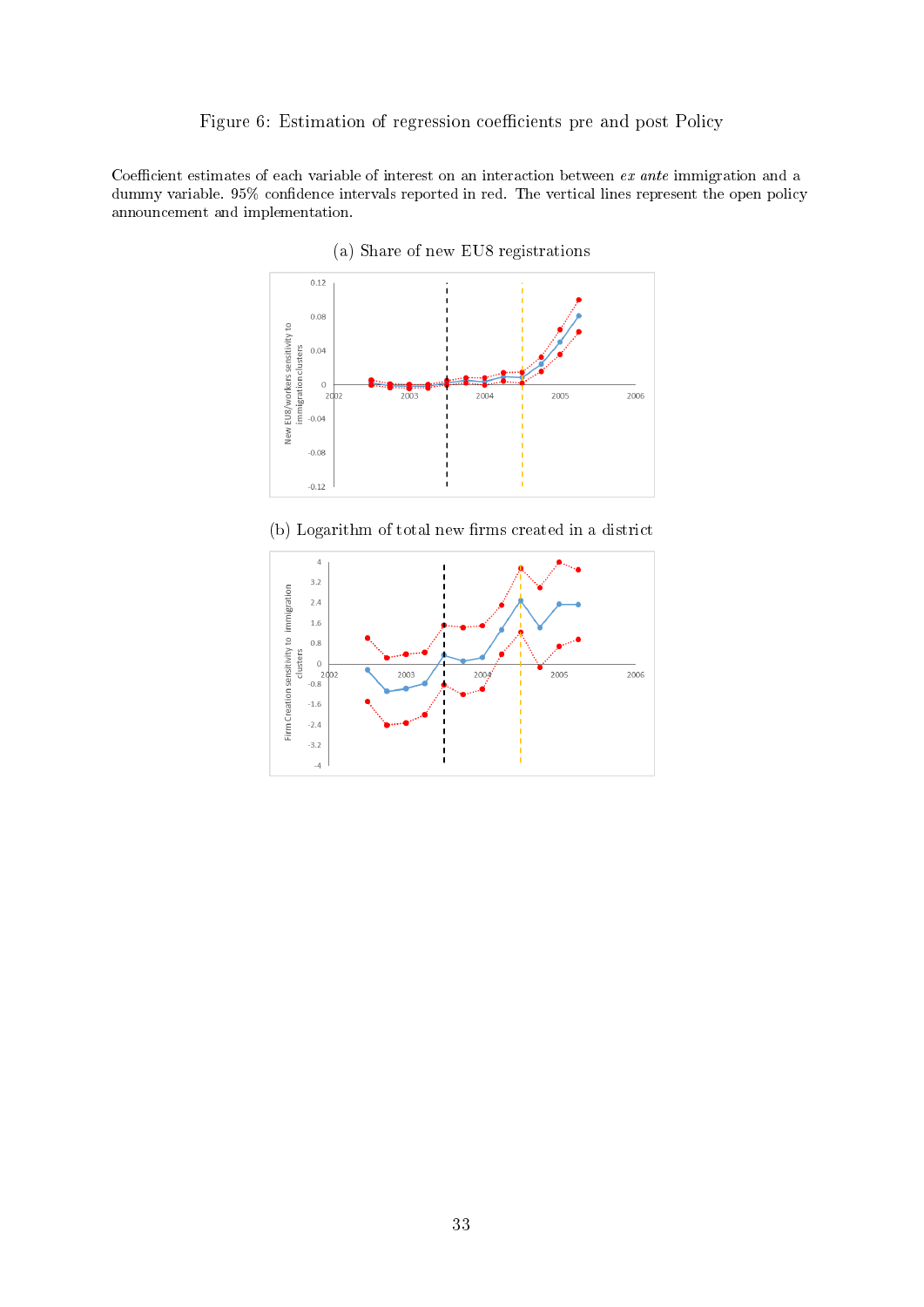#### Figure 6: Estimation of regression coefficients pre and post Policy

Coefficient estimates of each variable of interest on an interaction between ex ante immigration and a dummy variable. 95% confidence intervals reported in red. The vertical lines represent the open policy announcement and implementation.



(a) Share of new EU8 registrations



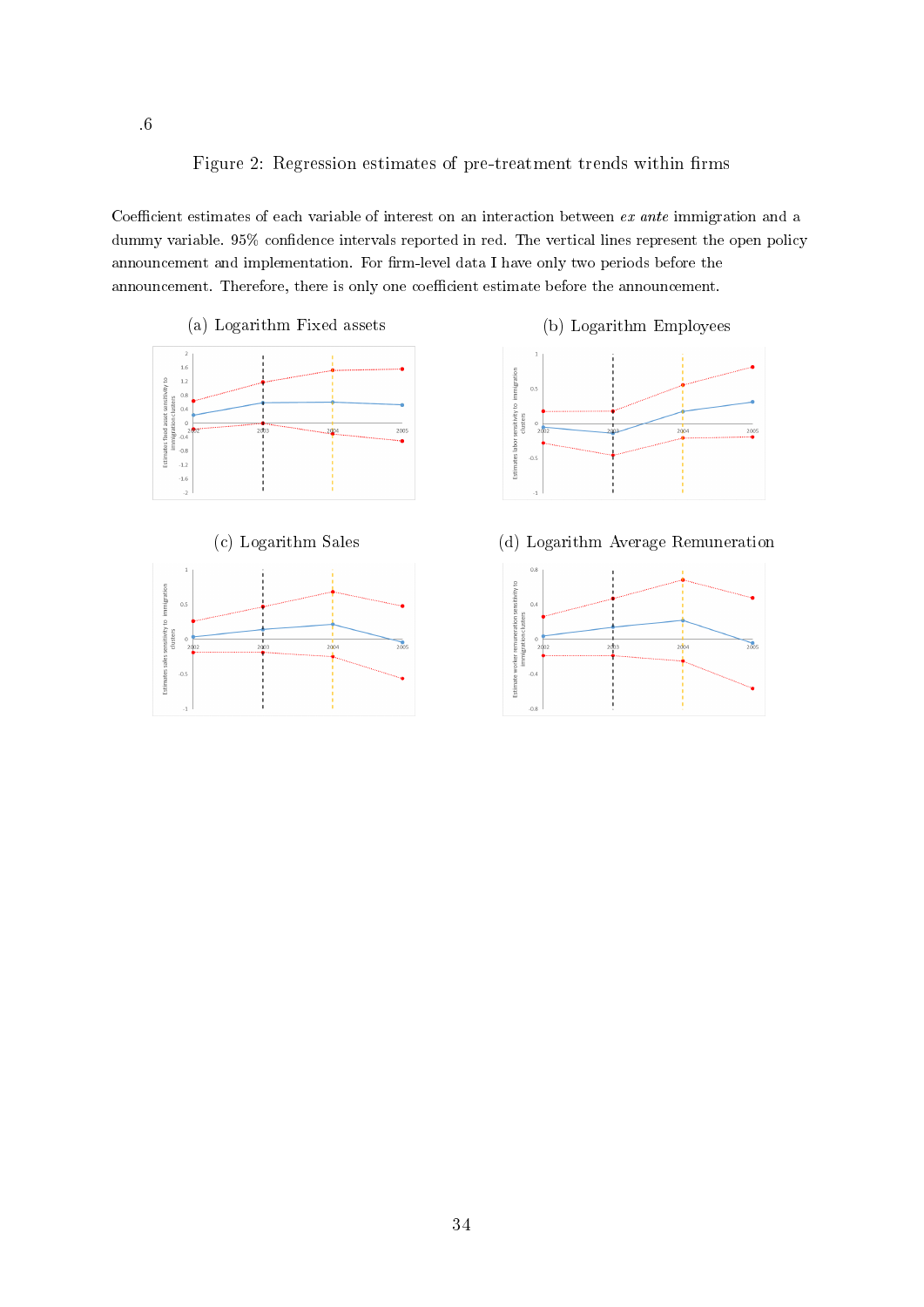Figure 2: Regression estimates of pre-treatment trends within firms

Coefficient estimates of each variable of interest on an interaction between ex ante immigration and a dummy variable. 95% confidence intervals reported in red. The vertical lines represent the open policy announcement and implementation. For firm-level data I have only two periods before the announcement. Therefore, there is only one coefficient estimate before the announcement.

(a) Logarithm Fixed assets (b) Logarithm Employees









(c) Logarithm Sales (d) Logarithm Average Remuneration

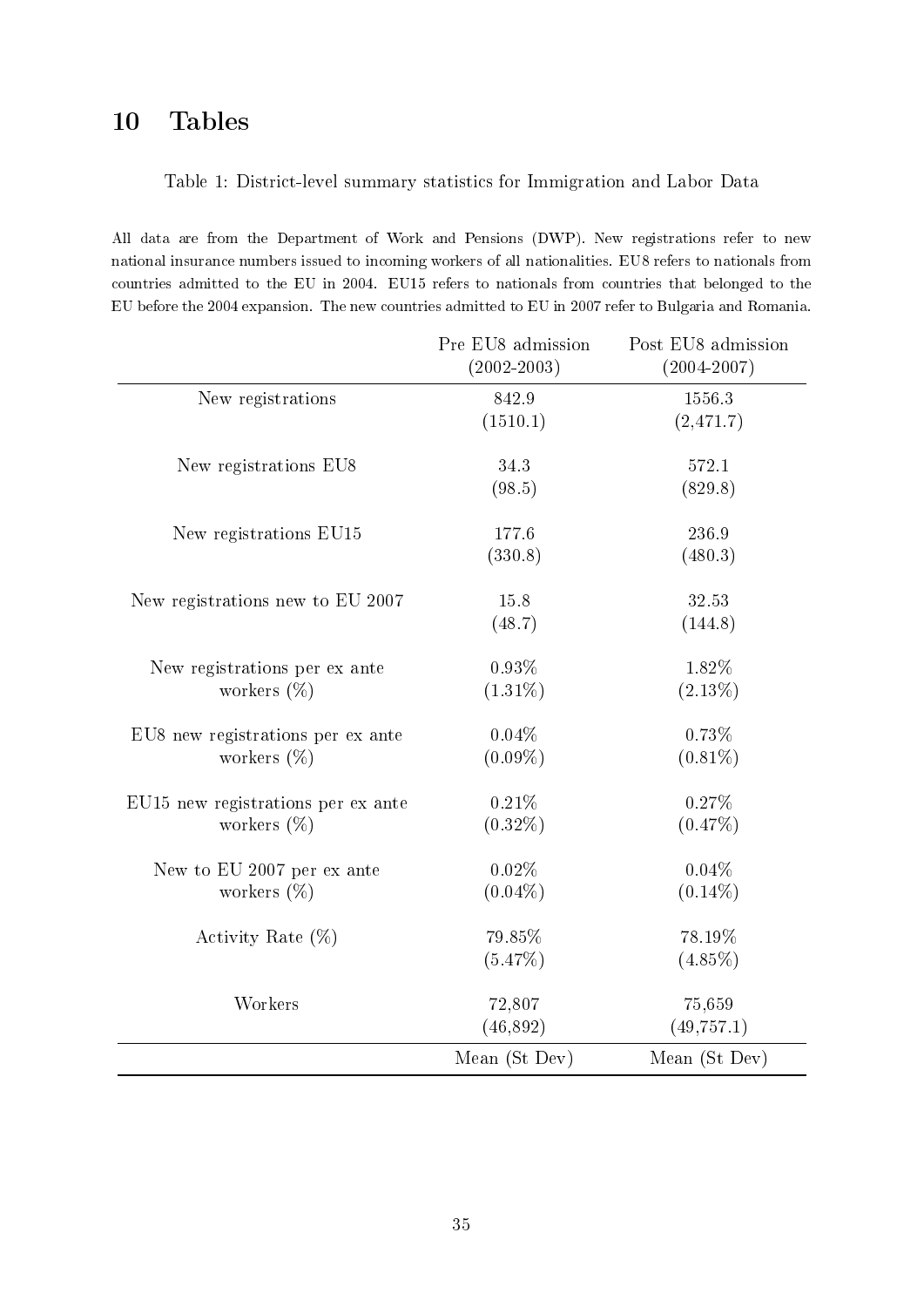# 10 Tables

## Table 1: District-level summary statistics for Immigration and Labor Data

All data are from the Department of Work and Pensions (DWP). New registrations refer to new national insurance numbers issued to incoming workers of all nationalities. EU8 refers to nationals from countries admitted to the EU in 2004. EU15 refers to nationals from countries that belonged to the EU before the 2004 expansion. The new countries admitted to EU in 2007 refer to Bulgaria and Romania.

|                                    | Pre EU8 admission<br>$(2002 - 2003)$ | Post EU8 admission<br>$(2004 - 2007)$ |
|------------------------------------|--------------------------------------|---------------------------------------|
| New registrations                  | 842.9                                | 1556.3                                |
|                                    | (1510.1)                             | (2,471.7)                             |
| New registrations EU8              | 34.3                                 | 572.1                                 |
|                                    | (98.5)                               | (829.8)                               |
| New registrations EU15             | 177.6                                | 236.9                                 |
|                                    | (330.8)                              | (480.3)                               |
| New registrations new to EU 2007   | 15.8                                 | 32.53                                 |
|                                    | (48.7)                               | (144.8)                               |
| New registrations per ex ante      | 0.93%                                | 1.82%                                 |
| workers $(\%)$                     | $(1.31\%)$                           | $(2.13\%)$                            |
| EU8 new registrations per ex ante  | 0.04%                                | 0.73%                                 |
| workers $(\%)$                     | $(0.09\%)$                           | $(0.81\%)$                            |
| EU15 new registrations per ex ante | 0.21%                                | 0.27%                                 |
| workers $(\%)$                     | $(0.32\%)$                           | $(0.47\%)$                            |
| New to EU 2007 per ex ante         | 0.02%                                | 0.04%                                 |
| workers $(\%)$                     | $(0.04\%)$                           | $(0.14\%)$                            |
| Activity Rate $(\%)$               | 79.85%                               | 78.19%                                |
|                                    | (5.47%)                              | $(4.85\%)$                            |
| Workers                            | 72,807                               | 75,659                                |
|                                    | (46, 892)                            | (49, 757.1)                           |
|                                    | Mean (St Dev)                        | Mean (St Dev)                         |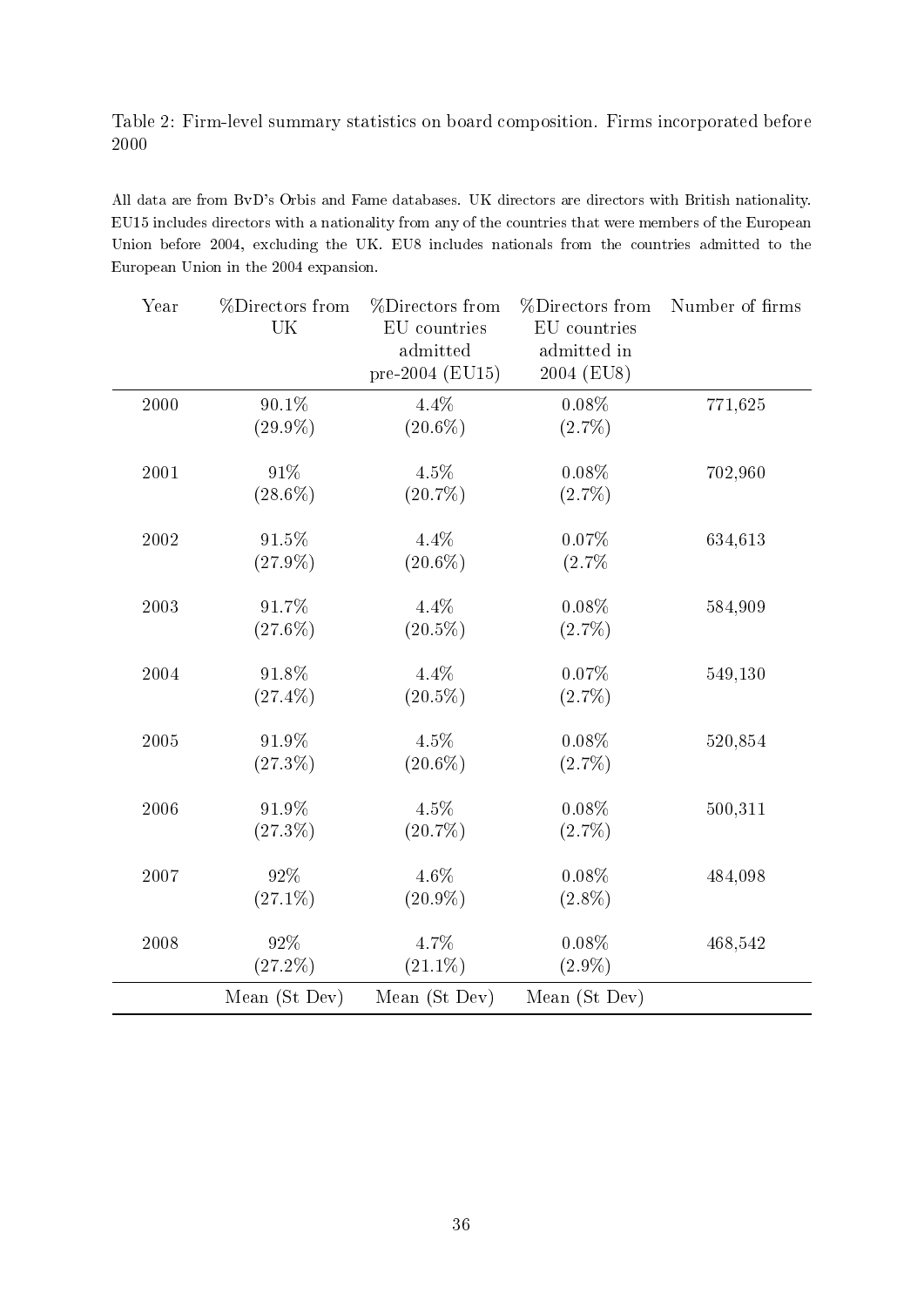## Table 2: Firm-level summary statistics on board composition. Firms incorporated before 2000

All data are from BvD's Orbis and Fame databases. UK directors are directors with British nationality. EU15 includes directors with a nationality from any of the countries that were members of the European Union before 2004, excluding the UK. EU8 includes nationals from the countries admitted to the European Union in the 2004 expansion.

| Year | %Directors from<br>UK | %Directors from<br>EU countries<br>admitted<br>pre-2004 (EU15) | %Directors from<br>EU countries<br>admitted in<br>2004 (EU8) | Number of firms |
|------|-----------------------|----------------------------------------------------------------|--------------------------------------------------------------|-----------------|
| 2000 | 90.1%<br>$(29.9\%)$   | 4.4%<br>$(20.6\%)$                                             | $0.08\%$<br>$(2.7\%)$                                        | 771,625         |
| 2001 | 91%<br>$(28.6\%)$     | 4.5%<br>$(20.7\%)$                                             | $0.08\%$<br>$(2.7\%)$                                        | 702,960         |
| 2002 | 91.5%<br>$(27.9\%)$   | 4.4%<br>$(20.6\%)$                                             | 0.07%<br>(2.7%                                               | 634,613         |
| 2003 | 91.7%<br>$(27.6\%)$   | 4.4%<br>$(20.5\%)$                                             | $0.08\%$<br>$(2.7\%)$                                        | 584,909         |
| 2004 | 91.8%<br>$(27.4\%)$   | 4.4%<br>$(20.5\%)$                                             | 0.07%<br>$(2.7\%)$                                           | 549,130         |
| 2005 | 91.9%<br>$(27.3\%)$   | 4.5%<br>$(20.6\%)$                                             | $0.08\%$<br>$(2.7\%)$                                        | 520,854         |
| 2006 | 91.9%<br>$(27.3\%)$   | 4.5%<br>$(20.7\%)$                                             | $0.08\%$<br>$(2.7\%)$                                        | 500,311         |
| 2007 | 92%<br>$(27.1\%)$     | $4.6\%$<br>$(20.9\%)$                                          | $0.08\%$<br>$(2.8\%)$                                        | 484,098         |
| 2008 | 92%<br>$(27.2\%)$     | 4.7%<br>$(21.1\%)$                                             | $0.08\%$<br>$(2.9\%)$                                        | 468,542         |
|      | Mean (St Dev)         | Mean (St Dev)                                                  | Mean (St Dev)                                                |                 |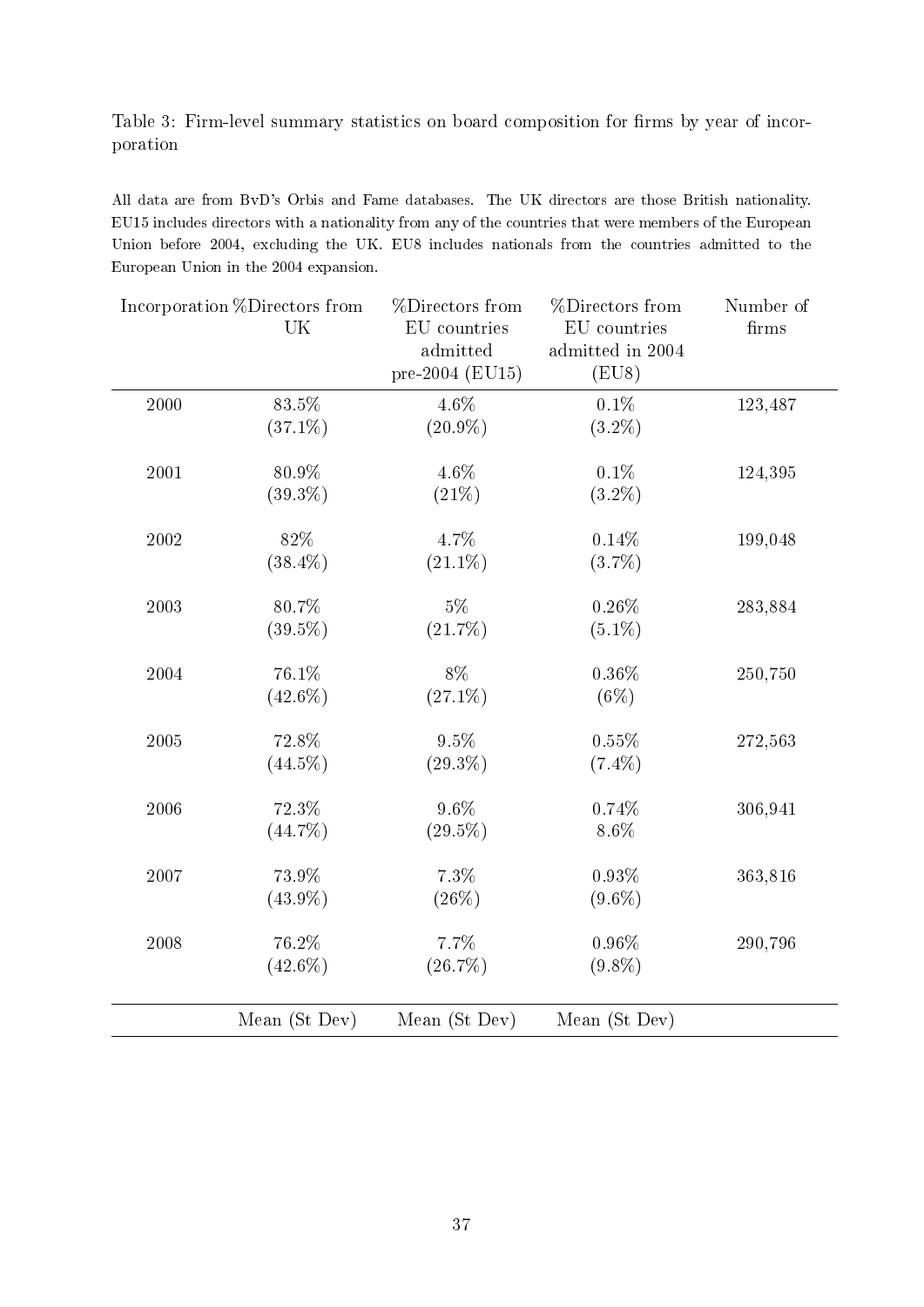## Table 3: Firm-level summary statistics on board composition for firms by year of incorporation

All data are from BvD's Orbis and Fame databases. The UK directors are those British nationality. EU15 includes directors with a nationality from any of the countries that were members of the European Union before 2004, excluding the UK. EU8 includes nationals from the countries admitted to the European Union in the 2004 expansion.

|          | Incorporation %Directors from<br>UK | %Directors from<br>EU countries<br>admitted<br>pre-2004 (EU15) | %Directors from<br>EU countries<br>admitted in 2004<br>(EU8) | Number of<br>firms |
|----------|-------------------------------------|----------------------------------------------------------------|--------------------------------------------------------------|--------------------|
| 2000     | 83.5%<br>$(37.1\%)$                 | 4.6%<br>$(20.9\%)$                                             | 0.1%<br>$(3.2\%)$                                            | 123,487            |
| 2001     | 80.9%<br>$(39.3\%)$                 | 4.6%<br>(21%)                                                  | $0.1\%$<br>$(3.2\%)$                                         | 124,395            |
| 2002     | 82%<br>$(38.4\%)$                   | 4.7%<br>$(21.1\%)$                                             | 0.14%<br>$(3.7\%)$                                           | 199,048            |
| 2003     | 80.7%<br>$(39.5\%)$                 | $5\%$<br>(21.7%)                                               | $0.26\%$<br>$(5.1\%)$                                        | 283,884            |
| 2004     | 76.1%<br>$(42.6\%)$                 | 8%<br>$(27.1\%)$                                               | 0.36%<br>$(6\%)$                                             | 250,750            |
| 2005     | 72.8%<br>$(44.5\%)$                 | 9.5%<br>$(29.3\%)$                                             | 0.55%<br>$(7.4\%)$                                           | 272,563            |
| 2006     | 72.3%<br>$(44.7\%)$                 | $9.6\%$<br>$(29.5\%)$                                          | 0.74%<br>$8.6\%$                                             | 306,941            |
| 2007     | 73.9%<br>$(43.9\%)$                 | 7.3%<br>$(26\%)$                                               | 0.93%<br>$(9.6\%)$                                           | 363,816            |
| $2008\,$ | 76.2%<br>$(42.6\%)$                 | 7.7%<br>$(26.7\%)$                                             | 0.96%<br>$(9.8\%)$                                           | 290,796            |
|          | Mean (St Dev)                       | Mean (St Dev)                                                  | Mean (St Dev)                                                |                    |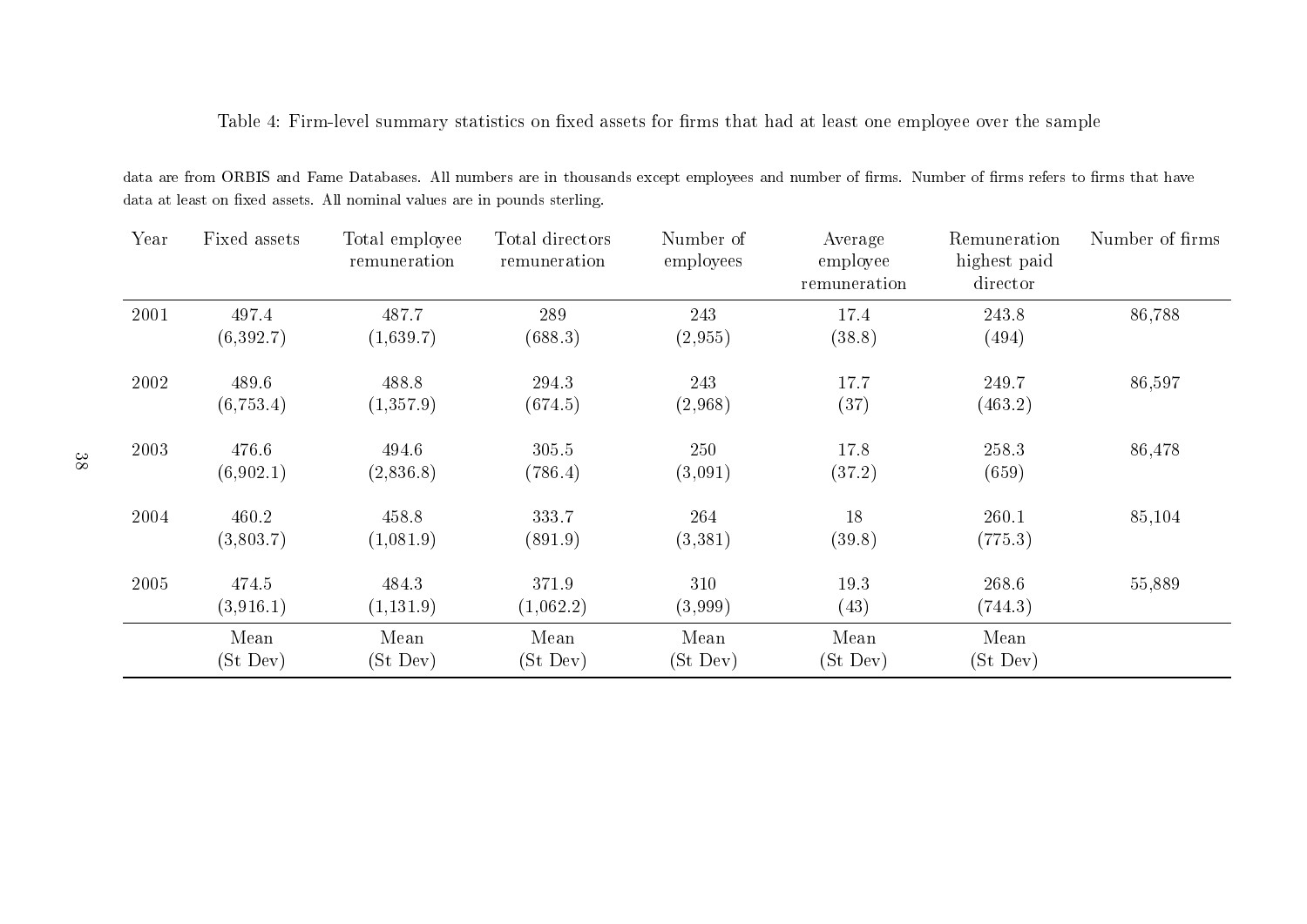Table 4: Firm-level summary statistics on fixed assets for firms that had at least one employee over the sample

data are from ORBIS and Fame Databases. All numbers are in thousands except employees and number of firms. Number of firms refers to firms that have data at least on fixed assets. All nominal values are in pounds sterling.

| Year | Fixed assets | Total employee<br>remuneration | Total directors<br>remuneration | Number of<br>employees | Average<br>employee<br>remuneration | Remuneration<br>highest paid<br>director | Number of firms |
|------|--------------|--------------------------------|---------------------------------|------------------------|-------------------------------------|------------------------------------------|-----------------|
| 2001 | 497.4        | 487.7                          | 289                             | 243                    | 17.4                                | 243.8                                    | 86,788          |
|      | (6,392.7)    | (1,639.7)                      | (688.3)                         | (2,955)                | (38.8)                              | (494)                                    |                 |
| 2002 | 489.6        | 488.8                          | 294.3                           | 243                    | 17.7                                | 249.7                                    | 86,597          |
|      | (6,753.4)    | (1,357.9)                      | (674.5)                         | (2,968)                | (37)                                | (463.2)                                  |                 |
| 2003 | 476.6        | 494.6                          | 305.5                           | 250                    | 17.8                                | 258.3                                    | 86,478          |
|      | (6,902.1)    | (2,836.8)                      | (786.4)                         | (3,091)                | (37.2)                              | (659)                                    |                 |
| 2004 | 460.2        | 458.8                          | 333.7                           | 264                    | 18                                  | 260.1                                    | 85,104          |
|      | (3,803.7)    | (1,081.9)                      | (891.9)                         | (3,381)                | (39.8)                              | (775.3)                                  |                 |
| 2005 | 474.5        | 484.3                          | 371.9                           | 310                    | 19.3                                | 268.6                                    | 55,889          |
|      | (3,916.1)    | (1,131.9)                      | (1,062.2)                       | (3,999)                | (43)                                | (744.3)                                  |                 |
|      | Mean         | Mean                           | Mean                            | Mean                   | Mean                                | Mean                                     |                 |
|      | (St Dev)     | (St Dev)                       | (St Dev)                        | (St Dev)               | (St Dev)                            | (St Dev)                                 |                 |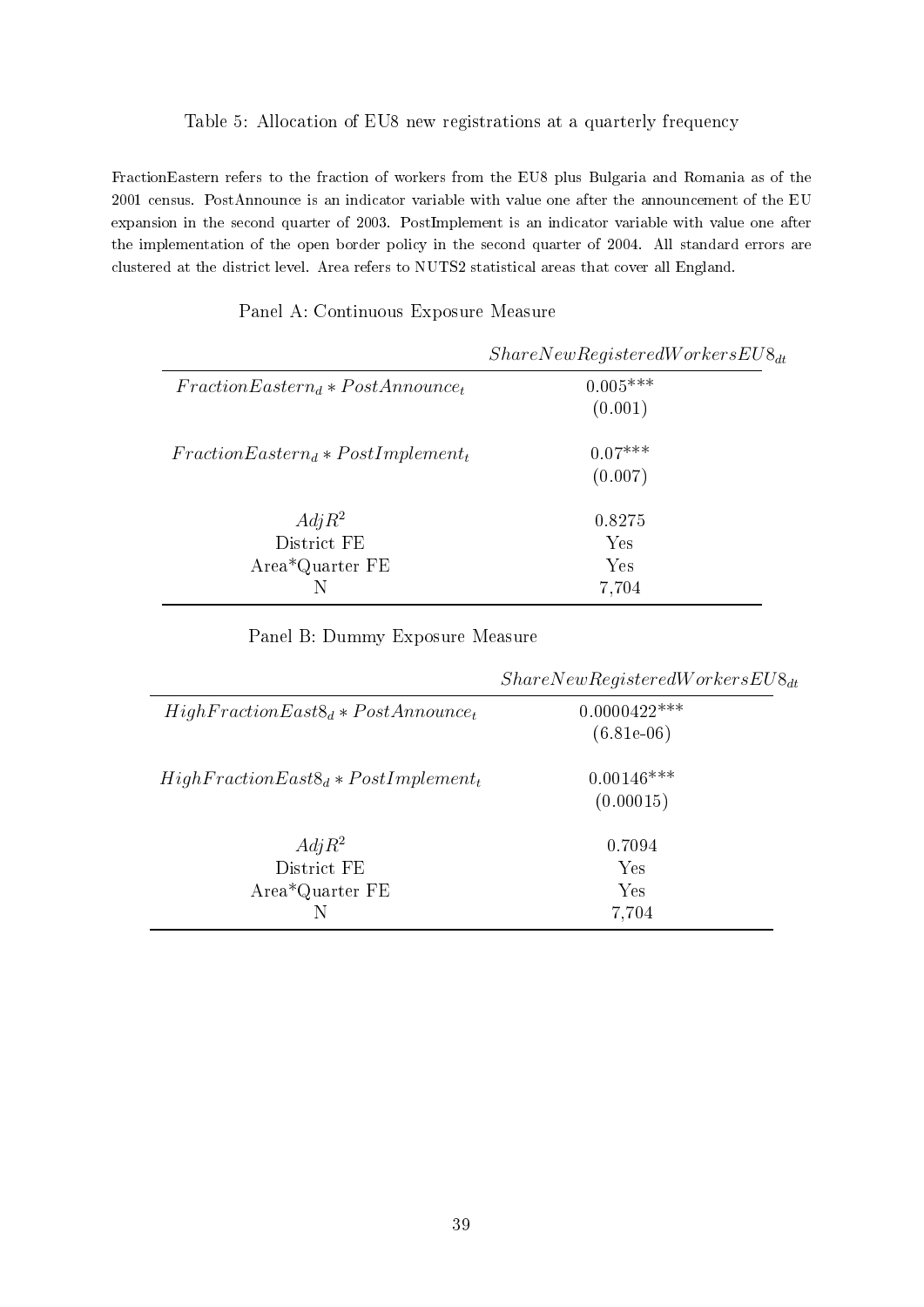#### Table 5: Allocation of EU8 new registrations at a quarterly frequency

FractionEastern refers to the fraction of workers from the EU8 plus Bulgaria and Romania as of the 2001 census. PostAnnounce is an indicator variable with value one after the announcement of the EU expansion in the second quarter of 2003. PostImplement is an indicator variable with value one after the implementation of the open border policy in the second quarter of 2004. All standard errors are clustered at the district level. Area refers to NUTS2 statistical areas that cover all England.

|                                       | $ShareNewRejecteredWorks_{dt}$ |
|---------------------------------------|--------------------------------|
| $FractionEastern_d * PostAnnounce_t$  | $0.005***$                     |
|                                       | (0.001)                        |
| $FractionEastern_d * PostImplement_t$ | $0.07***$                      |
|                                       | (0.007)                        |
| $Adj R^2$                             | 0.8275                         |
| District FE                           | Yes                            |
| Area*Quarter FE                       | Yes                            |
|                                       | 7,704                          |

Panel A: Continuous Exposure Measure

## Panel B: Dummy Exposure Measure

|                                             | $ShareNewRequiredWorks_{dt}$   |
|---------------------------------------------|--------------------------------|
| $HighFractionEast8_d * PostAnnounce_t$      | $0.0000422***$<br>$(6.81e-06)$ |
| $HighFractionEast8_d * PostImplement_t$     | $0.00146***$<br>(0.00015)      |
| $Adj R^2$<br>District FE<br>Area*Quarter FE | 0.7094<br>Yes<br>Yes<br>7,704  |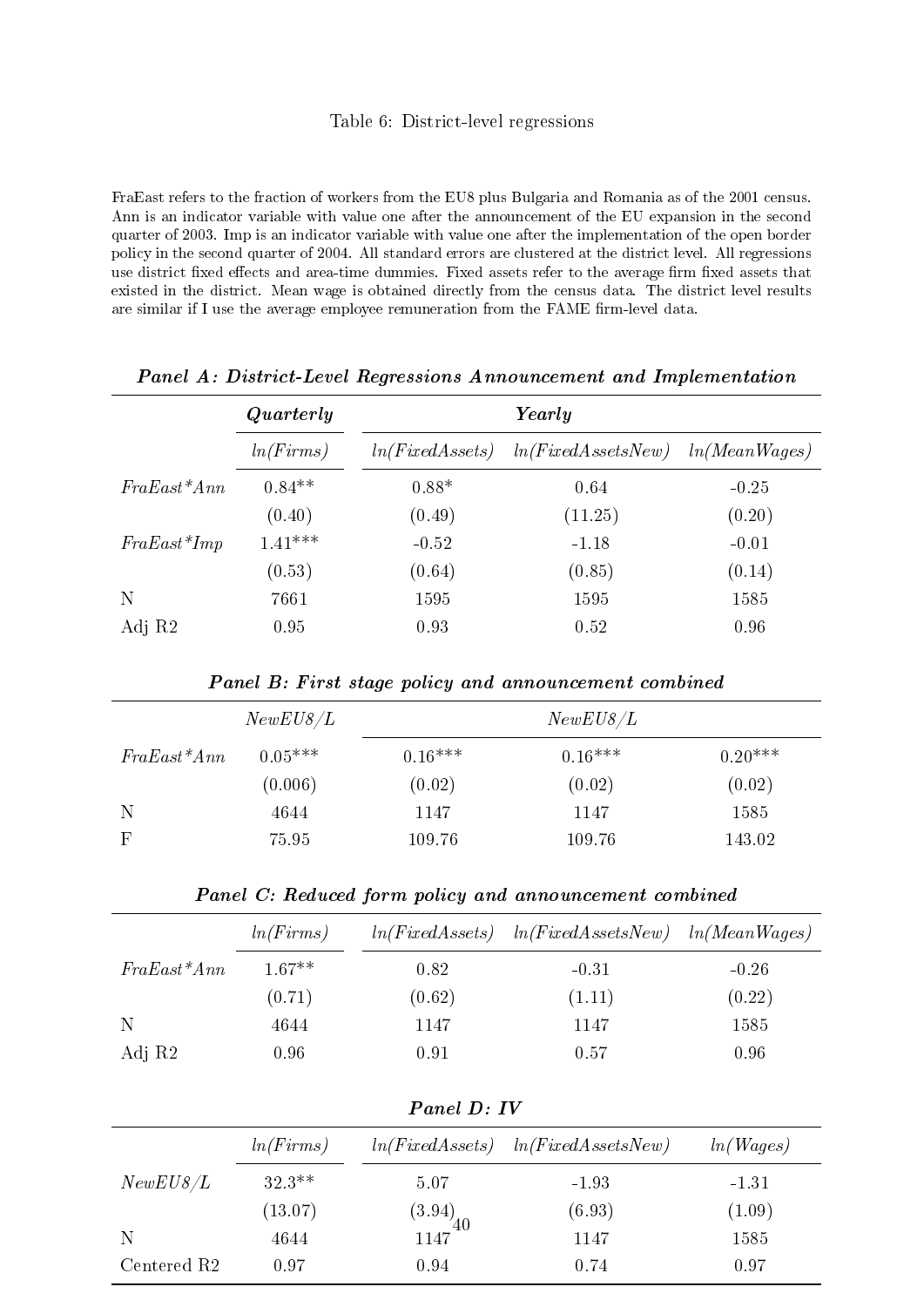#### Table 6: District-level regressions

FraEast refers to the fraction of workers from the EU8 plus Bulgaria and Romania as of the 2001 census. Ann is an indicator variable with value one after the announcement of the EU expansion in the second quarter of 2003. Imp is an indicator variable with value one after the implementation of the open border policy in the second quarter of 2004. All standard errors are clustered at the district level. All regressions use district fixed effects and area-time dummies. Fixed assets refer to the average firm fixed assets that existed in the district. Mean wage is obtained directly from the census data. The district level results are similar if I use the average employee remuneration from the FAME firm-level data.

|               | Quarterly |                 | Yearly             |               |  |  |
|---------------|-----------|-----------------|--------------------|---------------|--|--|
|               | ln(Firms) | ln(FixedAssets) | ln(FixedAssetsNew) | ln(MeanWages) |  |  |
| $FraEast*Ann$ | $0.84**$  | $0.88*$         | 0.64               | $-0.25$       |  |  |
|               | (0.40)    | (0.49)          | (11.25)            | (0.20)        |  |  |
| $FraEast*Imp$ | $1.41***$ | $-0.52$         | $-1.18$            | $-0.01$       |  |  |
|               | (0.53)    | (0.64)          | (0.85)             | (0.14)        |  |  |
| N             | 7661      | 1595            | 1595               | 1585          |  |  |
| Adj R2        | 0.95      | 0.93            | 0.52               | 0.96          |  |  |

Panel A: District-Level Regressions Announcement and Implementation

Panel B: First stage policy and announcement combined

| NewEUS/L      |           |           | NewEUS/L  |           |
|---------------|-----------|-----------|-----------|-----------|
| $FraEast*Ann$ | $0.05***$ | $0.16***$ | $0.16***$ | $0.20***$ |
|               | (0.006)   | (0.02)    | (0.02)    | (0.02)    |
| N             | 4644      | 1147      | 1147      | 1585      |
| $\mathbf{F}$  | 75.95     | 109.76    | 109.76    | 143.02    |

Panel C: Reduced form policy and announcement combined

|               | ln(Firms) | ln(FixedAssets) | ln(FixedAssetsNew) | ln(MeanWages) |
|---------------|-----------|-----------------|--------------------|---------------|
| $FraEast*Ann$ | $1.67**$  | 0.82            | $-0.31$            | $-0.26$       |
|               | (0.71)    | (0.62)          | (1.11)             | (0.22)        |
| N             | 4644      | 1147            | 1147               | 1585          |
| Adj R2        | $0.96\,$  | 0.91            | 0.57               | 0.96          |

| Panel D: IV             |           |                                               |                    |           |  |  |
|-------------------------|-----------|-----------------------------------------------|--------------------|-----------|--|--|
|                         | ln(Firms) | ln(FixedAssets)                               | ln(FixedAssetsNew) | ln(Wages) |  |  |
| NewEUS/L                | $32.3**$  | 5.07                                          | $-1.93$            | $-1.31$   |  |  |
|                         | (13.07)   | $\begin{array}{c} (3.94) \\ 1147 \end{array}$ | (6.93)             | (1.09)    |  |  |
| -N                      | 4644      |                                               | 1147               | 1585      |  |  |
| Centered R <sub>2</sub> | 0.97      | 0.94                                          | 0.74               | 0.97      |  |  |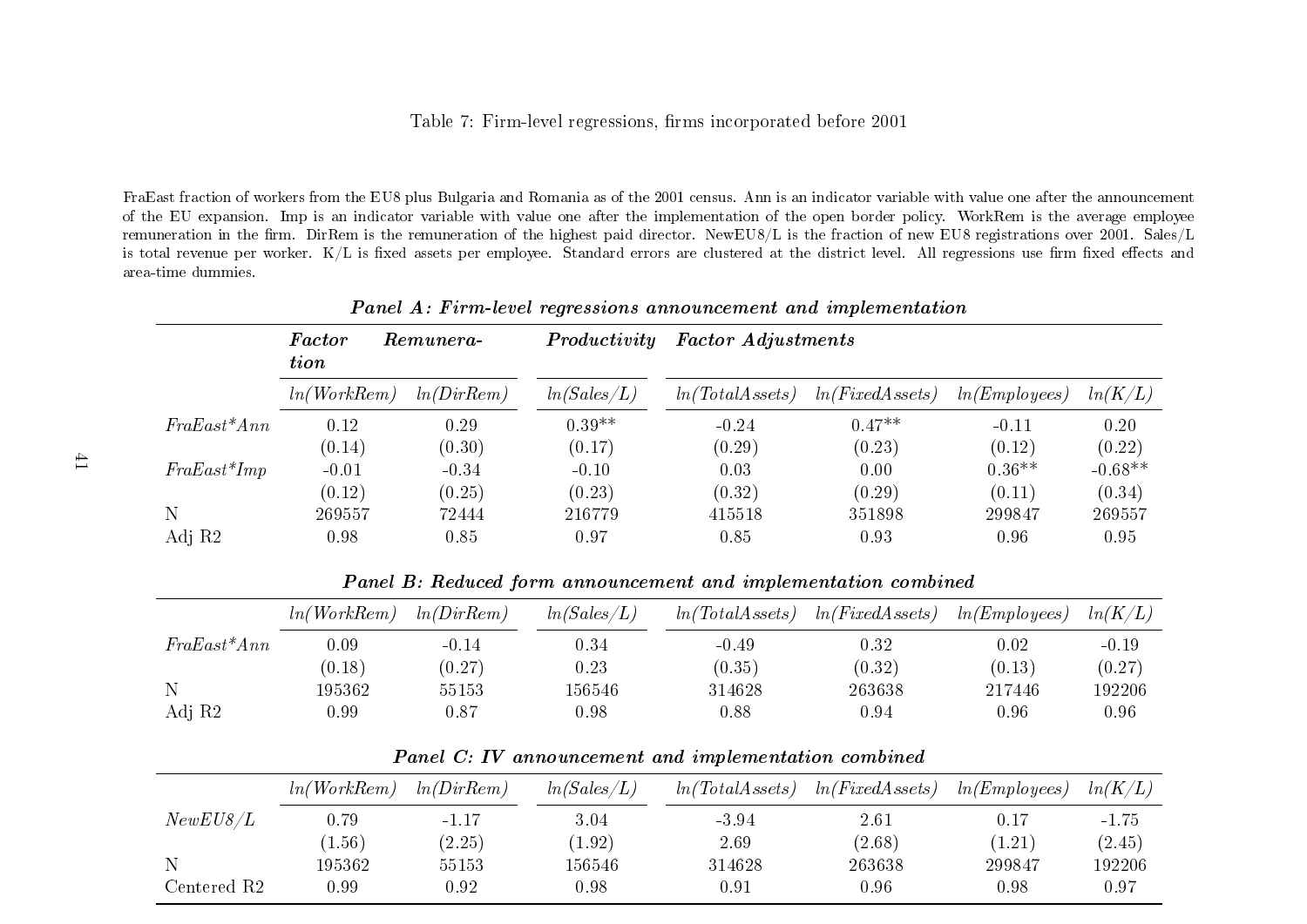## Table 7: Firm-level regressions, firms incorporated before 2001

FraEast fraction of workers from the EU8 <sup>p</sup>lus Bulgaria and Romania as of the 2001 census. Ann is an indicator variable with value one after the announcement of the EU expansion. Imp is an indicator variable with value one after the implementation of the open border policy. WorkRem is the average employeeremuneration in the firm. DirRem is the remuneration of the highest paid director. NewEU8/L is the fraction of new EU8 registrations over 2001. Sales/L is total revenue per worker.  $\rm K/L$  is fixed assets per employee. Standard errors are clustered at the district level. All regressions use firm fixed effects and area-time dummies.

| Panel A: Firm-level regressions announcement and implementation |                       |            |              |                           |                 |              |           |
|-----------------------------------------------------------------|-----------------------|------------|--------------|---------------------------|-----------------|--------------|-----------|
|                                                                 | Factor<br><i>tion</i> | Remunera-  | Productivity | <b>Factor Adjustments</b> |                 |              |           |
|                                                                 | ln(WorkRem)           | ln(DirRem) | ln(Sales/L)  | ln(TotalAssets)           | ln(FixedAssets) | ln(Employes) | ln(K/L)   |
| $FraEast*Ann$                                                   | 0.12                  | 0.29       | $0.39**$     | $-0.24$                   | $0.47**$        | $-0.11$      | 0.20      |
|                                                                 | (0.14)                | (0.30)     | (0.17)       | (0.29)                    | (0.23)          | (0.12)       | (0.22)    |
| $FraEast*Imp$                                                   | $-0.01$               | $-0.34$    | $-0.10$      | 0.03                      | 0.00            | $0.36**$     | $-0.68**$ |
|                                                                 | (0.12)                | (0.25)     | (0.23)       | (0.32)                    | (0.29)          | (0.11)       | (0.34)    |
| Ν                                                               | 269557                | 72444      | 216779       | 415518                    | 351898          | 299847       | 269557    |
| Adj R2                                                          | 0.98                  | 0.85       | 0.97         | 0.85                      | 0.93            | 0.96         | 0.95      |

Panel A: Firm-level regressions announcement and implementation

Panel B: Reduced form announcement and implementation combined

|               | ln(WorkRem) | ln(DirRem) | ln(Sales/L) | ln(TotalAssets) | ln(FixedAssets) | ln(Employes) | ln(K/L) |
|---------------|-------------|------------|-------------|-----------------|-----------------|--------------|---------|
| $FraEast*Ann$ | 0.09        | $-0.14$    | 0.34        | $-0.49$         | 0.32            | 0.02         | $-0.19$ |
|               | (0.18)      | (0.27)     | 0.23        | (0.35)          | (0.32)          | (0.13)       | (0.27)  |
| N             | 195362      | 55153      | 156546      | 314628          | 263638          | 217446       | 192206  |
| Adj R2        | 0.99        | $0.87\,$   | 0.98        | 0.88            | $\rm 0.94$      | 0.96         | 0.96    |

Panel C: IV announcement and implementation combined

|                         | ln(WorkRem) | ln(DirRem) | ln(Sales/L) | ln(TotalAs sets) | ln(FixedAssets) | ln(Employes) | ln(K/L) |
|-------------------------|-------------|------------|-------------|------------------|-----------------|--------------|---------|
| NewEUS/L                | 0.79        | $-1.17$    | $3.04\,$    | $-3.94$          | 2.61            | 0.17         | $-1.75$ |
|                         | 1.56)       | (2.25)     | (1.92)      | 2.69             | (2.68)          | (1.21)       | (2.45)  |
|                         | 195362      | 55153      | 156546      | 314628           | 263638          | 299847       | 192206  |
| Centered R <sub>2</sub> | 0.99        | 0.92       | 0.98        | $\rm 0.91$       | 0.96            | 0.98         | 0.97    |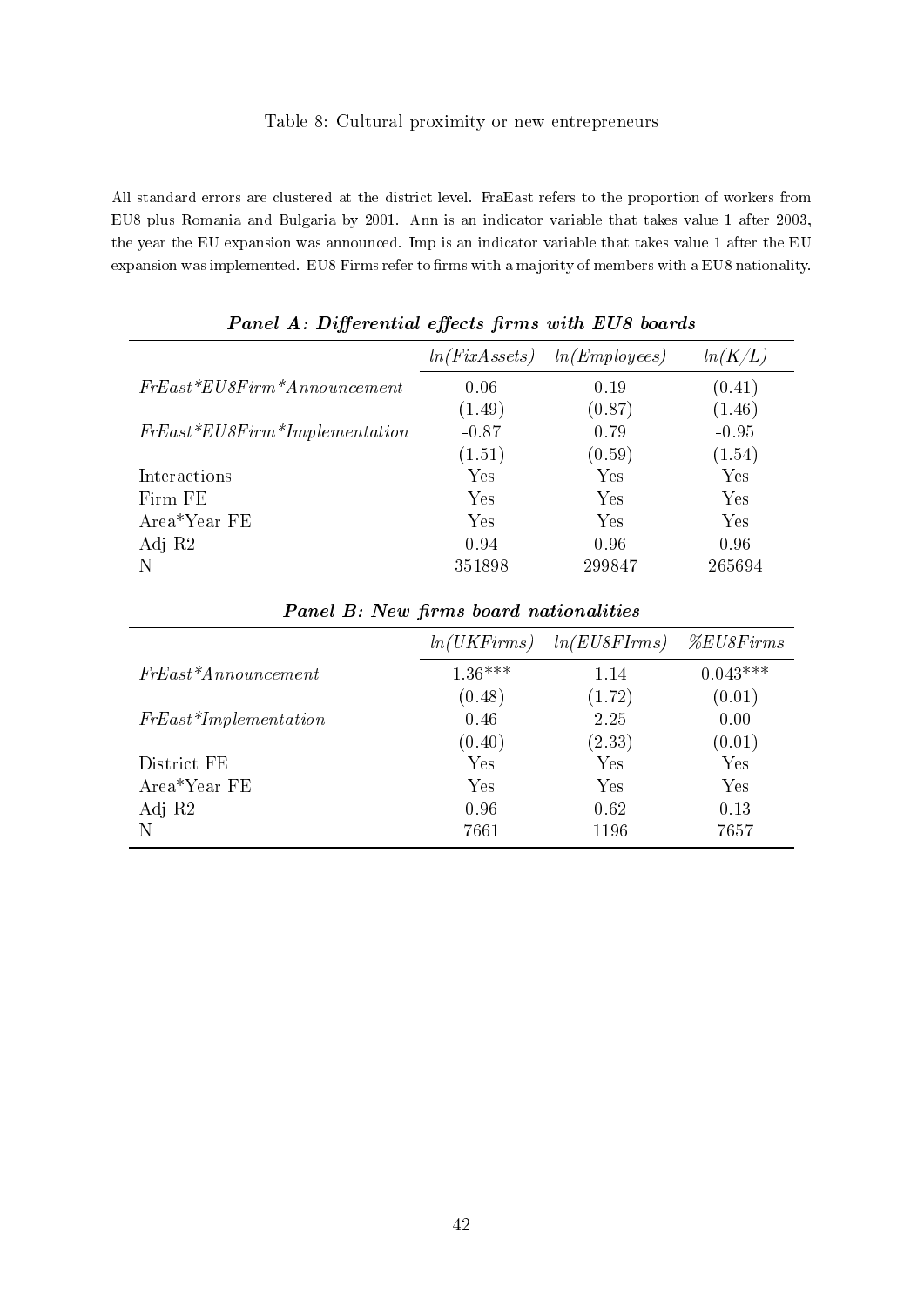## Table 8: Cultural proximity or new entrepreneurs

All standard errors are clustered at the district level. FraEast refers to the proportion of workers from EU8 plus Romania and Bulgaria by 2001. Ann is an indicator variable that takes value 1 after 2003, the year the EU expansion was announced. Imp is an indicator variable that takes value 1 after the EU expansion was implemented. EU8 Firms refer to firms with a majority of members with a EU8 nationality.

| . .                             |               |              |         |
|---------------------------------|---------------|--------------|---------|
|                                 | ln(FixAssets) | ln(Employes) | ln(K/L) |
| $FrEast*EUSFirm*An noun cement$ | 0.06          | 0.19         | (0.41)  |
|                                 | (1.49)        | (0.87)       | (1.46)  |
| $FrEast*EUSFirm*Implementation$ | $-0.87$       | 0.79         | $-0.95$ |
|                                 | (1.51)        | (0.59)       | (1.54)  |
| Interactions                    | Yes           | Yes          | Yes     |
| Firm FE                         | Yes           | Yes          | Yes     |
| Area*Year FE                    | Yes           | Yes          | Yes     |
| Adj R2                          | 0.94          | 0.96         | 0.96    |
|                                 | 351898        | 299847       | 265694  |

| Panel A: Differential effects firms with EU8 boards |  |  |  |
|-----------------------------------------------------|--|--|--|
|                                                     |  |  |  |

|                           | ln(UKFirms) | ln(EUSFIrms) | $\%EUSFirms$ |
|---------------------------|-------------|--------------|--------------|
| $FrEast^* An noun cement$ | $1.36***$   | 1.14         | $0.043***$   |
|                           | (0.48)      | (1.72)       | (0.01)       |
| $FrEast*Implementation$   | 0.46        | 2.25         | 0.00         |
|                           | (0.40)      | (2.33)       | (0.01)       |
| District FE               | Yes         | Yes          | Yes          |
| Area*Year FE              | Yes         | Yes          | Yes          |
| Adj R2                    | 0.96        | 0.62         | 0.13         |
| N                         | 7661        | 1196         | 7657         |

Panel B: New firms board nationalities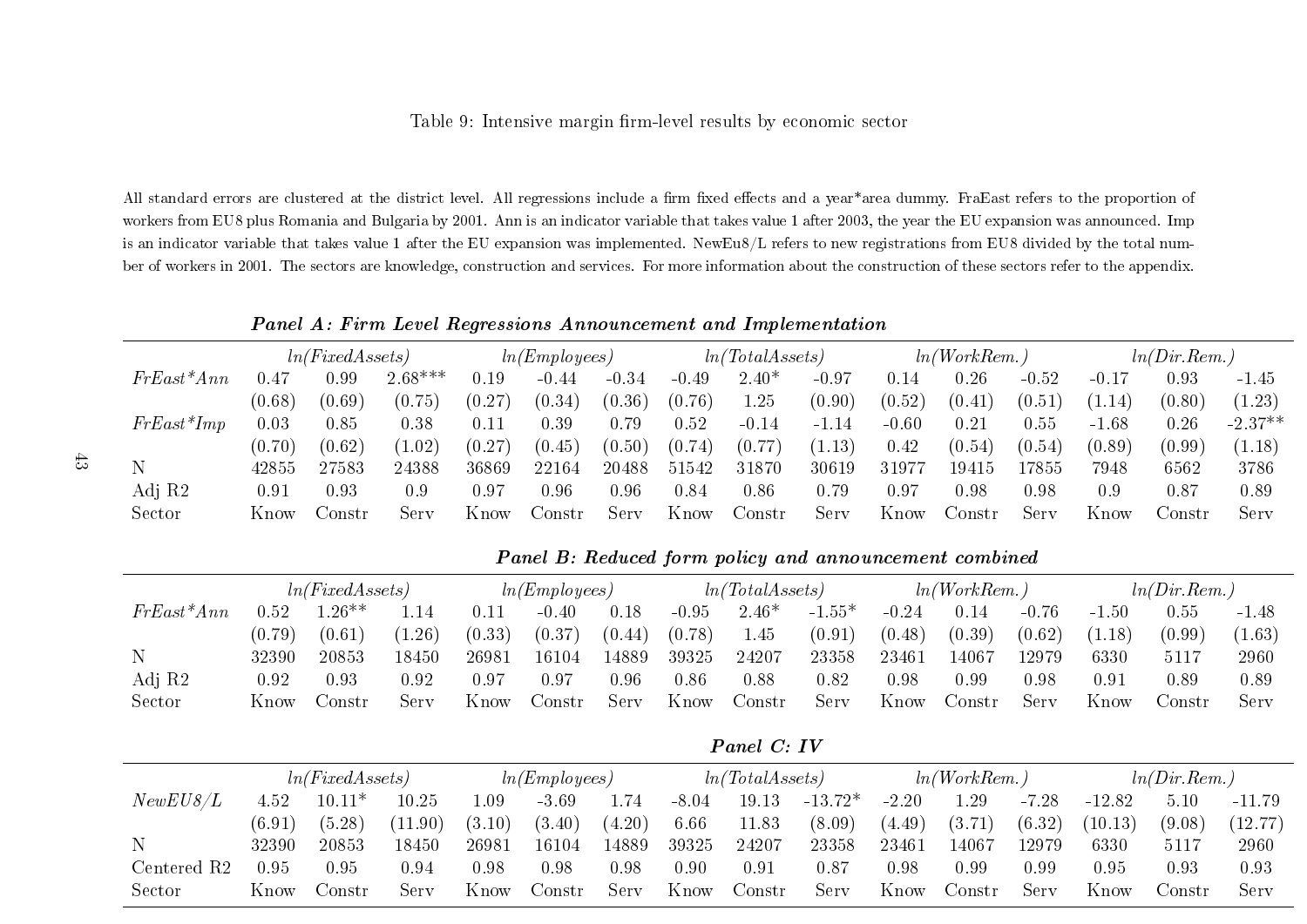## Table 9: Intensive margin firm-level results by economic sector

All standard errors are clustered at the district level. All regressions include a firm fixed effects and a year\*area dummy. FraEast refers to the proportion of workers from EU8 <sup>p</sup>lus Romania and Bulgaria by 2001. Ann is an indicator variable that takes value 1 after 2003, the year the EU expansion was announced. Impis an indicator variable that takes value 1 after the EU expansion was implemented. NewEu8/L refers to new registrations from EU8 divided by the total number of workers in 2001. The sectors are knowledge, construction and services. For more information about the construction of these sectors refer to the appendix.

Panel A: Firm Level Regressions Announcement and Implementation

|              |            | ln(FixedAssets) |           |          | ln(Employes) |         |         | ln(TotalAs sets)    |         |         | ln(WorkRem.) |         |         | ln(Dir. Rem.) |           |
|--------------|------------|-----------------|-----------|----------|--------------|---------|---------|---------------------|---------|---------|--------------|---------|---------|---------------|-----------|
| $FrEast*Ann$ | $\rm 0.47$ | 0.99            | $2.68***$ | $0.19\,$ | $-0.44$      | $-0.34$ | $-0.49$ | $2.40*$             | $-0.97$ | 0.14    | 0.26         | $-0.52$ | $-0.17$ | 0.93          | $-1.45$   |
|              | (0.68)     | (0.69)          | (0.75)    | (0.27)   | (0.34)       | (0.36)  | (0.76)  | 1.25                | (0.90)  | (0.52)  | (0.41)       | (0.51)  | 1.14    | (0.80)        | (1.23)    |
| $FrEast*Imp$ | 0.03       | 0.85            | 0.38      | $0.11\,$ | 0.39         | 0.79    | 0.52    | $-0.14$             | $-1.14$ | $-0.60$ | 0.21         | 0.55    | $-1.68$ | 0.26          | $-2.37**$ |
|              | (0.70)     | (0.62)          | 1.02)     | (0.27)   | (0.45)       | (0.50)  | (0.74)  | (0.77)              | (1.13)  | 0.42    | (0.54)       | (0.54)  | (0.89)  | (0.99)        | (1.18)    |
|              | 42855      | 27583           | 24388     | 36869    | 22164        | 20488   | 51542   | 31870               | 30619   | 31977   | 19415        | .7855   | 7948    | 6562          | 3786      |
| Adj R2       | 0.91       | $\rm 0.93$      | 0.9       | 0.97     | $\rm 0.96$   | 0.96    | 0.84    | 0.86                | 0.79    | 0.97    | 0.98         | 0.98    | 0.9     | 0.87          | 0.89      |
| Sector       | Know       | ∍onstr          | Serv      | Know     | Jonstr       | Serv    | Know    | $_{\rm \sim onstr}$ | Serv    | Know    | Constr       | Serv    | Know    | ∴onstr        | Serv      |

Panel B: Reduced form policy and announcement combined

Panel C: IV

|              |        | ln(FixedAssets) |        |        | ln(Employes) |        |         | ln(TotalAs sets)        |          |         | ln(WorkRem.)      |            |            | ln(Dir. Rem.) |         |
|--------------|--------|-----------------|--------|--------|--------------|--------|---------|-------------------------|----------|---------|-------------------|------------|------------|---------------|---------|
| $FrEast*Ann$ | 0.52   | $.26**$         | .14    | 0.11   | $-0.40$      | 0.18   | $-0.95$ | $2.46*$                 | $-1.55*$ | $-0.24$ | 0.14              | $-0.76$    | $-1.50$    | $0.55\,$      | $-1.48$ |
|              | (0.79) | (0.61)          | (1.26) | (0.33) | (0.37)       | (0.44) | (0.78)  | 1.45                    | (0.91)   | (0.48)  | (0.39)            | (0.62)     | (1.18)     | (0.99)        | (1.63)  |
| $\mathbf N$  | 32390  | 20853           | 18450  | 26981  | 16104        | 14889  | 39325   | 24207                   | 23358    | 23461   | 14067             | 12979      | 6330       | 5117          | 2960    |
| Adj R2       | 0.92   | 0.93            | 0.92   | 0.97   | $_{0.97}$    | 0.96   | 0.86    | 0.88                    | 0.82     | 0.98    | 0.99              | $\rm 0.98$ | $\rm 0.91$ | 0.89          | 0.89    |
| Sector       | Know   | . Jonstr        | Serv   | Know   | Jonstr       | Serv   | Know    | $\operatorname{Constr}$ | Serv     | Know    | $\mathrm{Constr}$ | Serv       | Know       | Constr        | Serv    |

|                    |        | ln(FixedAssets) |          |          | ln(Employes) |        |         | ln(TotalAs sets) |           |         | ln(WorkRem.) |         |          | ln(Dir. Rem.) |          |
|--------------------|--------|-----------------|----------|----------|--------------|--------|---------|------------------|-----------|---------|--------------|---------|----------|---------------|----------|
| NewEUS/L           | 4.52   | $10.11*$        | 10.25    | .09      | $-3.69$      | 1.74   | $-8.04$ | 19.13            | $-13.72*$ | $-2.20$ | 1.29         | $-7.28$ | $-12.82$ | 5.10          | $-11.79$ |
|                    | (6.91) | (5.28)          | (11.90)  | (3.10)   | (3.40)       | (4.20) | 6.66    | 11.83            | (8.09)    | (4.49)  | (3.71)       | (6.32)  | (10.13)  | (9.08)        | (12.77)  |
|                    | 32390  | 20853           | 18450    | 26981    | 16104        | 14889  | 39325   | 24207            | 23358     | 23461   | 14067        | 12979   | 6330     | 5117          | 2960     |
| $\rm Centered\ R2$ | ).95   | 0.95            | $0.94\,$ | $0.98\,$ | 0.98         | 0.98   | 0.90    | 0.91             | 0.87      | 0.98    | $0.99\,$     | 0.99    | 0.95     | 0.93          | 0.93     |
| Sector             | Know   | lonstr          | Serv     | Know     | Jonstr       | Serv   | Know    | Jonstr           | Serv      | Know    | Constr       | Serv    | Know     | Constr        | Serv     |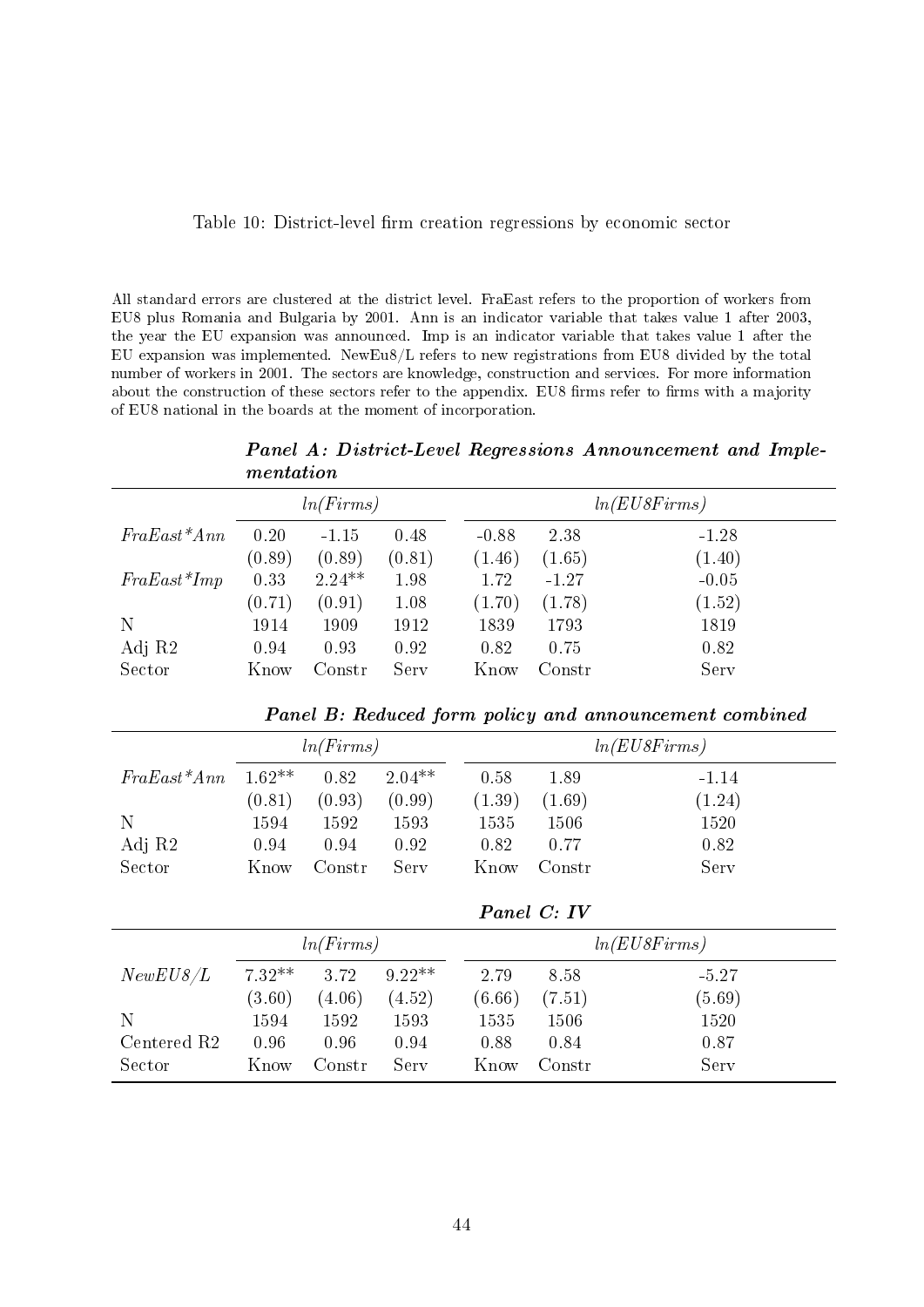|  |  |  | Table 10: District-level firm creation regressions by economic sector |  |  |
|--|--|--|-----------------------------------------------------------------------|--|--|
|  |  |  |                                                                       |  |  |
|  |  |  |                                                                       |  |  |

All standard errors are clustered at the district level. FraEast refers to the proportion of workers from EU8 plus Romania and Bulgaria by 2001. Ann is an indicator variable that takes value 1 after 2003, the year the EU expansion was announced. Imp is an indicator variable that takes value 1 after the EU expansion was implemented. NewEu8/L refers to new registrations from EU8 divided by the total number of workers in 2001. The sectors are knowledge, construction and services. For more information about the construction of these sectors refer to the appendix. EU8 firms refer to firms with a majority of EU8 national in the boards at the moment of incorporation.

Panel A: District-Level Regressions Announcement and Implementation

|                         |          | ln(Firms) |          |               |             | ln( EUSFirms)                                          |  |  |
|-------------------------|----------|-----------|----------|---------------|-------------|--------------------------------------------------------|--|--|
| $FraEast*Ann$           | $0.20\,$ | $-1.15$   | 0.48     | $-0.88$       | 2.38        | $-1.28$                                                |  |  |
|                         | (0.89)   | (0.89)    | (0.81)   | (1.46)        | (1.65)      | (1.40)                                                 |  |  |
| $FraEast*Imp$           | 0.33     | $2.24**$  | 1.98     | 1.72          | $-1.27$     | $-0.05$                                                |  |  |
|                         | (0.71)   | (0.91)    | $1.08\,$ | (1.70)        | (1.78)      | (1.52)                                                 |  |  |
| N                       | 1914     | 1909      | 1912     | 1839          | 1793        | 1819                                                   |  |  |
| Adj R2                  | 0.94     | 0.93      | 0.92     | 0.82          | 0.75        | 0.82                                                   |  |  |
| Sector                  | Know     | Constr    | Serv     | Know          | Constr      | Serv                                                   |  |  |
|                         |          |           |          |               |             | Panel B: Reduced form policy and announcement combined |  |  |
|                         |          | ln(Firms) |          | ln( EUSFirms) |             |                                                        |  |  |
| $FraEast*Ann$           | $1.62**$ | 0.82      | $2.04**$ | 0.58          | 1.89        | $-1.14$                                                |  |  |
|                         | (0.81)   | (0.93)    | (0.99)   | (1.39)        | (1.69)      | (1.24)                                                 |  |  |
| N                       | 1594     | 1592      | 1593     | 1535          | 1506        | 1520                                                   |  |  |
| Adj R2                  | 0.94     | 0.94      | 0.92     | 0.82          | 0.77        | 0.82                                                   |  |  |
| Sector                  | Know     | Constr    | Serv     | Know          | Constr      | Serv                                                   |  |  |
|                         |          |           |          |               | Panel C: IV |                                                        |  |  |
|                         |          | ln(Firms) |          |               |             | ln( EUSFirms)                                          |  |  |
| NewEUS/L                | $7.32**$ | 3.72      | $9.22**$ | 2.79          | 8.58        | $-5.27$                                                |  |  |
|                         | (3.60)   | (4.06)    | (4.52)   | (6.66)        | (7.51)      | (5.69)                                                 |  |  |
| N                       | 1594     | 1592      | 1593     | 1535          | 1506        | 1520                                                   |  |  |
| Centered R <sub>2</sub> | 0.96     | 0.96      | 0.94     | 0.88          | 0.84        | 0.87                                                   |  |  |
| Sector                  | Know     | Constr    | Serv     | Know          | Constr      | Serv                                                   |  |  |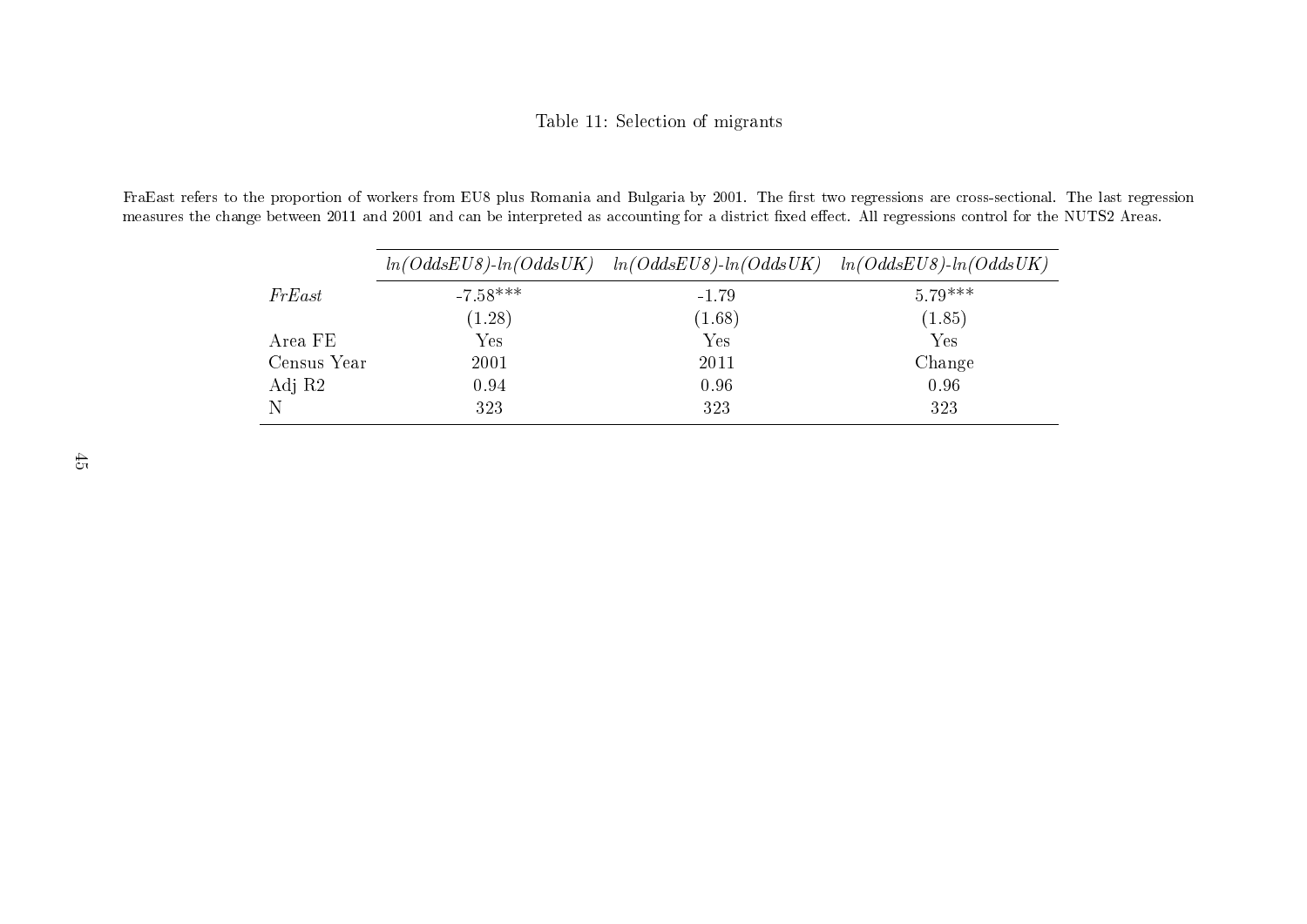## Table 11: Selection of migrants

FraEast refers to the proportion of workers from EU8 plus Romania and Bulgaria by 2001. The first two regressions are cross-sectional. The last regression measures the change between 2011 and 2001 and can be interpreted as accounting for a district fixed effect. All regressions control for the NUTS2 Areas.

|             |            | $ln(OddsEUS)$ - $ln(OddsUK)$ $ln(OddsEUS)$ - $ln(OddsUK)$ $ln(OddsEUS)$ - $ln(OddsEUS)$ - $ln(OddsUK)$ |           |
|-------------|------------|--------------------------------------------------------------------------------------------------------|-----------|
| FrEast      | $-7.58***$ | $-1.79$                                                                                                | $5.79***$ |
|             | (1.28)     | (1.68)                                                                                                 | (1.85)    |
| Area FE     | Yes        | $\operatorname{Yes}$                                                                                   | Yes       |
| Census Year | 2001       | 2011                                                                                                   | Change    |
| Adj R2      | 0.94       | 0.96                                                                                                   | 0.96      |
|             | 323        | 323                                                                                                    | 323       |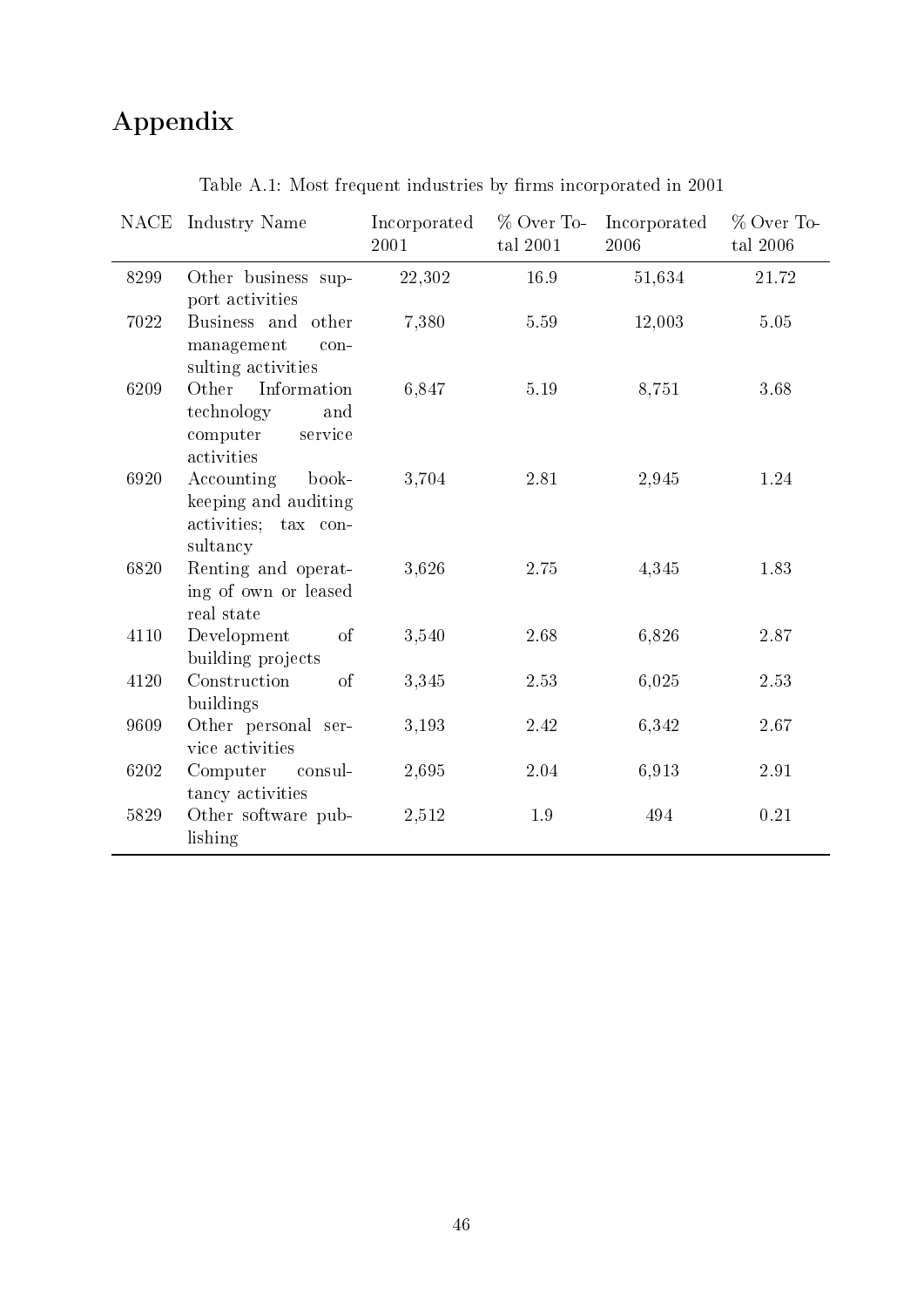# Appendix

|      | NACE Industry Name                                                              | Incorporated<br>2001 | % Over To-<br>tal 2001 | Incorporated<br>2006 | % Over To-<br>tal 2006 |
|------|---------------------------------------------------------------------------------|----------------------|------------------------|----------------------|------------------------|
| 8299 | Other business sup-<br>port activities                                          | 22,302               | $16.9\,$               | 51,634               | $21.72\,$              |
| 7022 | Business and other<br>management<br>con-<br>sulting activities                  | 7,380                | 5.59                   | 12,003               | 5.05                   |
| 6209 | Other Information<br>technology<br>and<br>computer<br>service<br>activities     | 6,847                | 5.19                   | 8,751                | 3.68                   |
| 6920 | Accounting<br>book-<br>keeping and auditing<br>activities; tax con-<br>sultancy | 3,704                | 2.81                   | 2,945                | 1.24                   |
| 6820 | Renting and operat-<br>ing of own or leased<br>real state                       | 3,626                | 2.75                   | 4,345                | 1.83                   |
| 4110 | of<br>Development<br>building projects                                          | 3,540                | 2.68                   | 6,826                | 2.87                   |
| 4120 | Construction<br><sub>of</sub><br>buildings                                      | 3,345                | 2.53                   | 6,025                | 2.53                   |
| 9609 | Other personal ser-<br>vice activities                                          | 3,193                | 2.42                   | 6,342                | 2.67                   |
| 6202 | Computer<br>consul-<br>tancy activities                                         | 2,695                | 2.04                   | 6,913                | 2.91                   |
| 5829 | Other software pub-<br>lishing                                                  | 2,512                | 1.9                    | 494                  | 0.21                   |

Table A.1: Most frequent industries by firms incorporated in  $2001$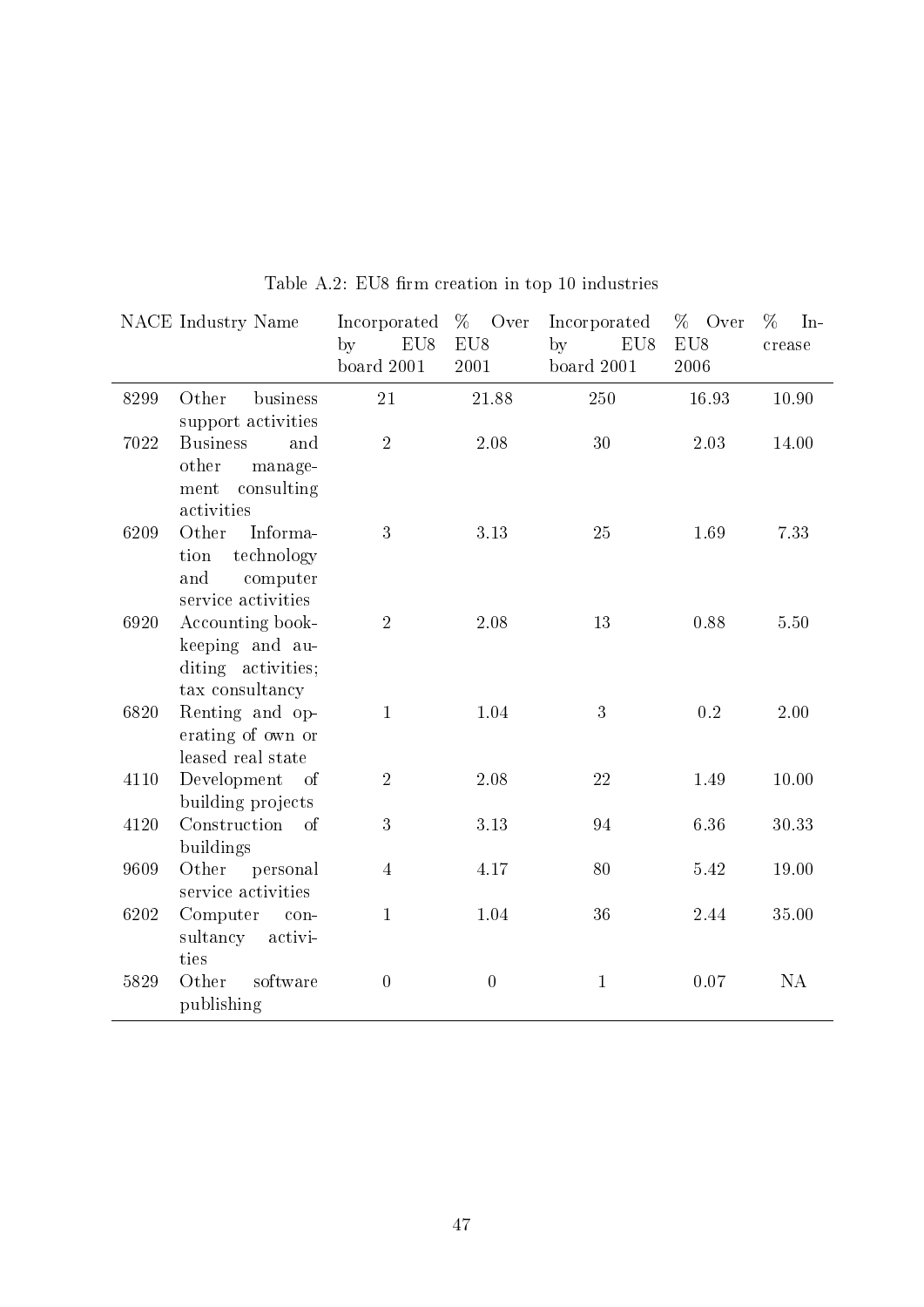|      | NACE Industry Name                                                               | Incorporated<br>EU8<br>by<br>board 2001 | %<br>Over<br>EU8<br>2001 | Incorporated<br>by<br>EU8<br>board $2001$ | % Over<br>EU8<br>2006 | $\%$<br>$In-$<br>crease |
|------|----------------------------------------------------------------------------------|-----------------------------------------|--------------------------|-------------------------------------------|-----------------------|-------------------------|
| 8299 | business<br>Other<br>support activities                                          | 21                                      | 21.88                    | 250                                       | 16.93                 | 10.90                   |
| 7022 | <b>Business</b><br>and<br>other<br>manage-<br>consulting<br>ment<br>activities   | $\overline{2}$                          | 2.08                     | 30                                        | 2.03                  | 14.00                   |
| 6209 | Informa-<br>Other<br>technology<br>tion<br>and<br>computer<br>service activities | 3                                       | 3.13                     | 25                                        | 1.69                  | 7.33                    |
| 6920 | Accounting book-<br>keeping and au-<br>diting activities;<br>tax consultancy     | $\overline{2}$                          | 2.08                     | 13                                        | 0.88                  | 5.50                    |
| 6820 | Renting and op-<br>erating of own or<br>leased real state                        | $\mathbf{1}$                            | 1.04                     | $\boldsymbol{3}$                          | 0.2                   | $2.00\,$                |
| 4110 | Development of<br>building projects                                              | $\overline{2}$                          | 2.08                     | 22                                        | 1.49                  | 10.00                   |
| 4120 | Construction<br><sub>of</sub><br>buildings                                       | 3                                       | 3.13                     | 94                                        | 6.36                  | 30.33                   |
| 9609 | Other<br>personal<br>service activities                                          | $\overline{4}$                          | 4.17                     | 80                                        | 5.42                  | 19.00                   |
| 6202 | Computer<br>con-<br>sultancy<br>activi-<br>ties                                  | $\mathbf{1}$                            | 1.04                     | 36                                        | 2.44                  | 35.00                   |
| 5829 | software<br>Other<br>publishing                                                  | $\overline{0}$                          | $\overline{0}$           | $\mathbf{1}$                              | 0.07                  | NA                      |

Table A.2: EU8 firm creation in top 10 industries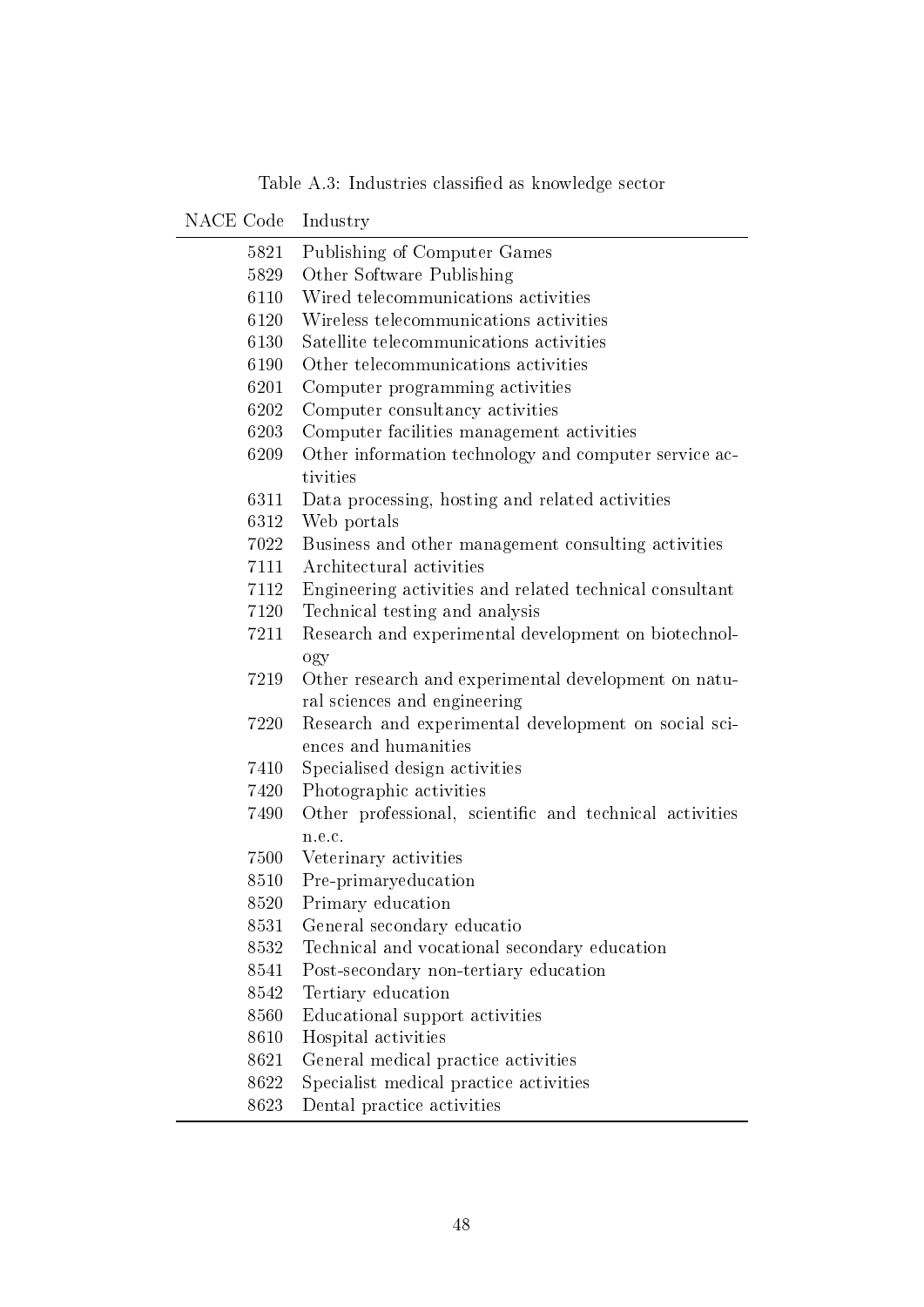| NACE Code | Industry                                                |
|-----------|---------------------------------------------------------|
| 5821      | Publishing of Computer Games                            |
| 5829      | Other Software Publishing                               |
| 6110      | Wired telecommunications activities                     |
| 6120      | Wireless telecommunications activities                  |
| 6130      | Satellite telecommunications activities                 |
| 6190      | Other telecommunications activities                     |
| 6201      | Computer programming activities                         |
| 6202      | Computer consultancy activities                         |
| 6203      | Computer facilities management activities               |
| 6209      | Other information technology and computer service ac-   |
|           | tivities                                                |
| 6311      | Data processing, hosting and related activities         |
| 6312      | Web portals                                             |
| 7022      | Business and other management consulting activities     |
| 7111      | Architectural activities                                |
| 7112      | Engineering activities and related technical consultant |
| 7120      | Technical testing and analysis                          |
| 7211      | Research and experimental development on biotechnol-    |
|           | ogy                                                     |
| 7219      | Other research and experimental development on natu-    |
|           | ral sciences and engineering                            |
| 7220      | Research and experimental development on social sci-    |
|           | ences and humanities                                    |
| 7410      | Specialised design activities                           |
| 7420      | Photographic activities                                 |
| 7490      | Other professional, scientific and technical activities |
|           | n.e.c.                                                  |
| 7500      | Veterinary activities                                   |
| 8510      | Pre-primaryeducation                                    |
| 8520      | Primary education                                       |
| 8531      | General secondary educatio                              |
| 8532      | Technical and vocational secondary education            |
| 8541      | Post-secondary non-tertiary education                   |
| 8542      | Tertiary education                                      |
| 8560      | Educational support activities                          |
| 8610      | Hospital activities                                     |
| 8621      | General medical practice activities                     |
| 8622      | Specialist medical practice activities                  |

Table A.3: Industries classified as knowledge sector

8623 Dental practice activities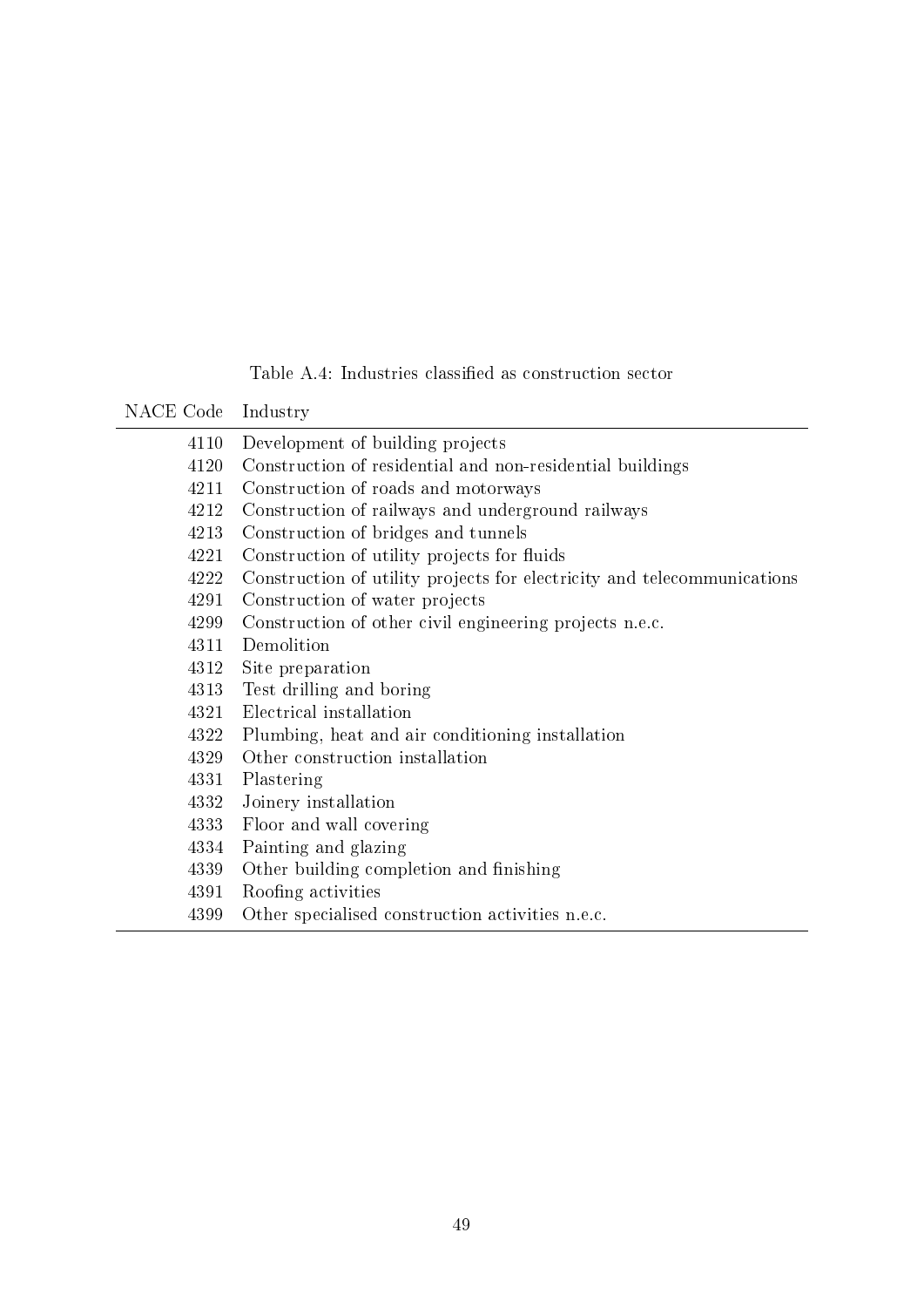## Table A.4: Industries classified as construction sector

NACE Code Industry

| 4110 | Development of building projects                                        |
|------|-------------------------------------------------------------------------|
| 4120 | Construction of residential and non-residential buildings               |
| 4211 | Construction of roads and motorways                                     |
| 4212 | Construction of railways and underground railways                       |
| 4213 | Construction of bridges and tunnels                                     |
| 4221 | Construction of utility projects for fluids                             |
| 4222 | Construction of utility projects for electricity and telecommunications |
| 4291 | Construction of water projects                                          |
| 4299 | Construction of other civil engineering projects n.e.c.                 |
| 4311 | Demolition                                                              |
| 4312 | Site preparation                                                        |
| 4313 | Test drilling and boring                                                |
| 4321 | Electrical installation                                                 |
| 4322 | Plumbing, heat and air conditioning installation                        |
| 4329 | Other construction installation                                         |
| 4331 | Plastering                                                              |
| 4332 | Joinery installation                                                    |
| 4333 | Floor and wall covering                                                 |
| 4334 | Painting and glazing                                                    |
| 4339 | Other building completion and finishing                                 |
| 4391 | Roofing activities                                                      |
| 4399 | Other specialised construction activities n.e.c.                        |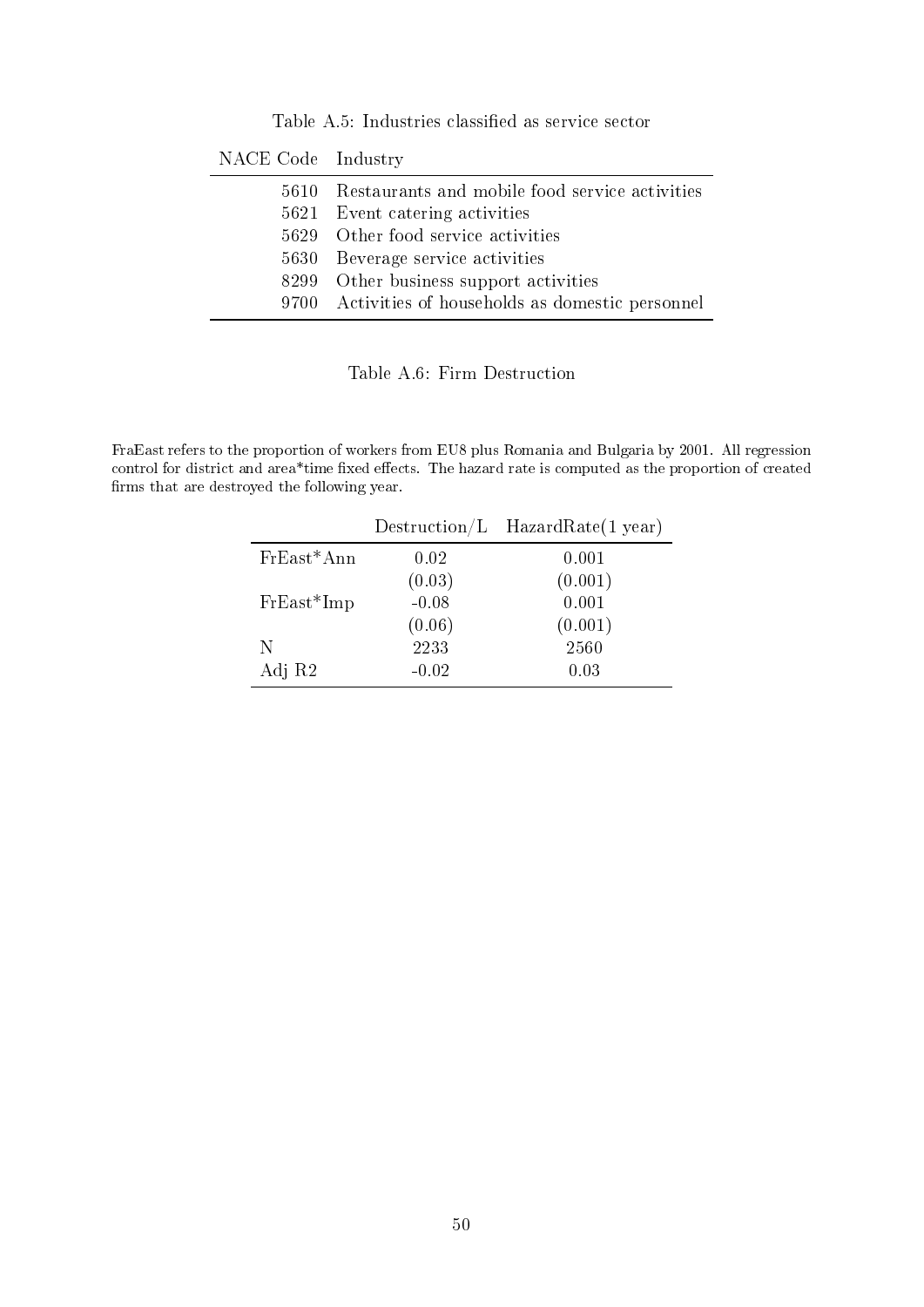Table A.5: Industries classified as service sector

| NACE Code Industry |                                                     |
|--------------------|-----------------------------------------------------|
|                    | 5610 Restaurants and mobile food service activities |
|                    | 5621 Event catering activities                      |
|                    | 5629 Other food service activities                  |
| 5630               | Beverage service activities                         |
|                    | 8299 Other business support activities              |
|                    | 9700 Activities of households as domestic personnel |
|                    |                                                     |

Table A.6: Firm Destruction

FraEast refers to the proportion of workers from EU8 plus Romania and Bulgaria by 2001. All regression control for district and area\*time fixed effects. The hazard rate is computed as the proportion of created firms that are destroyed the following year.

|              | $D$ estruction/L | HazardRate(1 year) |
|--------------|------------------|--------------------|
| $FrEast*Ann$ | 0.02             | 0.001              |
|              | (0.03)           | (0.001)            |
| $FrEast*Imp$ | $-0.08$          | 0.001              |
|              | (0.06)           | (0.001)            |
| N            | 2233             | 2560               |
| Adj R2       | $-0.02$          | 0.03               |